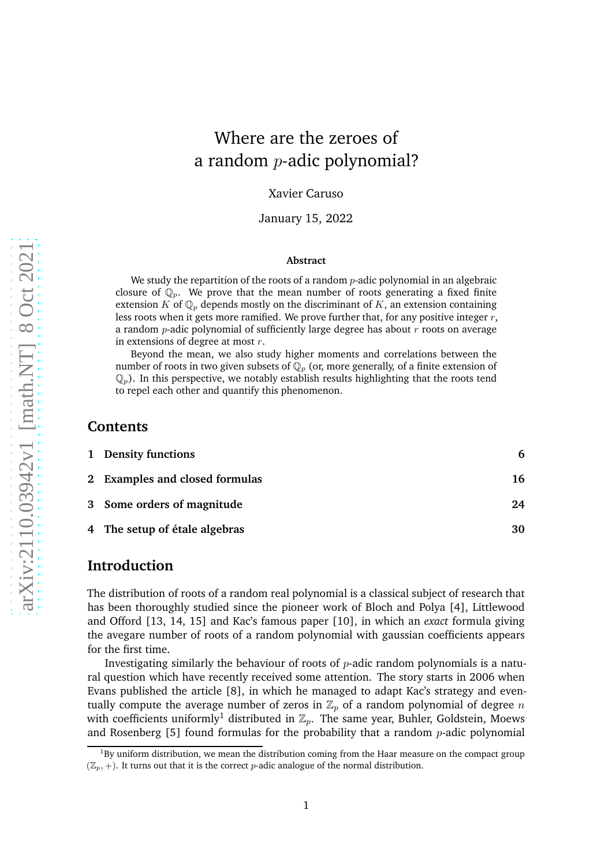# Where are the zeroes of a random  $p$ -adic polynomial?

Xavier Caruso

January 15, 2022

#### **Abstract**

We study the repartition of the roots of a random  $p$ -adic polynomial in an algebraic closure of  $\mathbb{Q}_p$ . We prove that the mean number of roots generating a fixed finite extension K of  $\mathbb{Q}_p$  depends mostly on the discriminant of K, an extension containing less roots when it gets more ramified. We prove further that, for any positive integer  $r$ , a random  $p$ -adic polynomial of sufficiently large degree has about  $r$  roots on average in extensions of degree at most  $r$ .

Beyond the mean, we also study higher moments and correlations between the number of roots in two given subsets of  $\mathbb{Q}_p$  (or, more generally, of a finite extension of  $\mathbb{Q}_p$ ). In this perspective, we notably establish results highlighting that the roots tend to repel each other and quantify this phenomenon.

## **Contents**

| 1 Density functions            | 6  |
|--------------------------------|----|
| 2 Examples and closed formulas | 16 |
| 3 Some orders of magnitude     | 24 |
| 4 The setup of étale algebras  | 30 |

# **Introduction**

The distribution of roots of a random real polynomial is a classical subject of research that has been thoroughly studied since the pioneer work of Bloch and Polya [\[4\]](#page-41-0), Littlewood and Offord [\[13,](#page-41-1) [14,](#page-41-2) [15\]](#page-41-3) and Kac's famous paper [\[10\]](#page-41-4), in which an *exact* formula giving the avegare number of roots of a random polynomial with gaussian coefficients appears for the first time.

Investigating similarly the behaviour of roots of  $p$ -adic random polynomials is a natural question which have recently received some attention. The story starts in 2006 when Evans published the article [\[8\]](#page-41-5), in which he managed to adapt Kac's strategy and eventually compute the average number of zeros in  $\mathbb{Z}_p$  of a random polynomial of degree n with coefficients uniformly<sup>[1](#page-0-0)</sup> distributed in  $\mathbb{Z}_p$ . The same year, Buhler, Goldstein, Moews and Rosenberg  $[5]$  found formulas for the probability that a random *p*-adic polynomial

<span id="page-0-0"></span> $1By$  uniform distribution, we mean the distribution coming from the Haar measure on the compact group  $(\mathbb{Z}_p, +)$ . It turns out that it is the correct p-adic analogue of the normal distribution.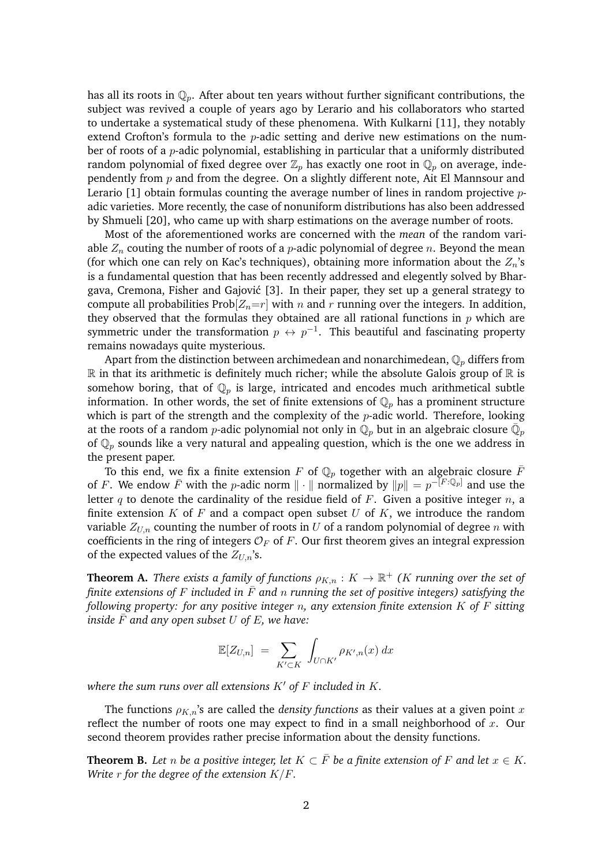has all its roots in  $\mathbb{Q}_p$ . After about ten years without further significant contributions, the subject was revived a couple of years ago by Lerario and his collaborators who started to undertake a systematical study of these phenomena. With Kulkarni [\[11\]](#page-41-7), they notably extend Crofton's formula to the  $p$ -adic setting and derive new estimations on the number of roots of a  $p$ -adic polynomial, establishing in particular that a uniformly distributed random polynomial of fixed degree over  $\mathbb{Z}_p$  has exactly one root in  $\mathbb{Q}_p$  on average, independently from  $p$  and from the degree. On a slightly different note, Ait El Mannsour and Lerario  $[1]$  obtain formulas counting the average number of lines in random projective  $p$ adic varieties. More recently, the case of nonuniform distributions has also been addressed by Shmueli [\[20\]](#page-42-0), who came up with sharp estimations on the average number of roots.

Most of the aforementioned works are concerned with the *mean* of the random variable  $Z_n$  couting the number of roots of a *p*-adic polynomial of degree *n*. Beyond the mean (for which one can rely on Kac's techniques), obtaining more information about the  $Z_n$ 's is a fundamental question that has been recently addressed and elegently solved by Bhar-gava, Cremona, Fisher and Gajović [\[3\]](#page-41-9). In their paper, they set up a general strategy to compute all probabilities Prob $[Z_n=r]$  with n and r running over the integers. In addition, they observed that the formulas they obtained are all rational functions in  $p$  which are symmetric under the transformation  $p \leftrightarrow p^{-1}$ . This beautiful and fascinating property remains nowadays quite mysterious.

Apart from the distinction between archimedean and nonarchimedean,  $\mathbb{Q}_p$  differs from  $\mathbb R$  in that its arithmetic is definitely much richer; while the absolute Galois group of  $\mathbb R$  is somehow boring, that of  $\mathbb{Q}_p$  is large, intricated and encodes much arithmetical subtle information. In other words, the set of finite extensions of  $\mathbb{Q}_p$  has a prominent structure which is part of the strength and the complexity of the  $p$ -adic world. Therefore, looking at the roots of a random  $p$ -adic polynomial not only in  $\mathbb{Q}_p$  but in an algebraic closure  $\bar{\mathbb{Q}}_p$ of  $\mathbb{Q}_p$  sounds like a very natural and appealing question, which is the one we address in the present paper.

To this end, we fix a finite extension F of  $\mathbb{Q}_p$  together with an algebraic closure  $\overline{F}$ of F. We endow  $\overline{F}$  with the p-adic norm  $\|\cdot\|$  normalized by  $\|p\| = p^{-[F:\mathbb{Q}_p]}$  and use the letter q to denote the cardinality of the residue field of F. Given a positive integer  $n$ , a finite extension  $K$  of  $F$  and a compact open subset  $U$  of  $K$ , we introduce the random variable  $Z_{U,n}$  counting the number of roots in U of a random polynomial of degree n with coefficients in the ring of integers  $\mathcal{O}_F$  of F. Our first theorem gives an integral expression of the expected values of the  $Z_{U,n}$ 's.

<span id="page-1-1"></span>**Theorem A.** *There exists a family of functions*  $\rho_{K,n}: K \to \mathbb{R}^+$  *(K running over the set of finite extensions of* F *included in*  $\bar{F}$  *and* n *running the set of positive integers) satisfying the following property: for any positive integer* n*, any extension finite extension* K *of* F *sitting inside*  $F$  *and any open subset*  $U$  *of*  $E$ *, we have:* 

$$
\mathbb{E}[Z_{U,n}] = \sum_{K' \subset K} \int_{U \cap K'} \rho_{K',n}(x) dx
$$

*where the sum runs over all extensions* K′ *of* F *included in* K*.*

The functions  $\rho_{K,n}$ 's are called the *density functions* as their values at a given point x reflect the number of roots one may expect to find in a small neighborhood of x. Our second theorem provides rather precise information about the density functions.

<span id="page-1-0"></span>**Theorem B.** Let *n* be a positive integer, let  $K \subset \overline{F}$  be a finite extension of F and let  $x \in K$ . *Write* r *for the degree of the extension* K/F*.*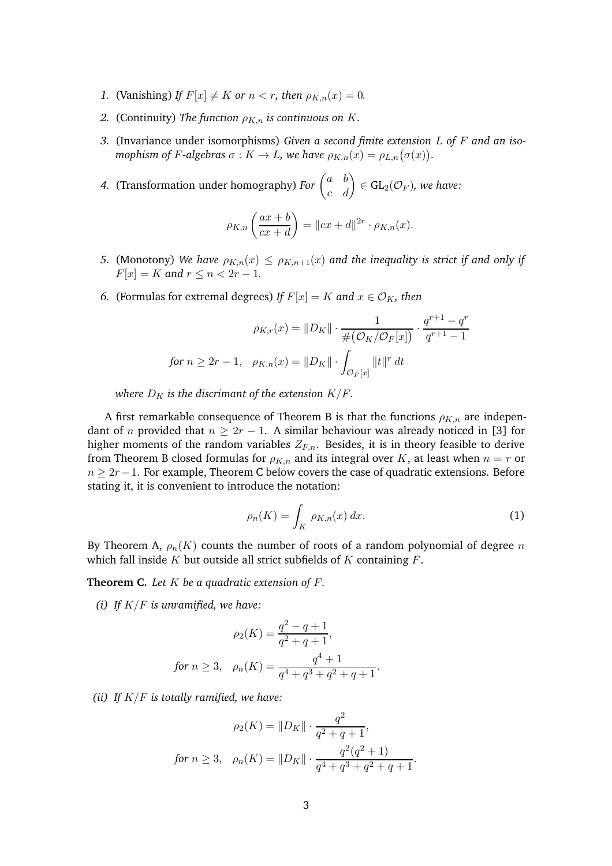- *1.* (Vanishing) *If*  $F[x] \neq K$  *or*  $n < r$ *, then*  $\rho_{K,n}(x) = 0$ *.*
- *2.* (Continuity) The function  $\rho_{K,n}$  is continuous on K.
- *3.* (Invariance under isomorphisms) *Given a second finite extension* L *of* F *and an isomophism of F-algebras*  $\sigma : K \to L$ , we have  $\rho_{K,n}(x) = \rho_{L,n}(\sigma(x)).$

4. (Transformation under homography) *For*  $\begin{pmatrix} a & b \\ c & d \end{pmatrix} \in GL_2(\mathcal{O}_F)$ *, we have:* 

$$
\rho_{K,n}\left(\frac{ax+b}{cx+d}\right) = ||cx+d||^{2r} \cdot \rho_{K,n}(x).
$$

- *5.* (Monotony) We have  $\rho_{K,n}(x) \leq \rho_{K,n+1}(x)$  and the inequality is strict if and only if  $F[x] = K$  and  $r \le n < 2r - 1$ .
- *6.* (Formulas for extremal degrees) *If*  $F[x] = K$  *and*  $x \in \mathcal{O}_K$ *, then*

$$
\rho_{K,r}(x) = ||D_K|| \cdot \frac{1}{\#(\mathcal{O}_K/\mathcal{O}_F[x])} \cdot \frac{q^{r+1} - q^r}{q^{r+1} - 1}
$$
  
for  $n \ge 2r - 1$ ,  $\rho_{K,n}(x) = ||D_K|| \cdot \int_{\mathcal{O}_F[x]} ||t||^r dt$ 

*where*  $D_K$  *is the discrimant of the extension K/F.* 

A first remarkable consequence of Theorem [B](#page-1-0) is that the functions  $\rho_{K,n}$  are independant of *n* provided that  $n \geq 2r - 1$ . A similar behaviour was already noticed in [\[3\]](#page-41-9) for higher moments of the random variables  $Z_{F,n}$ . Besides, it is in theory feasible to derive from Theorem [B](#page-1-0) closed formulas for  $\rho_{K,n}$  and its integral over K, at least when  $n = r$  or  $n \geq 2r-1$ . For example, Theorem [C](#page-2-0) below covers the case of quadratic extensions. Before stating it, it is convenient to introduce the notation:

<span id="page-2-1"></span>
$$
\rho_n(K) = \int_K \rho_{K,n}(x) dx.
$$
 (1)

By Theorem [A,](#page-1-1)  $\rho_n(K)$  counts the number of roots of a random polynomial of degree n which fall inside  $K$  but outside all strict subfields of  $K$  containing  $F$ .

<span id="page-2-0"></span>**Theorem C.** *Let* K *be a quadratic extension of* F*.*

*(i) If* K/F *is unramified, we have:*

$$
\rho_2(K) = \frac{q^2 - q + 1}{q^2 + q + 1},
$$
  
for  $n \ge 3$ ,  $\rho_n(K) = \frac{q^4 + 1}{q^4 + q^3 + q^2 + q + 1}.$ 

*(ii) If* K/F *is totally ramified, we have:*

$$
\rho_2(K) = ||D_K|| \cdot \frac{q^2}{q^2 + q + 1},
$$
  
for  $n \ge 3$ ,  $\rho_n(K) = ||D_K|| \cdot \frac{q^2(q^2 + 1)}{q^4 + q^3 + q^2 + q + 1}.$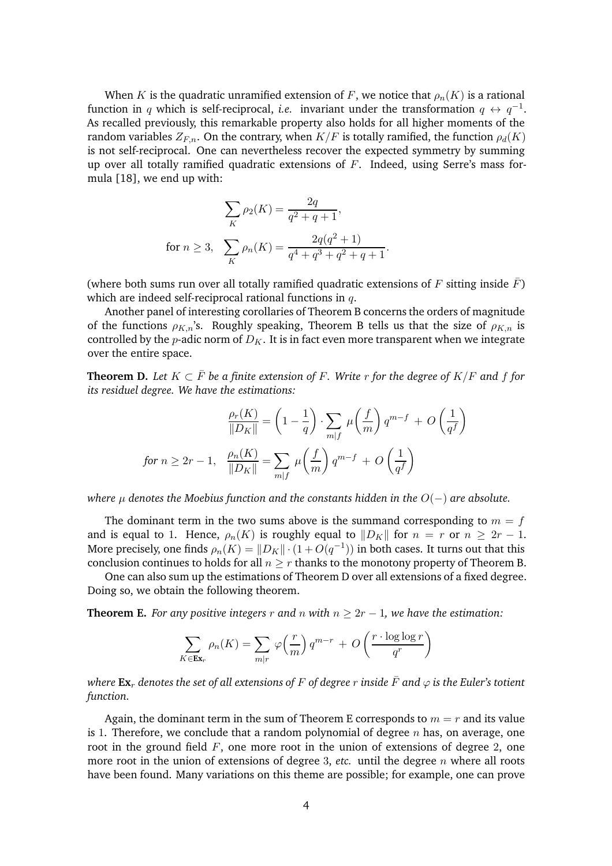When K is the quadratic unramified extension of F, we notice that  $\rho_n(K)$  is a rational function in q which is self-reciprocal, *i.e.* invariant under the transformation  $q \leftrightarrow q^{-1}$ . As recalled previously, this remarkable property also holds for all higher moments of the random variables  $Z_{F,n}$ . On the contrary, when  $K/F$  is totally ramified, the function  $\rho_d(K)$ is not self-reciprocal. One can nevertheless recover the expected symmetry by summing up over all totally ramified quadratic extensions of  $F$ . Indeed, using Serre's mass formula [\[18\]](#page-42-1), we end up with:

$$
\sum_{K} \rho_2(K) = \frac{2q}{q^2 + q + 1},
$$
  
for  $n \ge 3$ , 
$$
\sum_{K} \rho_n(K) = \frac{2q(q^2 + 1)}{q^4 + q^3 + q^2 + q + 1}.
$$

(where both sums run over all totally ramified quadratic extensions of F sitting inside  $F$ ) which are indeed self-reciprocal rational functions in  $q$ .

Another panel of interesting corollaries of Theorem [B](#page-1-0) concerns the orders of magnitude of the functions  $\rho_{K,n}$ 's. Roughly speaking, Theorem [B](#page-1-0) tells us that the size of  $\rho_{K,n}$  is controlled by the *p*-adic norm of  $D_K$ . It is in fact even more transparent when we integrate over the entire space.

<span id="page-3-0"></span>**Theorem D.** Let  $K \subset \overline{F}$  be a finite extension of F. Write r for the degree of  $K/F$  and f for *its residuel degree. We have the estimations:*

$$
\frac{\rho_r(K)}{\|D_K\|} = \left(1 - \frac{1}{q}\right) \cdot \sum_{m|f} \mu\left(\frac{f}{m}\right) q^{m-f} + O\left(\frac{1}{q^f}\right)
$$
\n
$$
\text{for } n \ge 2r - 1, \quad \frac{\rho_n(K)}{\|D_K\|} = \sum_{m|f} \mu\left(\frac{f}{m}\right) q^{m-f} + O\left(\frac{1}{q^f}\right)
$$

*where*  $\mu$  *denotes the Moebius function and the constants hidden in the*  $O(-)$  *are absolute.* 

The dominant term in the two sums above is the summand corresponding to  $m = f$ and is equal to 1. Hence,  $\rho_n(K)$  is roughly equal to  $||D_K||$  for  $n = r$  or  $n \geq 2r - 1$ . More precisely, one finds  $\rho_n(K) = ||D_K|| \cdot (1 + O(q^{-1}))$  in both cases. It turns out that this conclusion continues to holds for all  $n \geq r$  thanks to the monotony property of Theorem [B.](#page-1-0)

One can also sum up the estimations of Theorem [D](#page-3-0) over all extensions of a fixed degree. Doing so, we obtain the following theorem.

<span id="page-3-1"></span>**Theorem E.** *For any positive integers* r and n with  $n \geq 2r - 1$ , we have the estimation:

$$
\sum_{K \in \mathbf{Ex}_r} \rho_n(K) = \sum_{m|r} \varphi\left(\frac{r}{m}\right) q^{m-r} + O\left(\frac{r \cdot \log \log r}{q^r}\right)
$$

*where*  $\mathbf{Ex}_r$  *denotes the set of all extensions of* F *of degree* r *inside*  $\bar{F}$  *and*  $\varphi$  *is the Euler's totient function.*

Again, the dominant term in the sum of Theorem [E](#page-3-1) corresponds to  $m = r$  and its value is 1. Therefore, we conclude that a random polynomial of degree  $n$  has, on average, one root in the ground field  $F$ , one more root in the union of extensions of degree 2, one more root in the union of extensions of degree 3, *etc.* until the degree  $n$  where all roots have been found. Many variations on this theme are possible; for example, one can prove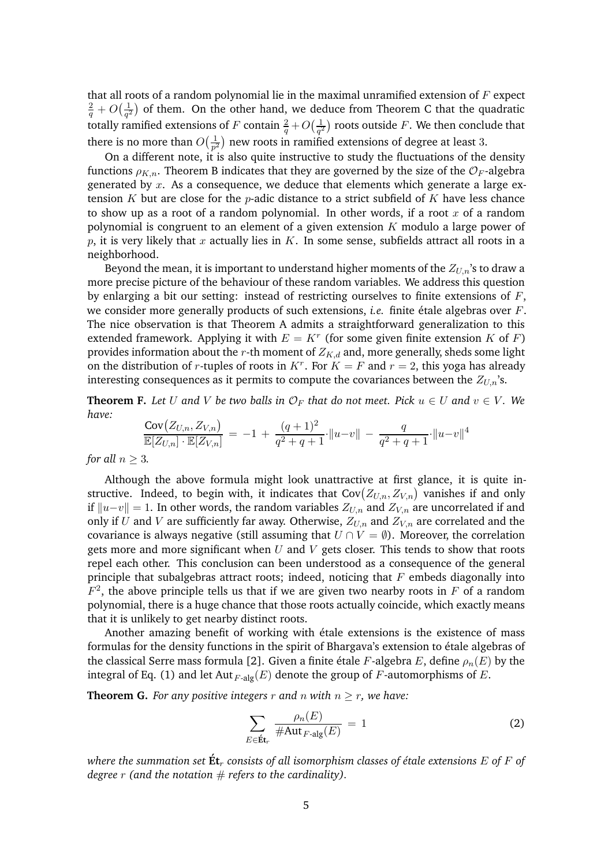that all roots of a random polynomial lie in the maximal unramified extension of  $F$  expect  $\frac{2}{q}+O\big(\frac{1}{q^2}$  $\frac{1}{q^2}$ ) of them. On the other hand, we deduce from Theorem [C](#page-2-0) that the quadratic totally ramified extensions of  $F$  contain  $\frac{2}{q}+O\big(\frac{1}{q^2}\big)$  $\frac{1}{q^2}$ ) roots outside  $F.$  We then conclude that there is no more than  $O(\frac{1}{n^2})$  $\frac{1}{p^2}$ ) new roots in ramified extensions of degree at least 3.

On a different note, it is also quite instructive to study the fluctuations of the density functions  $\rho_{K,n}$ . Theorem [B](#page-1-0) indicates that they are governed by the size of the  $\mathcal{O}_F$ -algebra generated by  $x$ . As a consequence, we deduce that elements which generate a large extension K but are close for the *p*-adic distance to a strict subfield of K have less chance to show up as a root of a random polynomial. In other words, if a root x of a random polynomial is congruent to an element of a given extension  $K$  modulo a large power of  $p$ , it is very likely that  $x$  actually lies in  $K$ . In some sense, subfields attract all roots in a neighborhood.

Beyond the mean, it is important to understand higher moments of the  $Z_{U,n}$ 's to draw a more precise picture of the behaviour of these random variables. We address this question by enlarging a bit our setting: instead of restricting ourselves to finite extensions of  $F$ , we consider more generally products of such extensions, *i.e.* finite étale algebras over F. The nice observation is that Theorem [A](#page-1-1) admits a straightforward generalization to this extended framework. Applying it with  $E = K<sup>r</sup>$  (for some given finite extension K of F) provides information about the r-th moment of  $Z_{K,d}$  and, more generally, sheds some light on the distribution of r-tuples of roots in  $K<sup>r</sup>$ . For  $K = F$  and  $r = 2$ , this yoga has already interesting consequences as it permits to compute the covariances between the  $Z_{U,n}$ 's.

<span id="page-4-2"></span>**Theorem F.** Let U and V be two balls in  $\mathcal{O}_F$  that do not meet. Pick  $u \in U$  and  $v \in V$ . We *have:*

$$
\frac{\text{Cov}(Z_{U,n}, Z_{V,n})}{\mathbb{E}[Z_{U,n}] \cdot \mathbb{E}[Z_{V,n}]} = -1 + \frac{(q+1)^2}{q^2+q+1} \cdot ||u-v|| - \frac{q}{q^2+q+1} \cdot ||u-v||^4
$$

*for all*  $n > 3$ *.* 

Although the above formula might look unattractive at first glance, it is quite instructive. Indeed, to begin with, it indicates that  $\mathsf{Cov}(Z_{U,n}, Z_{V,n})$  vanishes if and only if  $||u-v|| = 1$ . In other words, the random variables  $Z_{U,n}$  and  $Z_{V,n}$  are uncorrelated if and only if U and V are sufficiently far away. Otherwise,  $Z_{U,n}$  and  $Z_{V,n}$  are correlated and the covariance is always negative (still assuming that  $U \cap V = \emptyset$ ). Moreover, the correlation gets more and more significant when  $U$  and  $V$  gets closer. This tends to show that roots repel each other. This conclusion can been understood as a consequence of the general principle that subalgebras attract roots; indeed, noticing that  $F$  embeds diagonally into  $F<sup>2</sup>$ , the above principle tells us that if we are given two nearby roots in F of a random polynomial, there is a huge chance that those roots actually coincide, which exactly means that it is unlikely to get nearby distinct roots.

Another amazing benefit of working with étale extensions is the existence of mass formulas for the density functions in the spirit of Bhargava's extension to étale algebras of the classical Serre mass formula [\[2\]](#page-41-10). Given a finite étale F-algebra E, define  $\rho_n(E)$  by the integral of Eq. [\(1\)](#page-2-1) and let Aut  $_{F\text{-alg}}(E)$  denote the group of F-automorphisms of E.

<span id="page-4-1"></span>**Theorem G.** *For any positive integers*  $r$  *and*  $n$  *with*  $n \geq r$ *, we have:* 

<span id="page-4-0"></span>
$$
\sum_{E \in \mathbf{\acute{E}t}_r} \frac{\rho_n(E)}{\# \text{Aut}_{F\text{-alg}}(E)} = 1 \tag{2}
$$

*where the summation set*  $\acute{\mathbf{E}}$ *t*<sub>*r*</sub> *consists of all isomorphism classes of étale extensions*  $E$  *of*  $F$  *of degree*  $r$  (and the notation  $\#$  *refers to the cardinality).*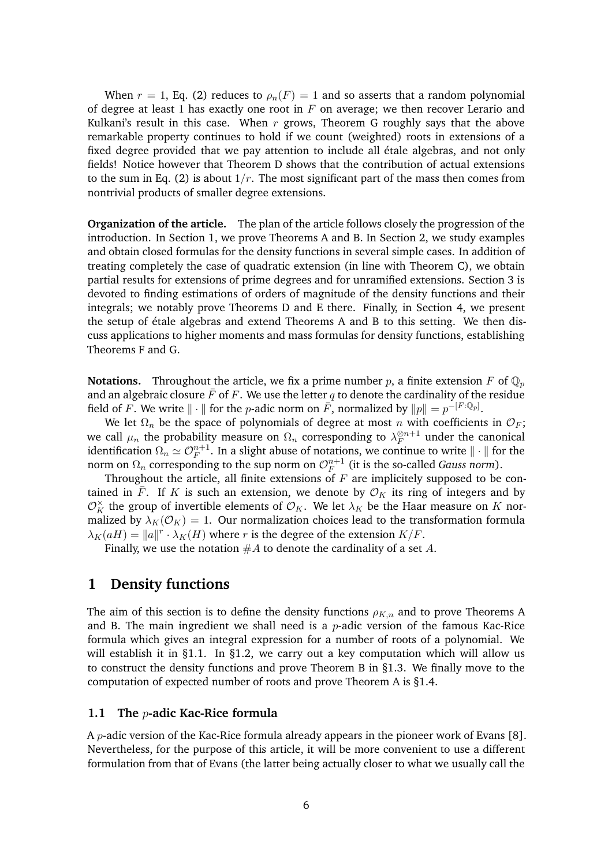When  $r = 1$ , Eq. [\(2\)](#page-4-0) reduces to  $\rho_n(F) = 1$  and so asserts that a random polynomial of degree at least 1 has exactly one root in  $F$  on average; we then recover Lerario and Kulkani's result in this case. When  $r$  grows, Theorem [G](#page-4-1) roughly says that the above remarkable property continues to hold if we count (weighted) roots in extensions of a fixed degree provided that we pay attention to include all étale algebras, and not only fields! Notice however that Theorem [D](#page-3-0) shows that the contribution of actual extensions to the sum in Eq. [\(2\)](#page-4-0) is about  $1/r$ . The most significant part of the mass then comes from nontrivial products of smaller degree extensions.

**Organization of the article.** The plan of the article follows closely the progression of the introduction. In Section [1,](#page-5-0) we prove Theorems [A](#page-1-1) and [B.](#page-1-0) In Section [2,](#page-15-0) we study examples and obtain closed formulas for the density functions in several simple cases. In addition of treating completely the case of quadratic extension (in line with Theorem [C\)](#page-2-0), we obtain partial results for extensions of prime degrees and for unramified extensions. Section [3](#page-23-0) is devoted to finding estimations of orders of magnitude of the density functions and their integrals; we notably prove Theorems [D](#page-3-0) and [E](#page-3-1) there. Finally, in Section [4,](#page-29-0) we present the setup of étale algebras and extend Theorems [A](#page-1-1) and [B](#page-1-0) to this setting. We then discuss applications to higher moments and mass formulas for density functions, establishing Theorems [F](#page-4-2) and [G.](#page-4-1)

**Notations.** Throughout the article, we fix a prime number p, a finite extension F of  $\mathbb{Q}_p$ and an algebraic closure  $\bar{F}$  of F. We use the letter q to denote the cardinality of the residue field of F. We write  $\|\cdot\|$  for the *p*-adic norm on  $\bar{F}$ , normalized by  $\|p\| = p^{-[F:\mathbb{Q}_p]}$ .

We let  $\Omega_n$  be the space of polynomials of degree at most n with coefficients in  $\mathcal{O}_F$ ; we call  $\mu_n$  the probability measure on  $\Omega_n$  corresponding to  $\lambda_F^{\otimes n+1}$  under the canonical identification  $\Omega_n \simeq \mathcal{O}_F^{n+1}.$  In a slight abuse of notations, we continue to write  $\|\cdot\|$  for the norm on  $\Omega_n$  corresponding to the sup norm on  $\mathcal{O}_F^{n+1}$  $_{F}^{n+1}$  (it is the so-called *Gauss norm*).

Throughout the article, all finite extensions of  $F$  are implicitely supposed to be contained in  $\bar{F}$ . If K is such an extension, we denote by  $\mathcal{O}_K$  its ring of integers and by  $\mathcal{O}_K^{\times}$  the group of invertible elements of  $\mathcal{O}_K$ . We let  $\lambda_K$  be the Haar measure on K normalized by  $\lambda_K(\mathcal{O}_K) = 1$ . Our normalization choices lead to the transformation formula  $\lambda_K(aH) = ||a||^r \cdot \lambda_K(H)$  where r is the degree of the extension  $K/F$ .

Finally, we use the notation  $#A$  to denote the cardinality of a set A.

## <span id="page-5-0"></span>**1 Density functions**

The aim of this section is to define the density functions  $\rho_{K,n}$  and to prove Theorems [A](#page-1-1) and [B.](#page-1-0) The main ingredient we shall need is a  $p$ -adic version of the famous Kac-Rice formula which gives an integral expression for a number of roots of a polynomial. We will establish it in [§1.1.](#page-5-1) In [§1.2,](#page-7-0) we carry out a key computation which will allow us to construct the density functions and prove Theorem [B](#page-1-0) in [§1.3.](#page-9-0) We finally move to the computation of expected number of roots and prove Theorem [A](#page-1-1) is [§1.4.](#page-13-0)

#### <span id="page-5-1"></span>**1.1 The** p**-adic Kac-Rice formula**

A *p*-adic version of the Kac-Rice formula already appears in the pioneer work of Evans [\[8\]](#page-41-5). Nevertheless, for the purpose of this article, it will be more convenient to use a different formulation from that of Evans (the latter being actually closer to what we usually call the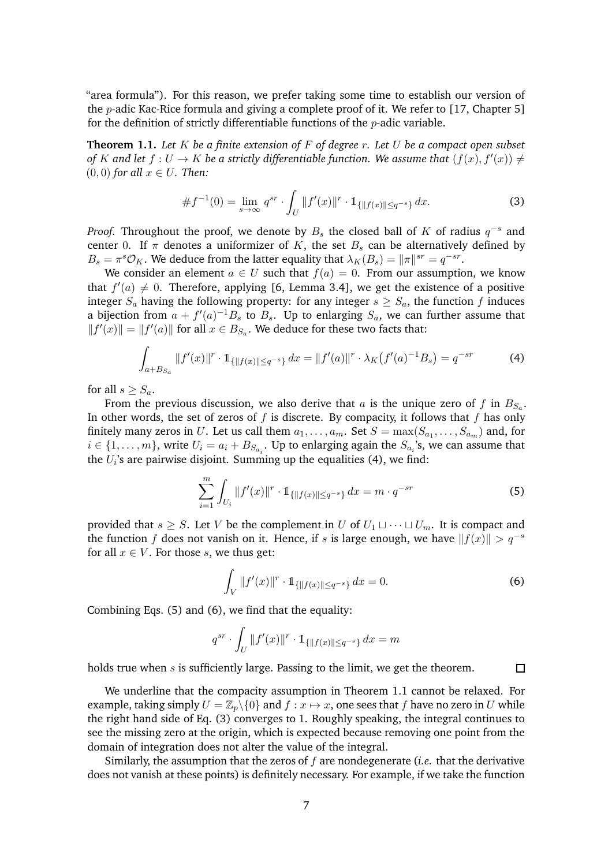"area formula"). For this reason, we prefer taking some time to establish our version of the *p*-adic Kac-Rice formula and giving a complete proof of it. We refer to [\[17,](#page-42-2) Chapter 5] for the definition of strictly differentiable functions of the  $p$ -adic variable.

<span id="page-6-3"></span>**Theorem 1.1.** *Let* K *be a finite extension of* F *of degree* r*. Let* U *be a compact open subset of* K and let  $f: U \to K$  be a strictly differentiable function. We assume that  $(f(x), f'(x)) \neq$  $(0, 0)$  *for all*  $x \in U$ *. Then:* 

<span id="page-6-4"></span>
$$
\#f^{-1}(0) = \lim_{s \to \infty} q^{sr} \cdot \int_U \|f'(x)\|^r \cdot \mathbb{1}_{\{|f(x)\| \le q^{-s}\}} dx.
$$
 (3)

*Proof.* Throughout the proof, we denote by  $B_s$  the closed ball of K of radius  $q^{-s}$  and center 0. If  $\pi$  denotes a uniformizer of K, the set  $B_s$  can be alternatively defined by  $B_s = \pi^s \mathcal{O}_K$ . We deduce from the latter equality that  $\lambda_K(B_s) = ||\pi||^{sr} = q^{-sr}$ .

We consider an element  $a \in U$  such that  $f(a) = 0$ . From our assumption, we know that  $f'(a) \neq 0$ . Therefore, applying [\[6,](#page-41-11) Lemma 3.4], we get the existence of a positive integer  $S_a$  having the following property: for any integer  $s \geq S_a$ , the function f induces a bijection from  $a + f'(a)^{-1}B_s$  to  $B_s$ . Up to enlarging  $S_a$ , we can further assume that  $||f'(x)|| = ||f'(a)||$  for all  $x \in B_{S_a}$ . We deduce for these two facts that:

$$
\int_{a+B_{S_a}} \|f'(x)\|^r \cdot \mathbb{1}_{\{\|f(x)\| \le q^{-s}\}} dx = \|f'(a)\|^r \cdot \lambda_K \big(f'(a)^{-1}B_s\big) = q^{-sr} \tag{4}
$$

for all  $s \geq S_a$ .

From the previous discussion, we also derive that  $a$  is the unique zero of  $f$  in  $B_{S_a}$ . In other words, the set of zeros of f is discrete. By compacity, it follows that f has only finitely many zeros in  $U.$  Let us call them  $a_1, \ldots, a_m.$  Set  $S = \max(S_{a_1}, \ldots, S_{a_m})$  and, for  $i \in \{1, \ldots, m\}$ , write  $U_i = a_i + B_{S_{a_i}}$ . Up to enlarging again the  $S_{a_i}$ 's, we can assume that the  $U_i$ 's are pairwise disjoint. Summing up the equalities [\(4\)](#page-6-0), we find:

<span id="page-6-0"></span>
$$
\sum_{i=1}^{m} \int_{U_i} ||f'(x)||^r \cdot \mathbb{1}_{\{||f(x)|| \le q^{-s}\}} dx = m \cdot q^{-sr} \tag{5}
$$

provided that  $s \geq S$ . Let V be the complement in U of  $U_1 \sqcup \cdots \sqcup U_m$ . It is compact and the function f does not vanish on it. Hence, if s is large enough, we have  $||f(x)|| > q^{-s}$ for all  $x \in V$ . For those s, we thus get:

<span id="page-6-2"></span>
$$
\int_{V} \|f'(x)\|^{r} \cdot \mathbb{1}_{\{\|f(x)\| \le q^{-s}\}} dx = 0.
$$
\n(6)

<span id="page-6-1"></span> $\Box$ 

Combining Eqs. [\(5\)](#page-6-1) and [\(6\)](#page-6-2), we find that the equality:

$$
q^{sr} \cdot \int_U ||f'(x)||^r \cdot \mathbb{1}_{\{||f(x)|| \le q^{-s}\}} dx = m
$$

holds true when  $s$  is sufficiently large. Passing to the limit, we get the theorem.

We underline that the compacity assumption in Theorem [1.1](#page-6-3) cannot be relaxed. For example, taking simply  $U = \mathbb{Z}_p \backslash \{0\}$  and  $f : x \mapsto x$ , one sees that f have no zero in U while the right hand side of Eq. [\(3\)](#page-6-4) converges to 1. Roughly speaking, the integral continues to see the missing zero at the origin, which is expected because removing one point from the domain of integration does not alter the value of the integral.

Similarly, the assumption that the zeros of f are nondegenerate (*i.e.* that the derivative does not vanish at these points) is definitely necessary. For example, if we take the function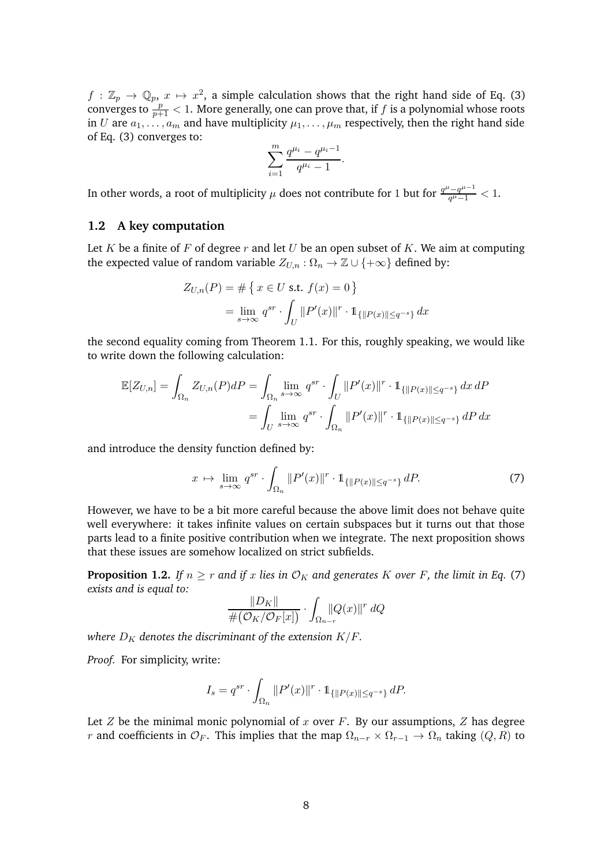$f: \mathbb{Z}_p \to \mathbb{Q}_p$ ,  $x \mapsto x^2$ , a simple calculation shows that the right hand side of Eq. [\(3\)](#page-6-4) converges to  $\frac{p}{p+1} < 1$ . More generally, one can prove that, if f is a polynomial whose roots in U are  $a_1, \ldots, a_m$  and have multiplicity  $\mu_1, \ldots, \mu_m$  respectively, then the right hand side of Eq. [\(3\)](#page-6-4) converges to:

$$
\sum_{i=1}^{m} \frac{q^{\mu_i} - q^{\mu_i - 1}}{q^{\mu_i} - 1}.
$$

In other words, a root of multiplicity  $\mu$  does not contribute for 1 but for  $\frac{q^{\mu}-q^{\mu-1}}{q^{\mu}-1}$  $\frac{q^{\mu}-q^{\mu-1}}{q^{\mu}-1}<1.$ 

## <span id="page-7-0"></span>**1.2 A key computation**

Let K be a finite of F of degree  $r$  and let U be an open subset of K. We aim at computing the expected value of random variable  $Z_{U,n}$  :  $\Omega_n \to \mathbb{Z} \cup \{+\infty\}$  defined by:

$$
Z_{U,n}(P) = \# \{ x \in U \text{ s.t. } f(x) = 0 \}
$$
  
=  $\lim_{s \to \infty} q^{sr} \cdot \int_U ||P'(x)||^r \cdot 1_{\{||P(x)|| \le q^{-s}\}} dx$ 

the second equality coming from Theorem [1.1.](#page-6-3) For this, roughly speaking, we would like to write down the following calculation:

$$
\mathbb{E}[Z_{U,n}] = \int_{\Omega_n} Z_{U,n}(P) dP = \int_{\Omega_n} \lim_{s \to \infty} q^{sr} \cdot \int_U ||P'(x)||^r \cdot \mathbb{1}_{\{||P(x)|| \le q^{-s}\}} dx dP
$$

$$
= \int_U \lim_{s \to \infty} q^{sr} \cdot \int_{\Omega_n} ||P'(x)||^r \cdot \mathbb{1}_{\{||P(x)|| \le q^{-s}\}} dP dx
$$

and introduce the density function defined by:

<span id="page-7-1"></span>
$$
x \mapsto \lim_{s \to \infty} q^{sr} \cdot \int_{\Omega_n} ||P'(x)||^r \cdot \mathbb{1}_{\{||P(x)|| \le q^{-s}\}} dP. \tag{7}
$$

However, we have to be a bit more careful because the above limit does not behave quite well everywhere: it takes infinite values on certain subspaces but it turns out that those parts lead to a finite positive contribution when we integrate. The next proposition shows that these issues are somehow localized on strict subfields.

<span id="page-7-2"></span>**Proposition 1.2.** *If*  $n \geq r$  *and if* x *lies in*  $\mathcal{O}_K$  *and generates* K *over* F, *the limit in Eq.* [\(7\)](#page-7-1) *exists and is equal to:*

$$
\frac{\|D_K\|}{\# \big(\mathcal{O}_K/\mathcal{O}_F[x]\big)} \cdot \int_{\Omega_{n-r}} \!\!\!\!\! \|Q(x)\|^r \ dQ
$$

*where*  $D_K$  *denotes the discriminant of the extension*  $K/F$ *.* 

*Proof.* For simplicity, write:

$$
I_s = q^{sr} \cdot \int_{\Omega_n} ||P'(x)||^r \cdot 1_{\{||P(x)|| \le q^{-s}\}} dP.
$$

Let  $Z$  be the minimal monic polynomial of  $x$  over  $F$ . By our assumptions,  $Z$  has degree r and coefficients in  $\mathcal{O}_F$ . This implies that the map  $\Omega_{n-r} \times \Omega_{r-1} \to \Omega_n$  taking  $(Q, R)$  to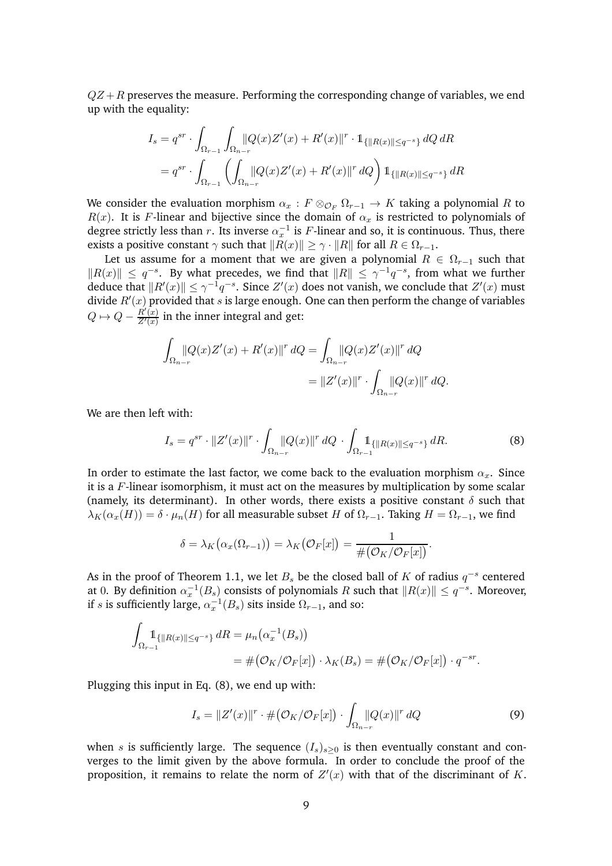$QZ + R$  preserves the measure. Performing the corresponding change of variables, we end up with the equality:

$$
I_s = q^{sr} \cdot \int_{\Omega_{r-1}} \int_{\Omega_{n-r}} |Q(x)Z'(x) + R'(x)||^r \cdot \mathbb{1}_{\{|R(x)|| \le q^{-s}\}} dQ dR
$$
  
=  $q^{sr} \cdot \int_{\Omega_{r-1}} \left( \int_{\Omega_{n-r}} |Q(x)Z'(x) + R'(x)||^r dQ \right) \mathbb{1}_{\{|R(x)|| \le q^{-s}\}} dR$ 

We consider the evaluation morphism  $\alpha_x : F \otimes_{\mathcal{O}_F} \Omega_{r-1} \to K$  taking a polynomial R to  $R(x)$ . It is F-linear and bijective since the domain of  $\alpha_x$  is restricted to polynomials of degree strictly less than r. Its inverse  $\alpha_x^{-1}$  is F-linear and so, it is continuous. Thus, there exists a positive constant  $\gamma$  such that  $||R(x)|| \geq \gamma \cdot ||R||$  for all  $R \in \Omega_{r-1}$ .

Let us assume for a moment that we are given a polynomial  $R \in \Omega_{r-1}$  such that  $||R(x)|| \leq q^{-s}$ . By what precedes, we find that  $||R|| \leq \gamma^{-1}q^{-s}$ , from what we further deduce that  $||R'(x)|| \leq \gamma^{-1}q^{-s}$ . Since  $Z'(x)$  does not vanish, we conclude that  $Z'(x)$  must divide  $R'(x)$  provided that s is large enough. One can then perform the change of variables  $Q \mapsto Q - \frac{R'(x)}{Z'(x)}$  in the inner integral and get:

$$
\int_{\Omega_{n-r}} |Q(x)Z'(x) + R'(x)||^r dQ = \int_{\Omega_{n-r}} |Q(x)Z'(x)||^r dQ
$$
  
=  $||Z'(x)||^r \cdot \int_{\Omega_{n-r}} |Q(x)||^r dQ$ .

We are then left with:

<span id="page-8-0"></span>
$$
I_s = q^{sr} \cdot ||Z'(x)||^r \cdot \int_{\Omega_{n-r}} ||Q(x)||^r dQ \cdot \int_{\Omega_{r-1}} 1_{\{||R(x)|| \le q^{-s}\}} dR.
$$
 (8)

In order to estimate the last factor, we come back to the evaluation morphism  $\alpha_x$ . Since it is a F-linear isomorphism, it must act on the measures by multiplication by some scalar (namely, its determinant). In other words, there exists a positive constant  $\delta$  such that  $\lambda_K(\alpha_x(H)) = \delta \cdot \mu_n(H)$  for all measurable subset H of  $\Omega_{r-1}$ . Taking  $H = \Omega_{r-1}$ , we find

$$
\delta = \lambda_K(\alpha_x(\Omega_{r-1})) = \lambda_K(\mathcal{O}_F[x]) = \frac{1}{\#(\mathcal{O}_K/\mathcal{O}_F[x])}.
$$

As in the proof of Theorem [1.1,](#page-6-3) we let  $B_s$  be the closed ball of K of radius  $q^{-s}$  centered at 0. By definition  $\alpha_x^{-1}(B_s)$  consists of polynomials R such that  $||R(x)|| \leq q^{-s}$ . Moreover, if s is sufficiently large,  $\alpha_x^{-1}(B_s)$  sits inside  $\Omega_{r-1}$ , and so:

$$
\int_{\Omega_{r-1}} 1_{\{|R(x)||\leq q^{-s}\}} dR = \mu_n(\alpha_x^{-1}(B_s))
$$
  
= 
$$
\#(\mathcal{O}_K/\mathcal{O}_F[x]) \cdot \lambda_K(B_s) = \#(\mathcal{O}_K/\mathcal{O}_F[x]) \cdot q^{-sr}.
$$

Plugging this input in Eq. [\(8\)](#page-8-0), we end up with:

<span id="page-8-1"></span>
$$
I_s = \|Z'(x)\|^{r} \cdot \# \big(\mathcal{O}_K/\mathcal{O}_F[x]\big) \cdot \int_{\Omega_{n-r}} |Q(x)|^{r} dQ \tag{9}
$$

when s is sufficiently large. The sequence  $(I_s)_{s>0}$  is then eventually constant and converges to the limit given by the above formula. In order to conclude the proof of the proposition, it remains to relate the norm of  $Z'(x)$  with that of the discriminant of K.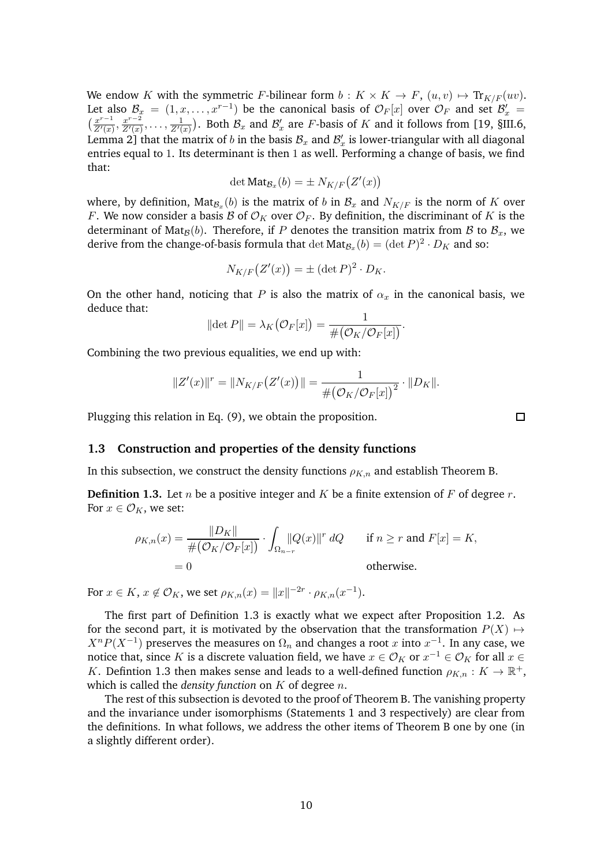We endow K with the symmetric F-bilinear form  $b: K \times K \to F$ ,  $(u, v) \mapsto \text{Tr}_{K/F}(uv)$ . Let also  $\mathcal{B}_x = (1, x, \dots, x^{r-1})$  be the canonical basis of  $\mathcal{O}_F[x]$  over  $\mathcal{O}_F$  and set  $\mathcal{B}'_x$  =  $\left(\frac{x^{r-1}}{Z'(x)}\right)$  $\frac{x^{r-1}}{Z'(x)}, \frac{x^{r-2}}{Z'(x)}$  $\frac{x^{r-2}}{Z'(x)}, \ldots, \frac{1}{Z'(x)}$ ). Both  $\mathcal{B}_x$  and  $\mathcal{B}'_x$  are F-basis of K and it follows from [\[19,](#page-42-3) §III.6, Lemma 2] that the matrix of b in the basis  $B_x$  and  $B'_x$  is lower-triangular with all diagonal entries equal to 1. Its determinant is then 1 as well. Performing a change of basis, we find that:

$$
\det \mathrm{Mat}_{\mathcal{B}_x}(b) = \pm \, N_{K/F}\bigl(Z'(x)\bigr)
$$

where, by definition,  $\text{Mat}_{\mathcal{B}_x}(b)$  is the matrix of  $b$  in  $\mathcal{B}_x$  and  $N_{K/F}$  is the norm of  $K$  over F. We now consider a basis B of  $\mathcal{O}_K$  over  $\mathcal{O}_F$ . By definition, the discriminant of K is the determinant of Mat<sub>B</sub>(b). Therefore, if P denotes the transition matrix from B to  $\mathcal{B}_x$ , we derive from the change-of-basis formula that  $\det Mat_{\mathcal{B}_x}(b) = (\det P)^2 \cdot D_K$  and so:

$$
N_{K/F}(Z'(x)) = \pm (\det P)^2 \cdot D_K.
$$

On the other hand, noticing that P is also the matrix of  $\alpha_x$  in the canonical basis, we deduce that:

$$
\|\det P\| = \lambda_K(\mathcal{O}_F[x]) = \frac{1}{\#(\mathcal{O}_K/\mathcal{O}_F[x])}.
$$

Combining the two previous equalities, we end up with:

$$
||Z'(x)||^r = ||N_{K/F}(Z'(x))|| = \frac{1}{\#(O_K/O_F[x])^2} \cdot ||D_K||.
$$

Plugging this relation in Eq. [\(9\)](#page-8-1), we obtain the proposition.

## <span id="page-9-0"></span>**1.3 Construction and properties of the density functions**

In this subsection, we construct the density functions  $\rho_{K,n}$  and establish Theorem [B.](#page-1-0)

<span id="page-9-1"></span>**Definition 1.3.** Let n be a positive integer and K be a finite extension of F of degree r. For  $x \in \mathcal{O}_K$ , we set:

$$
\rho_{K,n}(x) = \frac{\|D_K\|}{\#(O_K/O_F[x])} \cdot \int_{\Omega_{n-r}} |Q(x)|^r \, dQ \qquad \text{if } n \ge r \text{ and } F[x] = K,
$$

$$
= 0 \qquad \text{otherwise.}
$$

For  $x \in K$ ,  $x \notin \mathcal{O}_K$ , we set  $\rho_{K,n}(x) = ||x||^{-2r} \cdot \rho_{K,n}(x^{-1})$ .

The first part of Definition [1.3](#page-9-1) is exactly what we expect after Proposition [1.2.](#page-7-2) As for the second part, it is motivated by the observation that the transformation  $P(X) \rightarrow$  $X^{n}P(X^{-1})$  preserves the measures on  $\Omega_{n}$  and changes a root  $x$  into  $x^{-1}$ . In any case, we notice that, since K is a discrete valuation field, we have  $x \in \mathcal{O}_K$  or  $x^{-1} \in \mathcal{O}_K$  for all  $x \in$ K. Defintion [1.3](#page-9-1) then makes sense and leads to a well-defined function  $\rho_{K,n}: K \to \mathbb{R}^+$ , which is called the *density function* on K of degree n.

The rest of this subsection is devoted to the proof of Theorem [B.](#page-1-0) The vanishing property and the invariance under isomorphisms (Statements 1 and 3 respectively) are clear from the definitions. In what follows, we address the other items of Theorem [B](#page-1-0) one by one (in a slightly different order).

 $\Box$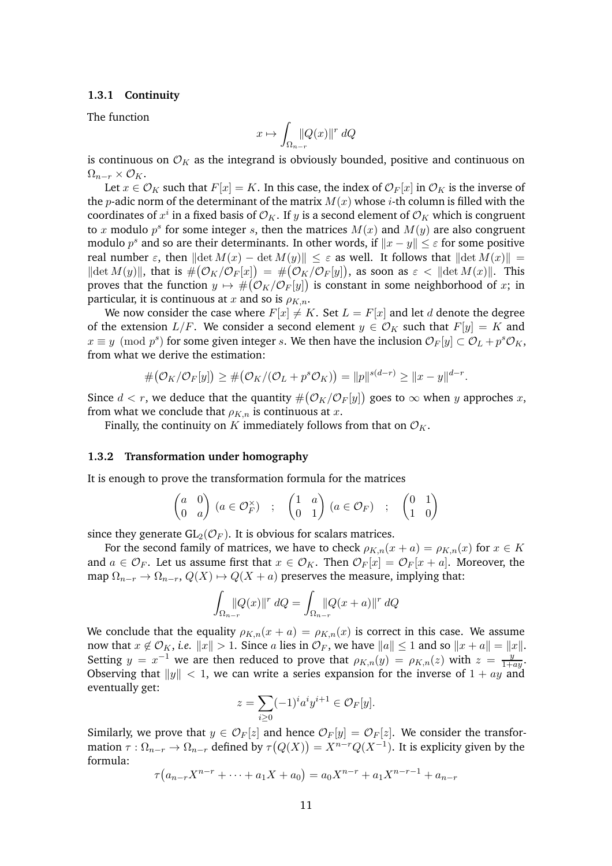#### <span id="page-10-0"></span>**1.3.1 Continuity**

The function

$$
x \mapsto \int_{\Omega_{n-r}} |Q(x)|^r dQ
$$

is continuous on  $\mathcal{O}_K$  as the integrand is obviously bounded, positive and continuous on  $\Omega_{n-r} \times \mathcal{O}_K$ .

Let  $x \in \mathcal{O}_K$  such that  $F[x] = K$ . In this case, the index of  $\mathcal{O}_F[x]$  in  $\mathcal{O}_K$  is the inverse of the *p*-adic norm of the determinant of the matrix  $M(x)$  whose *i*-th column is filled with the coordinates of  $x^i$  in a fixed basis of  $\mathcal{O}_K$ . If  $y$  is a second element of  $\mathcal{O}_K$  which is congruent to x modulo  $p^s$  for some integer s, then the matrices  $M(x)$  and  $M(y)$  are also congruent modulo  $p^s$  and so are their determinants. In other words, if  $||x - y|| \leq \varepsilon$  for some positive real number  $\varepsilon$ , then  $\|\det M(x) - \det M(y)\| \leq \varepsilon$  as well. It follows that  $\|\det M(x)\| =$  $\|\det M(y)\|$ , that is  $\#(\mathcal{O}_K/\mathcal{O}_F[x]) = \#(\mathcal{O}_K/\mathcal{O}_F[y])$ , as soon as  $\varepsilon < \|\det M(x)\|$ . This proves that the function  $y \mapsto \#( \mathcal{O}_K / \mathcal{O}_F [y])$  is constant in some neighborhood of  $x;$  in particular, it is continuous at x and so is  $\rho_{K,n}$ .

We now consider the case where  $F[x] \neq K$ . Set  $L = F[x]$  and let d denote the degree of the extension  $L/F$ . We consider a second element  $y \in \mathcal{O}_K$  such that  $F[y] = K$  and  $x \equiv y \pmod{p^s}$  for some given integer s. We then have the inclusion  $\mathcal{O}_F[y] \subset \mathcal{O}_L + p^s \mathcal{O}_K$ , from what we derive the estimation:

$$
\#(\mathcal{O}_K/\mathcal{O}_F[y]) \geq \#(\mathcal{O}_K/(\mathcal{O}_L+p^s\mathcal{O}_K)) = ||p||^{s(d-r)} \geq ||x-y||^{d-r}.
$$

Since  $d < r$ , we deduce that the quantity  $\#(\mathcal{O}_K/\mathcal{O}_F[y])$  goes to  $\infty$  when y approches x, from what we conclude that  $\rho_{K,n}$  is continuous at x.

Finally, the continuity on K immediately follows from that on  $\mathcal{O}_K$ .

#### <span id="page-10-1"></span>**1.3.2 Transformation under homography**

It is enough to prove the transformation formula for the matrices

$$
\begin{pmatrix} a & 0 \\ 0 & a \end{pmatrix} (a \in \mathcal{O}_F^{\times}) \quad ; \quad \begin{pmatrix} 1 & a \\ 0 & 1 \end{pmatrix} (a \in \mathcal{O}_F) \quad ; \quad \begin{pmatrix} 0 & 1 \\ 1 & 0 \end{pmatrix}
$$

since they generate  $GL_2(\mathcal{O}_F)$ . It is obvious for scalars matrices.

For the second family of matrices, we have to check  $\rho_{K,n}(x + a) = \rho_{K,n}(x)$  for  $x \in K$ and  $a \in \mathcal{O}_F$ . Let us assume first that  $x \in \mathcal{O}_K$ . Then  $\mathcal{O}_F[x] = \mathcal{O}_F[x + a]$ . Moreover, the map  $\Omega_{n-r} \to \Omega_{n-r}$ ,  $Q(X) \to Q(X + a)$  preserves the measure, implying that:

$$
\int_{\Omega_{n-r}}\n\left\|Q(x)\right\|^r dQ = \int_{\Omega_{n-r}}\n\left\|Q(x+a)\right\|^r dQ
$$

We conclude that the equality  $\rho_{K,n}(x + a) = \rho_{K,n}(x)$  is correct in this case. We assume now that  $x \notin \mathcal{O}_K$ , *i.e.*  $||x|| > 1$ . Since a lies in  $\mathcal{O}_F$ , we have  $||a|| \leq 1$  and so  $||x + a|| = ||x||$ . Setting  $y = x^{-1}$  we are then reduced to prove that  $\rho_{K,n}(y) = \rho_{K,n}(z)$  with  $z = \frac{y}{1+y}$  $\frac{y}{1+ay}$ . Observing that  $||y|| < 1$ , we can write a series expansion for the inverse of  $1 + ay$  and eventually get:

$$
z = \sum_{i \geq 0} (-1)^i a^i y^{i+1} \in \mathcal{O}_F[y].
$$

Similarly, we prove that  $y \in \mathcal{O}_F[z]$  and hence  $\mathcal{O}_F[y] = \mathcal{O}_F[z]$ . We consider the transformation  $\tau : \Omega_{n-r} \to \Omega_{n-r}$  defined by  $\tau(Q(X)) = X^{n-r}Q(X^{-1})$ . It is explicity given by the formula:

$$
\tau(a_{n-r}X^{n-r} + \dots + a_1X + a_0) = a_0X^{n-r} + a_1X^{n-r-1} + a_{n-r}
$$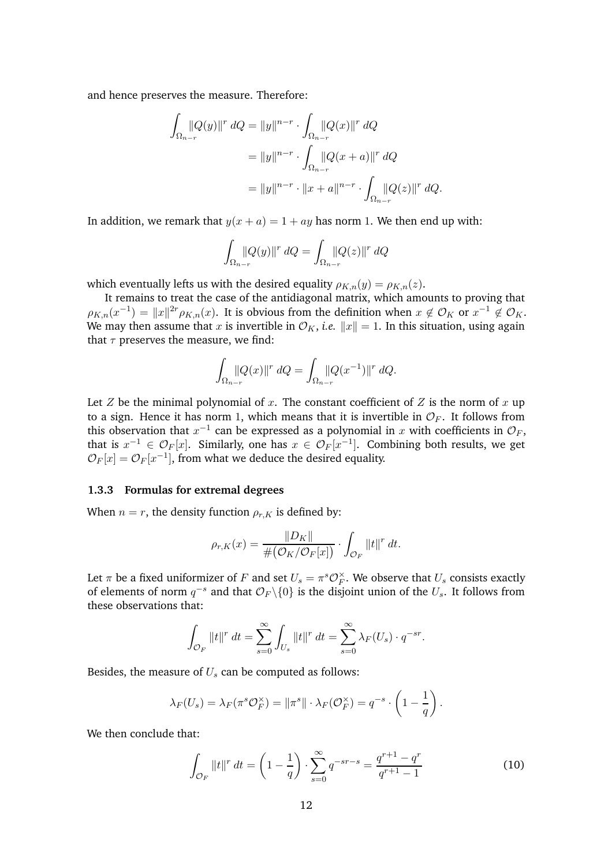and hence preserves the measure. Therefore:

$$
\int_{\Omega_{n-r}} \|Q(y)\|^r \, dQ = \|y\|^{n-r} \cdot \int_{\Omega_{n-r}} \|Q(x)\|^r \, dQ
$$
\n
$$
= \|y\|^{n-r} \cdot \int_{\Omega_{n-r}} \|Q(x+a)\|^r \, dQ
$$
\n
$$
= \|y\|^{n-r} \cdot \|x+a\|^{n-r} \cdot \int_{\Omega_{n-r}} \|Q(z)\|^r \, dQ.
$$

In addition, we remark that  $y(x + a) = 1 + ay$  has norm 1. We then end up with:

$$
\int_{\Omega_{n-r}} |Q(y)|^r dQ = \int_{\Omega_{n-r}} |Q(z)|^r dQ
$$

which eventually lefts us with the desired equality  $\rho_{K,n}(y) = \rho_{K,n}(z)$ .

It remains to treat the case of the antidiagonal matrix, which amounts to proving that  $\rho_{K,n}(x^{-1}) = ||x||^{2r} \rho_{K,n}(x)$ . It is obvious from the definition when  $x \notin \mathcal{O}_K$  or  $x^{-1} \notin \mathcal{O}_K$ . We may then assume that x is invertible in  $\mathcal{O}_K$ , *i.e.*  $||x|| = 1$ . In this situation, using again that  $\tau$  preserves the measure, we find:

$$
\int_{\Omega_{n-r}} |Q(x)|^r \, dQ = \int_{\Omega_{n-r}} |Q(x^{-1})|^{r} \, dQ.
$$

Let  $Z$  be the minimal polynomial of  $x$ . The constant coefficient of  $Z$  is the norm of  $x$  up to a sign. Hence it has norm 1, which means that it is invertible in  $\mathcal{O}_F$ . It follows from this observation that  $x^{-1}$  can be expressed as a polynomial in x with coefficients in  $\mathcal{O}_F$ , that is  $x^{-1} \in \mathcal{O}_F[x]$ . Similarly, one has  $x \in \mathcal{O}_F[x^{-1}]$ . Combining both results, we get  $\mathcal{O}_F[x] = \mathcal{O}_F[x^{-1}]$ , from what we deduce the desired equality.

#### <span id="page-11-0"></span>**1.3.3 Formulas for extremal degrees**

When  $n = r$ , the density function  $\rho_{r,K}$  is defined by:

$$
\rho_{r,K}(x) = \frac{\|D_K\|}{\#(\mathcal{O}_K/\mathcal{O}_F[x])} \cdot \int_{\mathcal{O}_F} ||t||^r dt.
$$

Let  $\pi$  be a fixed uniformizer of F and set  $U_s = \pi^s \mathcal{O}_F^{\times}$  $_{F}^{\times}.$  We observe that  $U_{s}$  consists exactly of elements of norm  $q^{-s}$  and that  $\mathcal{O}_F \backslash \{0\}$  is the disjoint union of the  $U_s$ . It follows from these observations that:

$$
\int_{\mathcal{O}_F} ||t||^r dt = \sum_{s=0}^{\infty} \int_{U_s} ||t||^r dt = \sum_{s=0}^{\infty} \lambda_F(U_s) \cdot q^{-sr}.
$$

Besides, the measure of  $U_s$  can be computed as follows:

$$
\lambda_F(U_s) = \lambda_F(\pi^s \mathcal{O}_F^{\times}) = \|\pi^s\| \cdot \lambda_F(\mathcal{O}_F^{\times}) = q^{-s} \cdot \left(1 - \frac{1}{q}\right).
$$

We then conclude that:

<span id="page-11-1"></span>
$$
\int_{\mathcal{O}_F} ||t||^r \, dt = \left(1 - \frac{1}{q}\right) \cdot \sum_{s=0}^{\infty} q^{-sr-s} = \frac{q^{r+1} - q^r}{q^{r+1} - 1} \tag{10}
$$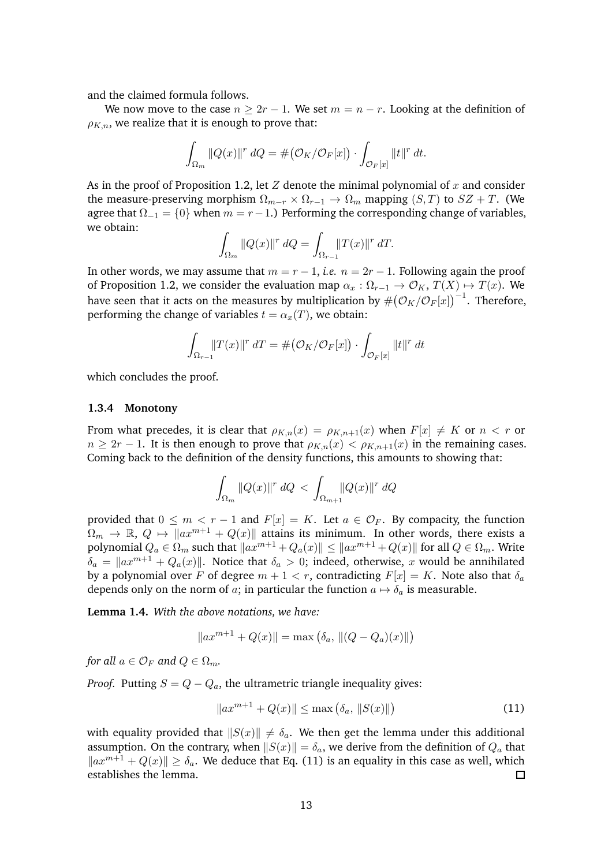and the claimed formula follows.

We now move to the case  $n > 2r - 1$ . We set  $m = n - r$ . Looking at the definition of  $\rho_{K,n}$ , we realize that it is enough to prove that:

$$
\int_{\Omega_m} ||Q(x)||^r dQ = \# \big(\mathcal{O}_K / \mathcal{O}_F[x]\big) \cdot \int_{\mathcal{O}_F[x]} ||t||^r dt.
$$

As in the proof of Proposition [1.2,](#page-7-2) let  $Z$  denote the minimal polynomial of  $x$  and consider the measure-preserving morphism  $\Omega_{m-r} \times \Omega_{r-1} \to \Omega_m$  mapping  $(S, T)$  to  $SZ + T$ . (We agree that  $\Omega_{-1} = \{0\}$  when  $m = r - 1$ .) Performing the corresponding change of variables, we obtain:

$$
\int_{\Omega_m} ||Q(x)||^r dQ = \int_{\Omega_{r-1}} ||T(x)||^r dT.
$$

In other words, we may assume that  $m = r - 1$ , *i.e.*  $n = 2r - 1$ . Following again the proof of Proposition [1.2,](#page-7-2) we consider the evaluation map  $\alpha_x : \Omega_{x-1} \to \mathcal{O}_K$ ,  $T(X) \mapsto T(x)$ . We have seen that it acts on the measures by multiplication by  $\#( \mathcal{O}_K/\mathcal{O}_F[x])^{-1}$ . Therefore, performing the change of variables  $t = \alpha_x(T)$ , we obtain:

$$
\int_{\Omega_{r-1}} ||T(x)||^r \, dT = \# \big(\mathcal{O}_K / \mathcal{O}_F[x]\big) \cdot \int_{\mathcal{O}_F[x]} ||t||^r \, dt
$$

which concludes the proof.

#### **1.3.4 Monotony**

From what precedes, it is clear that  $\rho_{K,n}(x) = \rho_{K,n+1}(x)$  when  $F[x] \neq K$  or  $n < r$  or  $n \geq 2r - 1$ . It is then enough to prove that  $\rho_{K,n}(x) < \rho_{K,n+1}(x)$  in the remaining cases. Coming back to the definition of the density functions, this amounts to showing that:

$$
\int_{\Omega_m} \|Q(x)\|^r \, dQ \, \leq \, \int_{\Omega_{m+1}} \|Q(x)\|^r \, dQ
$$

provided that  $0 \leq m < r - 1$  and  $F[x] = K$ . Let  $a \in \mathcal{O}_F$ . By compacity, the function  $\Omega_m \to \mathbb{R}, Q \mapsto \|ax^{m+1} + Q(x)\|$  attains its minimum. In other words, there exists a polynomial  $Q_a \in \Omega_m$  such that  $\|ax^{m+1} + Q_a(x)\| \leq \|ax^{m+1} + Q(x)\|$  for all  $Q \in \Omega_m$ . Write  $\delta_a = ||ax^{m+1} + Q_a(x)||$ . Notice that  $\delta_a > 0$ ; indeed, otherwise, x would be annihilated by a polynomial over F of degree  $m + 1 < r$ , contradicting  $F[x] = K$ . Note also that  $\delta_a$ depends only on the norm of a; in particular the function  $a \mapsto \delta_a$  is measurable.

**Lemma 1.4.** *With the above notations, we have:*

$$
||ax^{m+1} + Q(x)|| = \max (\delta_a, ||(Q - Q_a)(x)||)
$$

*for all*  $a \in \mathcal{O}_F$  *and*  $Q \in \Omega_m$ *.* 

*Proof.* Putting  $S = Q - Q_a$ , the ultrametric triangle inequality gives:

<span id="page-12-0"></span>
$$
||ax^{m+1} + Q(x)|| \le \max(\delta_a, ||S(x)||)
$$
 (11)

with equality provided that  $||S(x)|| \neq \delta_a$ . We then get the lemma under this additional assumption. On the contrary, when  $||S(x)|| = \delta_a$ , we derive from the definition of  $Q_a$  that  $\|ax^{m+1} + Q(x)\| \ge \delta_a$ . We deduce that Eq. [\(11\)](#page-12-0) is an equality in this case as well, which establishes the lemma establishes the lemma.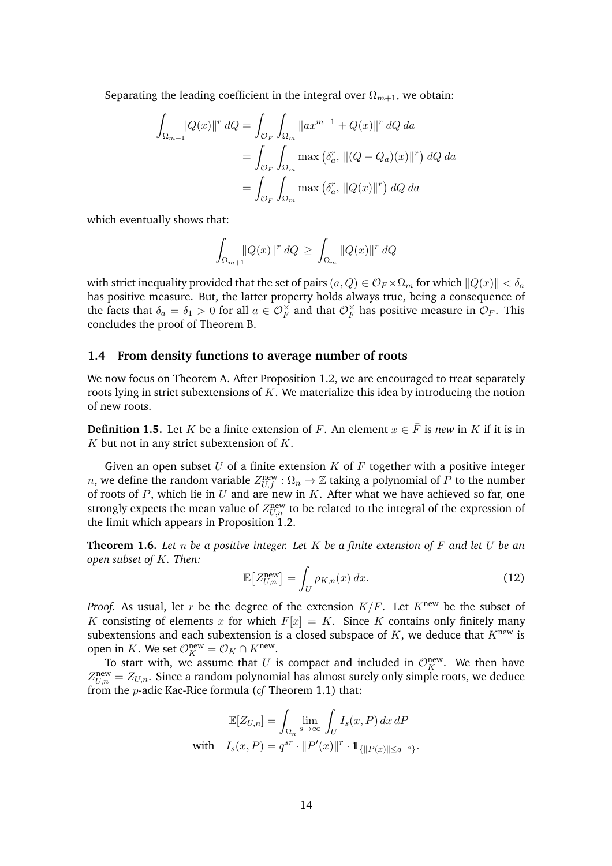Separating the leading coefficient in the integral over  $\Omega_{m+1}$ , we obtain:

$$
\int_{\Omega_{m+1}} |Q(x)|^r dQ = \int_{\mathcal{O}_F} \int_{\Omega_m} \|ax^{m+1} + Q(x)\|^r dQ da
$$

$$
= \int_{\mathcal{O}_F} \int_{\Omega_m} \max (\delta_a^r, \|(Q - Q_a)(x)\|^r) dQ da
$$

$$
= \int_{\mathcal{O}_F} \int_{\Omega_m} \max (\delta_a^r, \|Q(x)\|^r) dQ da
$$

which eventually shows that:

$$
\int_{\Omega_{m+1}}\!\|\,Q(x)\,\|^r\,dQ\,\geq\,\int_{\Omega_m}\,\|Q(x)\,\|^r\,dQ
$$

with strict inequality provided that the set of pairs  $(a, Q) \in \mathcal{O}_F \times \Omega_m$  for which  $||Q(x)|| < \delta_a$ has positive measure. But, the latter property holds always true, being a consequence of the facts that  $\delta_a = \delta_1 > 0$  for all  $a \in \mathcal{O}_F^{\times}$  and that  $\mathcal{O}_F^{\times}$  $\frac{\times}{F}$  has positive measure in  $\mathcal{O}_F$ . This concludes the proof of Theorem [B.](#page-1-0)

#### <span id="page-13-0"></span>**1.4 From density functions to average number of roots**

We now focus on Theorem [A.](#page-1-1) After Proposition [1.2,](#page-7-2) we are encouraged to treat separately roots lying in strict subextensions of  $K$ . We materialize this idea by introducing the notion of new roots.

<span id="page-13-3"></span>**Definition 1.5.** Let K be a finite extension of F. An element  $x \in \overline{F}$  is *new* in K if it is in  $K$  but not in any strict subextension of  $K$ .

Given an open subset U of a finite extension K of F together with a positive integer n, we define the random variable  $Z_{U,f}^{\text{new}} : \Omega_n \to \mathbb{Z}$  taking a polynomial of P to the number of roots of  $P$ , which lie in  $U$  and are new in  $K$ . After what we have achieved so far, one strongly expects the mean value of  $Z_{U,n}^{\text{new}}$  to be related to the integral of the expression of the limit which appears in Proposition [1.2.](#page-7-2)

<span id="page-13-1"></span>**Theorem 1.6.** *Let* n *be a positive integer. Let* K *be a finite extension of* F *and let* U *be an open subset of* K*. Then:*

<span id="page-13-2"></span>
$$
\mathbb{E}\left[Z_{U,n}^{\text{new}}\right] = \int_{U} \rho_{K,n}(x) \, dx. \tag{12}
$$

*Proof.* As usual, let r be the degree of the extension  $K/F$ . Let  $K^{new}$  be the subset of K consisting of elements x for which  $F[x] = K$ . Since K contains only finitely many subextensions and each subextension is a closed subspace of  $K$ , we deduce that  $K^{new}$  is open in K. We set  $\mathcal{O}_K^{\text{new}} = \mathcal{O}_K \cap K^{\text{new}}$ .

To start with, we assume that U is compact and included in  $\mathcal{O}_K^{\text{new}}$ . We then have  $Z_{U,n}^{\text{new}} = Z_{U,n}$ . Since a random polynomial has almost surely only simple roots, we deduce from the p-adic Kac-Rice formula (*cf* Theorem [1.1\)](#page-6-3) that:

$$
\mathbb{E}[Z_{U,n}] = \int_{\Omega_n} \lim_{s \to \infty} \int_U I_s(x, P) dx dP
$$
  
with 
$$
I_s(x, P) = q^{sr} \cdot ||P'(x)||^r \cdot \mathbb{1}_{\{||P(x)|| \le q^{-s}\}}.
$$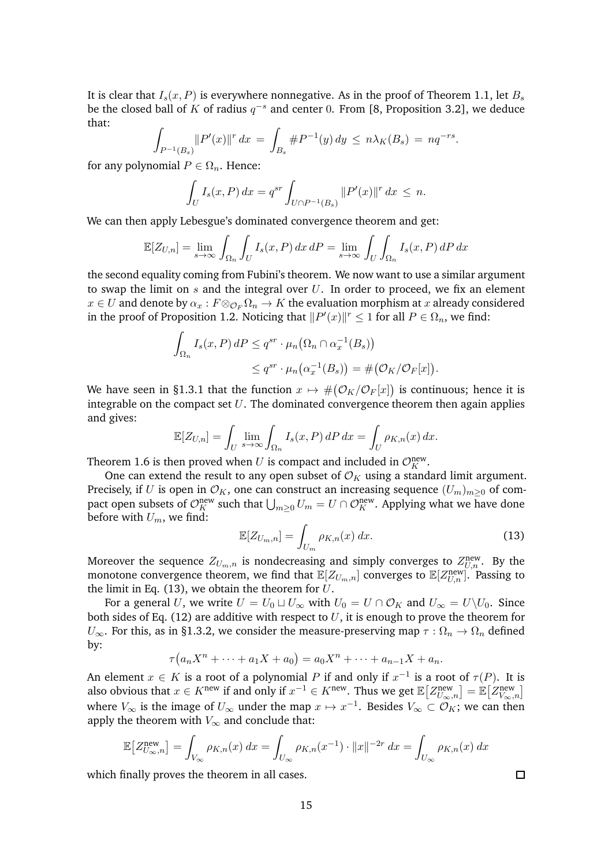It is clear that  $I_s(x, P)$  is everywhere nonnegative. As in the proof of Theorem [1.1,](#page-6-3) let  $B_s$ be the closed ball of K of radius  $q^{-s}$  and center 0. From [\[8,](#page-41-5) Proposition 3.2], we deduce that:

$$
\int_{P^{-1}(B_s)} \|P'(x)\|^r \, dx = \int_{B_s} \#P^{-1}(y) \, dy \leq n \lambda_K(B_s) = nq^{-rs}
$$

.

for any polynomial  $P \in \Omega_n$ . Hence:

$$
\int_{U} I_{s}(x, P) dx = q^{sr} \int_{U \cap P^{-1}(B_{s})} ||P'(x)||^{r} dx \leq n.
$$

We can then apply Lebesgue's dominated convergence theorem and get:

$$
\mathbb{E}[Z_{U,n}] = \lim_{s \to \infty} \int_{\Omega_n} \int_U I_s(x, P) \, dx \, dP = \lim_{s \to \infty} \int_U \int_{\Omega_n} I_s(x, P) \, dP \, dx
$$

the second equality coming from Fubini's theorem. We now want to use a similar argument to swap the limit on  $s$  and the integral over  $U$ . In order to proceed, we fix an element  $x \in U$  and denote by  $\alpha_x : F \otimes_{\mathcal{O}_F} \Omega_n \to K$  the evaluation morphism at x already considered in the proof of Proposition [1.2.](#page-7-2) Noticing that  $||P'(x)||^r \le 1$  for all  $P \in \Omega_n$ , we find:

$$
\int_{\Omega_n} I_s(x, P) dP \le q^{sr} \cdot \mu_n(\Omega_n \cap \alpha_x^{-1}(B_s))
$$
  

$$
\le q^{sr} \cdot \mu_n(\alpha_x^{-1}(B_s)) = \#(\mathcal{O}_K/\mathcal{O}_F[x]).
$$

We have seen in [§1.3.1](#page-10-0) that the function  $x \mapsto #(\mathcal{O}_K/\mathcal{O}_F[x])$  is continuous; hence it is integrable on the compact set  $U$ . The dominated convergence theorem then again applies and gives:

$$
\mathbb{E}[Z_{U,n}] = \int_U \lim_{s \to \infty} \int_{\Omega_n} I_s(x, P) dP dx = \int_U \rho_{K,n}(x) dx.
$$

Theorem [1.6](#page-13-1) is then proved when U is compact and included in  $\mathcal{O}_K^{\text{new}}$ .

One can extend the result to any open subset of  $\mathcal{O}_K$  using a standard limit argument. Precisely, if U is open in  $\mathcal{O}_K$ , one can construct an increasing sequence  $(U_m)_{m\geq 0}$  of compact open subsets of  $\mathcal{O}_K^{\text{new}}$  such that  $\bigcup_{m\geq 0} U_m = U \cap \mathcal{O}_K^{\text{new}}$ . Applying what we have done before with  $U_m$ , we find:

<span id="page-14-0"></span>
$$
\mathbb{E}[Z_{U_m,n}] = \int_{U_m} \rho_{K,n}(x) dx.
$$
 (13)

Moreover the sequence  $Z_{U_m,n}$  is nondecreasing and simply converges to  $Z_{U,n}^{\rm new}$ . By the monotone convergence theorem, we find that  $\mathbb{E}[Z_{U_m,n}]$  converges to  $\mathbb{E}[Z_{U,n}^{\text{new}}]$ . Passing to the limit in Eq. [\(13\)](#page-14-0), we obtain the theorem for  $U$ .

For a general U, we write  $U = U_0 \sqcup U_\infty$  with  $U_0 = U \cap \mathcal{O}_K$  and  $U_\infty = U \setminus U_0$ . Since both sides of Eq. [\(12\)](#page-13-2) are additive with respect to  $U$ , it is enough to prove the theorem for  $U_{\infty}$ . For this, as in [§1.3.2,](#page-10-1) we consider the measure-preserving map  $\tau : \Omega_n \to \Omega_n$  defined by:

$$
\tau(a_nX^n + \dots + a_1X + a_0) = a_0X^n + \dots + a_{n-1}X + a_n.
$$

An element  $x \in K$  is a root of a polynomial P if and only if  $x^{-1}$  is a root of  $\tau(P)$ . It is also obvious that  $x \in K^{\text{new}}$  if and only if  $x^{-1} \in K^{\text{new}}$ . Thus we get  $\mathbb{E}\left[Z_{U_{\infty},n}^{\text{new}}\right] = \mathbb{E}\left[Z_{V_{\infty},n}^{\text{new}}\right]$ where  $V_{\infty}$  is the image of  $U_{\infty}$  under the map  $x \mapsto x^{-1}$ . Besides  $V_{\infty} \subset \mathcal{O}_K$ ; we can then apply the theorem with  $V_{\infty}$  and conclude that:

$$
\mathbb{E}\left[Z_{U_{\infty},n}^{\text{new}}\right] = \int_{V_{\infty}} \rho_{K,n}(x) dx = \int_{U_{\infty}} \rho_{K,n}(x^{-1}) \cdot ||x||^{-2r} dx = \int_{U_{\infty}} \rho_{K,n}(x) dx
$$

which finally proves the theorem in all cases.

 $\Box$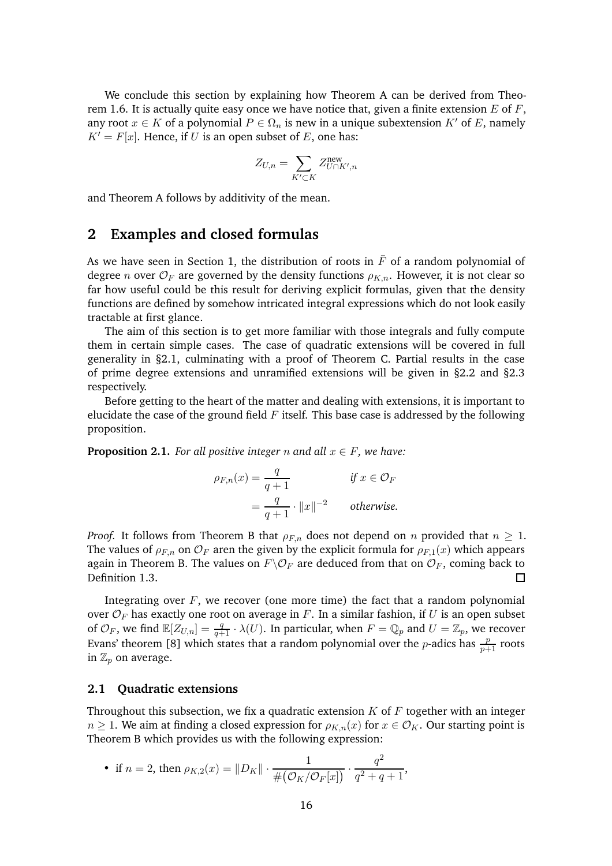We conclude this section by explaining how Theorem [A](#page-1-1) can be derived from Theo-rem [1.6.](#page-13-1) It is actually quite easy once we have notice that, given a finite extension  $E$  of  $F$ , any root  $x \in K$  of a polynomial  $P \in \Omega_n$  is new in a unique subextension  $K'$  of E, namely  $K' = F[x]$ . Hence, if U is an open subset of E, one has:

$$
Z_{U,n} = \sum_{K' \subset K} Z_{U \cap K',n}^{\text{new}}
$$

and Theorem [A](#page-1-1) follows by additivity of the mean.

## <span id="page-15-0"></span>**2 Examples and closed formulas**

As we have seen in Section [1,](#page-5-0) the distribution of roots in  $\bar{F}$  of a random polynomial of degree *n* over  $\mathcal{O}_F$  are governed by the density functions  $\rho_{K,n}$ . However, it is not clear so far how useful could be this result for deriving explicit formulas, given that the density functions are defined by somehow intricated integral expressions which do not look easily tractable at first glance.

The aim of this section is to get more familiar with those integrals and fully compute them in certain simple cases. The case of quadratic extensions will be covered in full generality in [§2.1,](#page-15-1) culminating with a proof of Theorem [C.](#page-2-0) Partial results in the case of prime degree extensions and unramified extensions will be given in [§2.2](#page-18-0) and [§2.3](#page-20-0) respectively.

Before getting to the heart of the matter and dealing with extensions, it is important to elucidate the case of the ground field  $F$  itself. This base case is addressed by the following proposition.

<span id="page-15-2"></span>**Proposition 2.1.** *For all positive integer* n and all  $x \in F$ *, we have:* 

$$
\rho_{F,n}(x) = \frac{q}{q+1}
$$
 if  $x \in \mathcal{O}_F$   
=  $\frac{q}{q+1} \cdot ||x||^{-2}$  otherwise.

*Proof.* It follows from Theorem [B](#page-1-0) that  $\rho_{F,n}$  does not depend on n provided that  $n \geq 1$ . The values of  $\rho_{F,n}$  on  $\mathcal{O}_F$  aren the given by the explicit formula for  $\rho_{F,1}(x)$  which appears again in Theorem [B.](#page-1-0) The values on  $F \backslash \mathcal{O}_F$  are deduced from that on  $\mathcal{O}_F$ , coming back to Definition 1.3. Definition [1.3.](#page-9-1)

Integrating over  $F$ , we recover (one more time) the fact that a random polynomial over  $\mathcal{O}_F$  has exactly one root on average in F. In a similar fashion, if U is an open subset of  $\mathcal{O}_F$ , we find  $\mathbb{E}[Z_{U,n}] = \frac{q}{q+1} \cdot \lambda(U)$ . In particular, when  $F = \mathbb{Q}_p$  and  $U = \mathbb{Z}_p$ , we recover Evans' theorem [\[8\]](#page-41-5) which states that a random polynomial over the *p*-adics has  $\frac{p}{p+1}$  roots in  $\mathbb{Z}_p$  on average.

#### <span id="page-15-1"></span>**2.1 Quadratic extensions**

Throughout this subsection, we fix a quadratic extension  $K$  of  $F$  together with an integer  $n \geq 1$ . We aim at finding a closed expression for  $\rho_{K,n}(x)$  for  $x \in \mathcal{O}_K$ . Our starting point is Theorem [B](#page-1-0) which provides us with the following expression:

• if 
$$
n = 2
$$
, then  $\rho_{K,2}(x) = ||D_K|| \cdot \frac{1}{\#(\mathcal{O}_K/\mathcal{O}_F[x])} \cdot \frac{q^2}{q^2 + q + 1}$ ,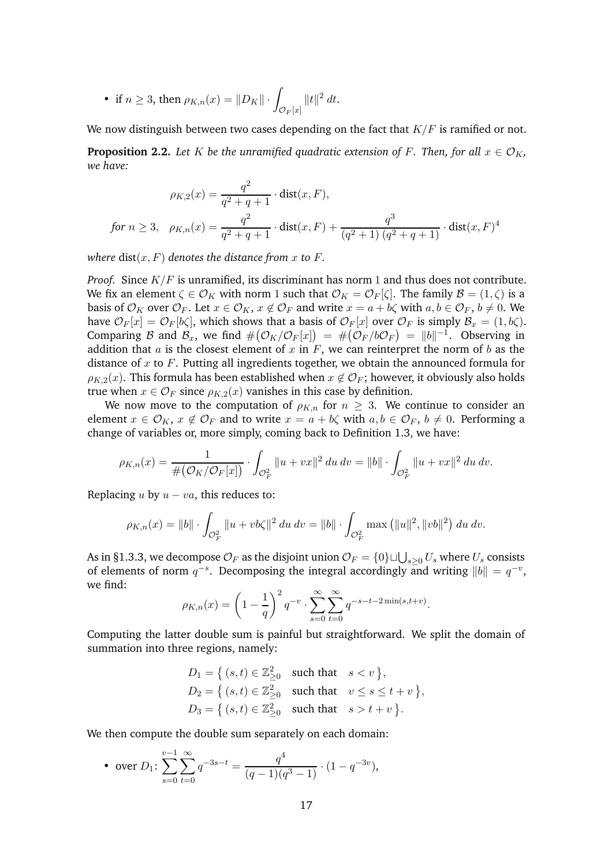• if 
$$
n \ge 3
$$
, then  $\rho_{K,n}(x) = ||D_K|| \cdot \int_{\mathcal{O}_F[x]} ||t||^2 dt$ .

We now distinguish between two cases depending on the fact that  $K/F$  is ramified or not.

<span id="page-16-0"></span>**Proposition 2.2.** *Let* K *be the unramified quadratic extension of* F. Then, for all  $x \in \mathcal{O}_K$ , *we have:*

$$
\rho_{K,2}(x) = \frac{q^2}{q^2 + q + 1} \cdot \text{dist}(x, F),
$$
  
for  $n \ge 3$ ,  $\rho_{K,n}(x) = \frac{q^2}{q^2 + q + 1} \cdot \text{dist}(x, F) + \frac{q^3}{(q^2 + 1)(q^2 + q + 1)} \cdot \text{dist}(x, F)^4$ 

*where*  $dist(x, F)$  *denotes the distance from* x to F.

*Proof.* Since K/F is unramified, its discriminant has norm 1 and thus does not contribute. We fix an element  $\zeta \in \mathcal{O}_K$  with norm 1 such that  $\mathcal{O}_K = \mathcal{O}_F[\zeta]$ . The family  $\mathcal{B} = (1, \zeta)$  is a basis of  $\mathcal{O}_K$  over  $\mathcal{O}_F$ . Let  $x \in \mathcal{O}_K$ ,  $x \notin \mathcal{O}_F$  and write  $x = a + b\zeta$  with  $a, b \in \mathcal{O}_F$ ,  $b \neq 0$ . We have  $\mathcal{O}_F[x] = \mathcal{O}_F[b\zeta]$ , which shows that a basis of  $\mathcal{O}_F[x]$  over  $\mathcal{O}_F$  is simply  $\mathcal{B}_x = (1, b\zeta)$ . Comparing B and  $\mathcal{B}_x$ , we find  $\#(\mathcal{O}_K/\mathcal{O}_F[x]) = \#(\mathcal{O}_F/b\mathcal{O}_F) = ||b||^{-1}$ . Observing in addition that  $a$  is the closest element of  $x$  in  $F$ , we can reinterpret the norm of  $b$  as the distance of  $x$  to  $F$ . Putting all ingredients together, we obtain the announced formula for  $\rho_{K2}(x)$ . This formula has been established when  $x \notin \mathcal{O}_F$ ; however, it obviously also holds true when  $x \in \mathcal{O}_F$  since  $\rho_{K,2}(x)$  vanishes in this case by definition.

We now move to the computation of  $\rho_{K,n}$  for  $n \geq 3$ . We continue to consider an element  $x \in \mathcal{O}_K$ ,  $x \notin \mathcal{O}_F$  and to write  $x = a + b\zeta$  with  $a, b \in \mathcal{O}_F$ ,  $b \neq 0$ . Performing a change of variables or, more simply, coming back to Definition [1.3,](#page-9-1) we have:

$$
\rho_{K,n}(x) = \frac{1}{\#(\mathcal{O}_K/\mathcal{O}_F[x])} \cdot \int_{\mathcal{O}_F^2} ||u + vx||^2 \, du \, dv = ||b|| \cdot \int_{\mathcal{O}_F^2} ||u + vx||^2 \, du \, dv.
$$

Replacing  $u$  by  $u - va$ , this reduces to:

$$
\rho_{K,n}(x) = ||b|| \cdot \int_{\mathcal{O}_F^2} ||u + vb\zeta||^2 \, du \, dv = ||b|| \cdot \int_{\mathcal{O}_F^2} \max \left( ||u||^2, ||vb||^2 \right) \, du \, dv.
$$

As in [§1.3.3,](#page-11-0) we decompose  $\mathcal{O}_F$  as the disjoint union  $\mathcal{O}_F=\{0\}\sqcup\bigcup_{s\geq 0}U_s$  where  $U_s$  consists of elements of norm  $q^{-s}$ . Decomposing the integral accordingly and writing  $||b|| = q^{-v}$ , we find:

$$
\rho_{K,n}(x) = \left(1 - \frac{1}{q}\right)^2 q^{-v} \cdot \sum_{s=0}^{\infty} \sum_{t=0}^{\infty} q^{-s-t-2\min(s,t+v)}.
$$

Computing the latter double sum is painful but straightforward. We split the domain of summation into three regions, namely:

$$
D_1 = \{ (s, t) \in \mathbb{Z}_{\geq 0}^2 \text{ such that } s < v \},
$$
  
\n
$$
D_2 = \{ (s, t) \in \mathbb{Z}_{\geq 0}^2 \text{ such that } v \leq s \leq t + v \},
$$
  
\n
$$
D_3 = \{ (s, t) \in \mathbb{Z}_{\geq 0}^2 \text{ such that } s > t + v \}.
$$

We then compute the double sum separately on each domain:

• over 
$$
D_1
$$
: 
$$
\sum_{s=0}^{v-1} \sum_{t=0}^{\infty} q^{-3s-t} = \frac{q^4}{(q-1)(q^3-1)} \cdot (1-q^{-3v}),
$$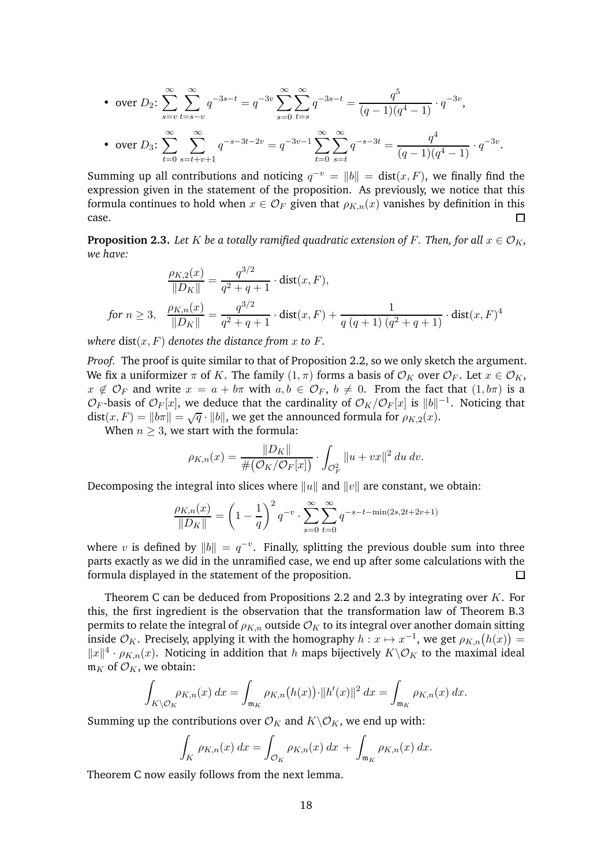• over 
$$
D_2
$$
: 
$$
\sum_{s=v}^{\infty} \sum_{t=s-v}^{\infty} q^{-3s-t} = q^{-3v} \sum_{s=0}^{\infty} \sum_{t=s}^{\infty} q^{-3s-t} = \frac{q^5}{(q-1)(q^4-1)} \cdot q^{-3v},
$$
  
• over  $D_3$ : 
$$
\sum_{t=0}^{\infty} \sum_{s=t+v+1}^{\infty} q^{-s-3t-2v} = q^{-3v-1} \sum_{t=0}^{\infty} \sum_{s=t}^{\infty} q^{-s-3t} = \frac{q^4}{(q-1)(q^4-1)} \cdot q^{-3v}.
$$

Summing up all contributions and noticing  $q^{-v} = ||b|| = \text{dist}(x, F)$ , we finally find the expression given in the statement of the proposition. As previously, we notice that this formula continues to hold when  $x \in \mathcal{O}_F$  given that  $\rho_{K,n}(x)$  vanishes by definition in this case.

<span id="page-17-0"></span>**Proposition 2.3.** Let K be a totally ramified quadratic extension of F. Then, for all  $x \in \mathcal{O}_K$ , *we have:*

$$
\frac{\rho_{K,2}(x)}{\|D_K\|} = \frac{q^{3/2}}{q^2 + q + 1} \cdot \text{dist}(x, F),
$$
\n
$$
\text{for } n \ge 3, \quad \frac{\rho_{K,n}(x)}{\|D_K\|} = \frac{q^{3/2}}{q^2 + q + 1} \cdot \text{dist}(x, F) + \frac{1}{q\left(q + 1\right)\left(q^2 + q + 1\right)} \cdot \text{dist}(x, F)^4
$$

*where*  $dist(x, F)$  *denotes the distance from* x to F.

*Proof.* The proof is quite similar to that of Proposition [2.2,](#page-16-0) so we only sketch the argument. We fix a uniformizer  $\pi$  of K. The family  $(1, \pi)$  forms a basis of  $\mathcal{O}_K$  over  $\mathcal{O}_F$ . Let  $x \in \mathcal{O}_K$ ,  $x \notin \mathcal{O}_F$  and write  $x = a + b\pi$  with  $a, b \in \mathcal{O}_F$ ,  $b \neq 0$ . From the fact that  $(1, b\pi)$  is a  $\mathcal{O}_F$ -basis of  $\mathcal{O}_F[x]$ , we deduce that the cardinality of  $\mathcal{O}_K/\mathcal{O}_F[x]$  is  $||b||^{-1}$ . Noticing that dist $(x, F) = ||b\pi|| = \sqrt{q} \cdot ||b||$ , we get the announced formula for  $\rho_{K,2}(x)$ .

When  $n \geq 3$ , we start with the formula:

$$
\rho_{K,n}(x) = \frac{\|D_K\|}{\#(\mathcal{O}_K/\mathcal{O}_F[x])} \cdot \int_{\mathcal{O}_F^2} \|u + vx\|^2 \, du \, dv.
$$

Decomposing the integral into slices where  $||u||$  and  $||v||$  are constant, we obtain:

$$
\frac{\rho_{K,n}(x)}{\|D_K\|} = \left(1 - \frac{1}{q}\right)^2 q^{-v} \cdot \sum_{s=0}^{\infty} \sum_{t=0}^{\infty} q^{-s-t-\min(2s, 2t+2v+1)}
$$

where v is defined by  $||b|| = q^{-v}$ . Finally, splitting the previous double sum into three parts exactly as we did in the unramified case, we end up after some calculations with the formula displayed in the statement of the proposition.  $\Box$ 

Theorem [C](#page-2-0) can be deduced from Propositions [2.2](#page-16-0) and [2.3](#page-17-0) by integrating over  $K$ . For this, the first ingredient is the observation that the transformation law of Theorem [B.](#page-1-0)3 permits to relate the integral of  $\rho_{K,n}$  outside  $\mathcal{O}_K$  to its integral over another domain sitting inside  $\mathcal{O}_K$ . Precisely, applying it with the homography  $h: x \mapsto x^{-1}$ , we get  $\rho_{K,n}(h(x)) =$  $||x||^4 \cdot \rho_{K,n}(x)$ . Noticing in addition that h maps bijectively  $K\setminus \mathcal{O}_K$  to the maximal ideal  $\mathfrak{m}_K$  of  $\mathcal{O}_K$ , we obtain:

$$
\int_{K\backslash\mathcal{O}_K}\rho_{K,n}(x)\,dx = \int_{\mathfrak{m}_K}\rho_{K,n}\big(h(x)\big)\cdot\|h'(x)\|^2\,dx = \int_{\mathfrak{m}_K}\rho_{K,n}(x)\,dx.
$$

Summing up the contributions over  $\mathcal{O}_K$  and  $K\backslash \mathcal{O}_K$ , we end up with:

$$
\int_K \rho_{K,n}(x) dx = \int_{\mathcal{O}_K} \rho_{K,n}(x) dx + \int_{\mathfrak{m}_K} \rho_{K,n}(x) dx.
$$

Theorem [C](#page-2-0) now easily follows from the next lemma.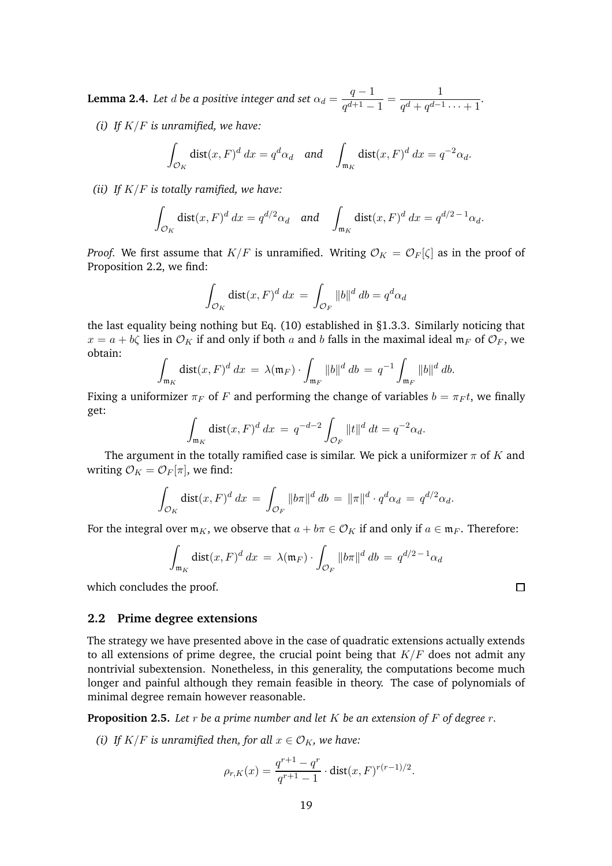**Lemma 2.4.** *Let d be a positive integer and set*  $\alpha_d = \frac{q-1}{rd+1}$  $\frac{q-1}{q^{d+1}-1} = \frac{1}{q^d+q^{d-1}}$  $\frac{1}{q^d + q^{d-1} \cdots + 1}$ .

*(i) If* K/F *is unramified, we have:*

$$
\int_{\mathcal{O}_K} \text{dist}(x, F)^d \, dx = q^d \alpha_d \quad \text{and} \quad \int_{\mathfrak{m}_K} \text{dist}(x, F)^d \, dx = q^{-2} \alpha_d.
$$

*(ii) If* K/F *is totally ramified, we have:*

$$
\int_{\mathcal{O}_K} \text{dist}(x, F)^d \, dx = q^{d/2} \alpha_d \quad \text{and} \quad \int_{\mathfrak{m}_K} \text{dist}(x, F)^d \, dx = q^{d/2 - 1} \alpha_d.
$$

*Proof.* We first assume that  $K/F$  is unramified. Writing  $\mathcal{O}_K = \mathcal{O}_F[\zeta]$  as in the proof of Proposition [2.2,](#page-16-0) we find:

$$
\int_{\mathcal{O}_K} \text{dist}(x, F)^d \, dx = \int_{\mathcal{O}_F} ||b||^d \, db = q^d \alpha_d
$$

the last equality being nothing but Eq. [\(10\)](#page-11-1) established in [§1.3.3.](#page-11-0) Similarly noticing that  $x = a + b\zeta$  lies in  $\mathcal{O}_K$  if and only if both a and b falls in the maximal ideal  $\mathfrak{m}_F$  of  $\mathcal{O}_F$ , we obtain: Z

$$
\int_{\mathfrak{m}_K} \text{dist}(x, F)^d \, dx = \lambda(\mathfrak{m}_F) \cdot \int_{\mathfrak{m}_F} \|b\|^d \, db = q^{-1} \int_{\mathfrak{m}_F} \|b\|^d \, db.
$$

Fixing a uniformizer  $\pi_F$  of F and performing the change of variables  $b = \pi_F t$ , we finally get:

$$
\int_{\mathfrak{m}_K} \text{dist}(x, F)^d \, dx = q^{-d-2} \int_{\mathcal{O}_F} ||t||^d \, dt = q^{-2} \alpha_d.
$$

The argument in the totally ramified case is similar. We pick a uniformizer  $\pi$  of K and writing  $\mathcal{O}_K = \mathcal{O}_F[\pi]$ , we find:

$$
\int_{\mathcal{O}_K} \text{dist}(x, F)^d dx = \int_{\mathcal{O}_F} \|b\pi\|^d d\theta = \|\pi\|^d \cdot q^d \alpha_d = q^{d/2} \alpha_d.
$$

For the integral over  $\mathfrak{m}_K$ , we observe that  $a + b\pi \in \mathcal{O}_K$  if and only if  $a \in \mathfrak{m}_F$ . Therefore:

$$
\int_{\mathfrak{m}_K} \text{dist}(x, F)^d dx = \lambda(\mathfrak{m}_F) \cdot \int_{\mathcal{O}_F} ||b\pi||^d db = q^{d/2 - 1} \alpha_d
$$

which concludes the proof.

#### <span id="page-18-0"></span>**2.2 Prime degree extensions**

The strategy we have presented above in the case of quadratic extensions actually extends to all extensions of prime degree, the crucial point being that  $K/F$  does not admit any nontrivial subextension. Nonetheless, in this generality, the computations become much longer and painful although they remain feasible in theory. The case of polynomials of minimal degree remain however reasonable.

<span id="page-18-1"></span>**Proposition 2.5.** *Let* r *be a prime number and let* K *be an extension of* F *of degree* r*.*

*(i)* If  $K/F$  *is unramified then, for all*  $x \in \mathcal{O}_K$ *, we have:* 

$$
\rho_{r,K}(x) = \frac{q^{r+1} - q^r}{q^{r+1} - 1} \cdot \text{dist}(x, F)^{r(r-1)/2}.
$$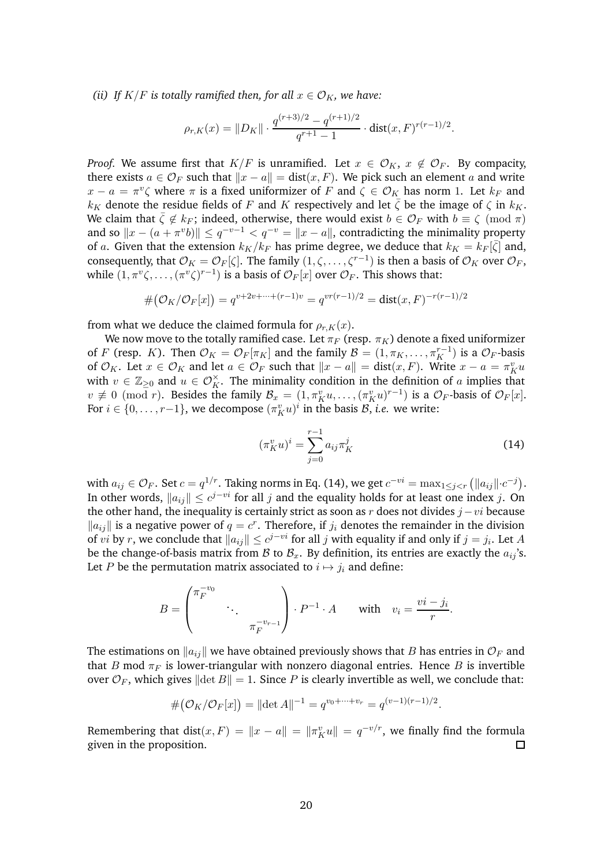*(ii) If*  $K/F$  *is totally ramified then, for all*  $x \in \mathcal{O}_K$ *, we have:* 

$$
\rho_{r,K}(x) = \|D_K\| \cdot \frac{q^{(r+3)/2} - q^{(r+1)/2}}{q^{r+1} - 1} \cdot \text{dist}(x, F)^{r(r-1)/2}.
$$

*Proof.* We assume first that  $K/F$  is unramified. Let  $x \in \mathcal{O}_K$ ,  $x \notin \mathcal{O}_F$ . By compacity, there exists  $a \in \mathcal{O}_F$  such that  $\|x - a\| = \text{dist}(x, F)$ . We pick such an element a and write  $x - a = \pi^v \zeta$  where  $\pi$  is a fixed uniformizer of F and  $\zeta \in \mathcal{O}_K$  has norm 1. Let  $k_F$  and  $k_K$  denote the residue fields of F and K respectively and let  $\zeta$  be the image of  $\zeta$  in  $k_K$ . We claim that  $\bar{\zeta} \notin k_F$ ; indeed, otherwise, there would exist  $b \in \mathcal{O}_F$  with  $b \equiv \zeta \pmod{\pi}$ and so  $||x - (a + \pi^v b)|| \le q^{-v-1} < q^{-v} = ||x - a||$ , contradicting the minimality property of a. Given that the extension  $k_K/k_F$  has prime degree, we deduce that  $k_K = k_F[\bar{\zeta}]$  and, consequently, that  $\mathcal{O}_K = \mathcal{O}_F[\zeta]$ . The family  $(1, \zeta, \dots, \zeta^{r-1})$  is then a basis of  $\mathcal{O}_K$  over  $\mathcal{O}_F$ , while  $(1, \pi^v \zeta, \ldots, (\pi^v \zeta)^{r-1})$  is a basis of  $\mathcal{O}_F[x]$  over  $\mathcal{O}_F$ . This shows that:

$$
#(O_K/O_F[x]) = q^{v+2v+\dots+(r-1)v} = q^{vr(r-1)/2} = dist(x,F)^{-r(r-1)/2}
$$

from what we deduce the claimed formula for  $\rho_{r,K}(x)$ .

We now move to the totally ramified case. Let  $\pi_F$  (resp.  $\pi_K$ ) denote a fixed uniformizer of F (resp. K). Then  $\mathcal{O}_K = \mathcal{O}_F[\pi_K]$  and the family  $\mathcal{B} = (1, \pi_K, \dots, \pi_K^{r-1})$  is a  $\mathcal{O}_F$ -basis of  $\mathcal{O}_K$ . Let  $x \in \mathcal{O}_K$  and let  $a \in \mathcal{O}_F$  such that  $||x - a|| = \text{dist}(x, F)$ . Write  $x - a = \pi_K^v u$ with  $v \in \mathbb{Z}_{\geq 0}$  and  $u \in \mathcal{O}_K^{\times}$ . The minimality condition in the definition of a implies that  $v \not\equiv 0 \pmod{r}$ . Besides the family  $\mathcal{B}_x = (1, \pi_K^v u, \dots, (\pi_K^v u)^{r-1})$  is a  $\mathcal{O}_F$ -basis of  $\mathcal{O}_F[x]$ . For  $i \in \{0, \ldots, r-1\}$ , we decompose  $(\pi_K^v u)^i$  in the basis  $\mathcal{B}$ , *i.e.* we write:

<span id="page-19-0"></span>
$$
(\pi_K^v u)^i = \sum_{j=0}^{r-1} a_{ij} \pi_K^j
$$
 (14)

with  $a_{ij} \in \mathcal{O}_F$ . Set  $c = q^{1/r}$ . Taking norms in Eq. [\(14\)](#page-19-0), we get  $c^{-vi} = \max_{1 \leq j < r} (\|a_{ij}\| \cdot c^{-j})$ . In other words,  $||a_{ij}|| \leq c^{j-vi}$  for all j and the equality holds for at least one index j. On the other hand, the inequality is certainly strict as soon as r does not divides  $j - vi$  because  $\|a_{ij}\|$  is a negative power of  $q = c^r$ . Therefore, if  $j_i$  denotes the remainder in the division of *vi* by *r*, we conclude that  $||a_{ij}|| \leq c^{j-vi}$  for all *j* with equality if and only if  $j = j_i$ . Let A be the change-of-basis matrix from  $\mathcal B$  to  $\mathcal B_x$ . By definition, its entries are exactly the  $a_{ij}$ 's. Let P be the permutation matrix associated to  $i \mapsto j_i$  and define:

$$
B = \begin{pmatrix} \pi_F^{-v_0} & & \\ & \ddots & \\ & & \pi_F^{-v_{r-1}} \end{pmatrix} \cdot P^{-1} \cdot A \quad \text{with} \quad v_i = \frac{vi - j_i}{r}.
$$

The estimations on  $\|a_{ij}\|$  we have obtained previously shows that B has entries in  $\mathcal{O}_F$  and that B mod  $\pi_F$  is lower-triangular with nonzero diagonal entries. Hence B is invertible over  $\mathcal{O}_F$ , which gives  $\|\det B\| = 1$ . Since P is clearly invertible as well, we conclude that:

$$
#(O_K/O_F[x]) = ||\det A||^{-1} = q^{v_0 + \dots + v_r} = q^{(v-1)(r-1)/2}.
$$

Remembering that  $dist(x, F) = ||x - a|| = ||\pi_K^v u|| = q^{-v/r}$ , we finally find the formula given in the proposition. □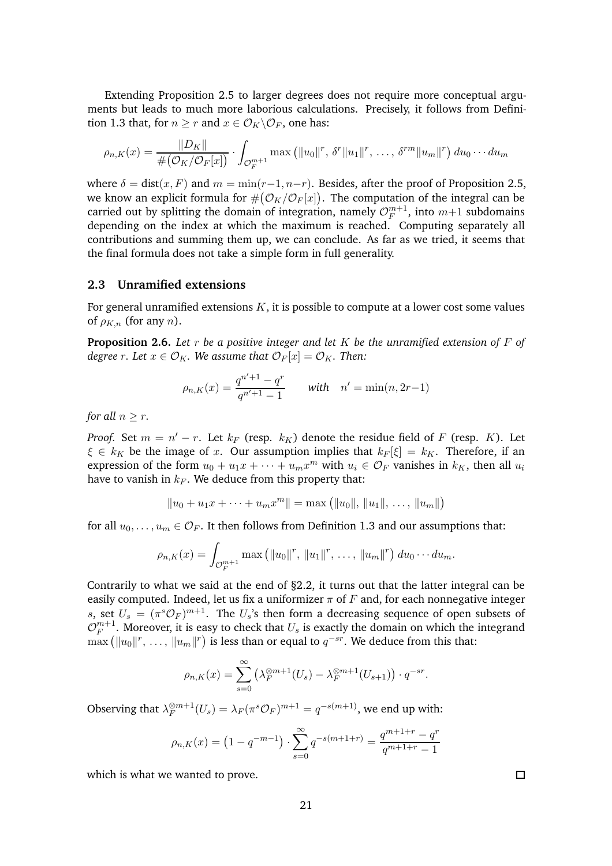Extending Proposition [2.5](#page-18-1) to larger degrees does not require more conceptual arguments but leads to much more laborious calculations. Precisely, it follows from Defini-tion [1.3](#page-9-1) that, for  $n > r$  and  $x \in \mathcal{O}_K \backslash \mathcal{O}_F$ , one has:

$$
\rho_{n,K}(x) = \frac{\|D_K\|}{\#(\mathcal{O}_K/\mathcal{O}_F[x])} \cdot \int_{\mathcal{O}_F^{m+1}} \max\left(\|u_0\|^r, \, \delta^r \|u_1\|^r, \, \dots, \, \delta^{rm} \|u_m\|^r\right) du_0 \cdots du_m
$$

where  $\delta = \text{dist}(x, F)$  and  $m = \min(r-1, n-r)$ . Besides, after the proof of Proposition [2.5,](#page-18-1) we know an explicit formula for  $\#(\mathcal{O}_K/\mathcal{O}_F[x])$ . The computation of the integral can be carried out by splitting the domain of integration, namely  $\mathcal{O}_F^{m+1}$  $_{F}^{m+1}$ , into  $m+1$  subdomains depending on the index at which the maximum is reached. Computing separately all contributions and summing them up, we can conclude. As far as we tried, it seems that the final formula does not take a simple form in full generality.

#### <span id="page-20-0"></span>**2.3 Unramified extensions**

For general unramified extensions  $K$ , it is possible to compute at a lower cost some values of  $\rho_{K,n}$  (for any n).

<span id="page-20-1"></span>**Proposition 2.6.** *Let* r *be a positive integer and let* K *be the unramified extension of* F *of degree r.* Let  $x \in \mathcal{O}_K$ . We assume that  $\mathcal{O}_F[x] = \mathcal{O}_K$ . Then:

$$
\rho_{n,K}(x) = \frac{q^{n'+1} - q^r}{q^{n'+1} - 1} \quad \text{with} \quad n' = \min(n, 2r - 1)
$$

*for all*  $n > r$ *.* 

*Proof.* Set  $m = n' - r$ . Let  $k_F$  (resp.  $k_K$ ) denote the residue field of F (resp. K). Let  $\xi \in k_K$  be the image of x. Our assumption implies that  $k_F[\xi] = k_K$ . Therefore, if an expression of the form  $u_0 + u_1x + \cdots + u_mx^m$  with  $u_i \in \mathcal{O}_F$  vanishes in  $k_K$ , then all  $u_i$ have to vanish in  $k_F$ . We deduce from this property that:

$$
||u_0 + u_1x + \dots + u_mx^m|| = \max (||u_0||, ||u_1||, \dots, ||u_m||)
$$

for all  $u_0, \ldots, u_m \in \mathcal{O}_F$ . It then follows from Definition [1.3](#page-9-1) and our assumptions that:

$$
\rho_{n,K}(x) = \int_{\mathcal{O}_F^{m+1}} \max \left( \|u_0\|^r, \|u_1\|^r, \ldots, \|u_m\|^r \right) du_0 \cdots du_m.
$$

Contrarily to what we said at the end of  $\S 2.2$ , it turns out that the latter integral can be easily computed. Indeed, let us fix a uniformizer  $\pi$  of F and, for each nonnegative integer s, set  $U_s = (\pi^s \mathcal{O}_F)^{m+1}$ . The  $U_s$ 's then form a decreasing sequence of open subsets of  $\mathcal{O}_F^{m+1}$  $_{F}^{m+1}$ . Moreover, it is easy to check that  $U_s$  is exactly the domain on which the integrand  $\max (\|u_0\|^r, \ldots, \|u_m\|^r)$  is less than or equal to  $q^{-sr}$ . We deduce from this that:

$$
\rho_{n,K}(x) = \sum_{s=0}^{\infty} \left( \lambda_F^{\otimes m+1}(U_s) - \lambda_F^{\otimes m+1}(U_{s+1}) \right) \cdot q^{-sr}.
$$

Observing that  $\lambda_F^{\otimes m+1}$  $\mathcal{E}_F^{\otimes m+1}(U_s) = \lambda_F (\pi^s \mathcal{O}_F)^{m+1} = q^{-s(m+1)}$ , we end up with:

$$
\rho_{n,K}(x) = \left(1 - q^{-m-1}\right) \cdot \sum_{s=0}^{\infty} q^{-s(m+1+r)} = \frac{q^{m+1+r} - q^r}{q^{m+1+r} - 1}
$$

which is what we wanted to prove.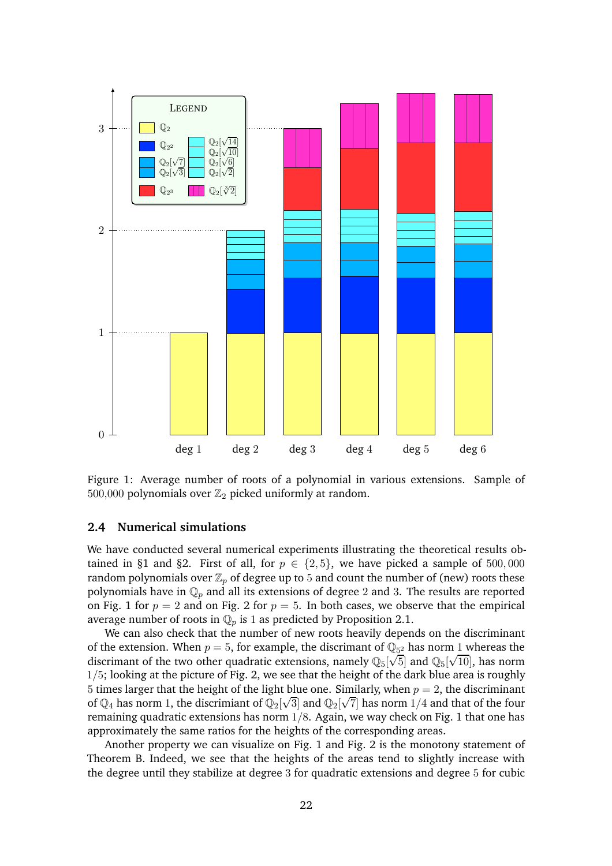

<span id="page-21-0"></span>Figure 1: Average number of roots of a polynomial in various extensions. Sample of 500,000 polynomials over  $\mathbb{Z}_2$  picked uniformly at random.

#### <span id="page-21-1"></span>**2.4 Numerical simulations**

We have conducted several numerical experiments illustrating the theoretical results ob-tained in [§1](#page-5-0) and [§2.](#page-15-0) First of all, for  $p \in \{2, 5\}$ , we have picked a sample of 500,000 random polynomials over  $\mathbb{Z}_p$  of degree up to 5 and count the number of (new) roots these polynomials have in  $\mathbb{Q}_p$  and all its extensions of degree 2 and 3. The results are reported on Fig. [1](#page-21-0) for  $p = 2$  $p = 2$  and on Fig. 2 for  $p = 5$ . In both cases, we observe that the empirical average number of roots in  $\mathbb{Q}_p$  is 1 as predicted by Proposition [2.1.](#page-15-2)

We can also check that the number of new roots heavily depends on the discriminant of the extension. When  $p = 5$ , for example, the discrimant of  $\mathbb{Q}_{5^2}$  has norm 1 whereas the discrimant of the two other quadratic extensions, namely  $\mathbb{Q}_5[\sqrt{5}]$  and  $\mathbb{Q}_5[\sqrt{10}]$ , has norm  $1/5$ ; looking at the picture of Fig. [2,](#page-22-0) we see that the height of the dark blue area is roughly 5 times larger that the height of the light blue one. Similarly, when  $p = 2$ , the discriminant of  $\mathbb{Q}_4$  has norm 1, the discrimiant of  $\mathbb{Q}_2[\sqrt{3}]$  and  $\mathbb{Q}_2[\sqrt{7}]$  has norm 1/4 and that of the four remaining quadratic extensions has norm  $1/8$ . Again, we way check on Fig. [1](#page-21-0) that one has approximately the same ratios for the heights of the corresponding areas.

Another property we can visualize on Fig. [1](#page-21-0) and Fig. [2](#page-22-0) is the monotony statement of Theorem [B.](#page-1-0) Indeed, we see that the heights of the areas tend to slightly increase with the degree until they stabilize at degree 3 for quadratic extensions and degree 5 for cubic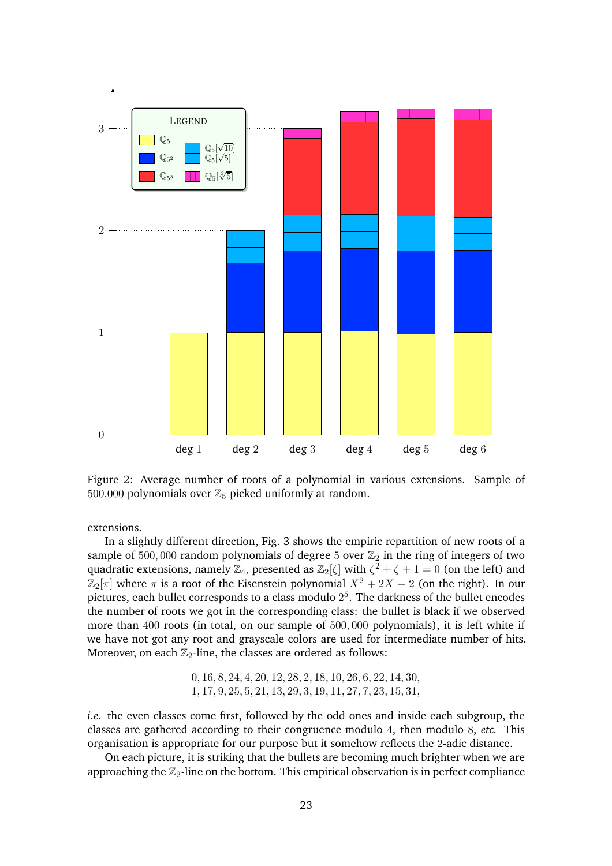

<span id="page-22-0"></span>Figure 2: Average number of roots of a polynomial in various extensions. Sample of 500,000 polynomials over  $\mathbb{Z}_5$  picked uniformly at random.

extensions.

In a slightly different direction, Fig. [3](#page-23-1) shows the empiric repartition of new roots of a sample of 500,000 random polynomials of degree 5 over  $\mathbb{Z}_2$  in the ring of integers of two quadratic extensions, namely  $\mathbb{Z}_4$ , presented as  $\mathbb{Z}_2[\zeta]$  with  $\zeta^2+\zeta+1=0$  (on the left) and  $\mathbb{Z}_2[\pi]$  where  $\pi$  is a root of the Eisenstein polynomial  $X^2 + 2X - 2$  (on the right). In our pictures, each bullet corresponds to a class modulo  $2^5$ . The darkness of the bullet encodes the number of roots we got in the corresponding class: the bullet is black if we observed more than 400 roots (in total, on our sample of 500, 000 polynomials), it is left white if we have not got any root and grayscale colors are used for intermediate number of hits. Moreover, on each  $\mathbb{Z}_2$ -line, the classes are ordered as follows:

> 0, 16, 8, 24, 4, 20, 12, 28, 2, 18, 10, 26, 6, 22, 14, 30, 1, 17, 9, 25, 5, 21, 13, 29, 3, 19, 11, 27, 7, 23, 15, 31,

*i.e.* the even classes come first, followed by the odd ones and inside each subgroup, the classes are gathered according to their congruence modulo 4, then modulo 8, *etc.* This organisation is appropriate for our purpose but it somehow reflects the 2-adic distance.

On each picture, it is striking that the bullets are becoming much brighter when we are approaching the  $\mathbb{Z}_2$ -line on the bottom. This empirical observation is in perfect compliance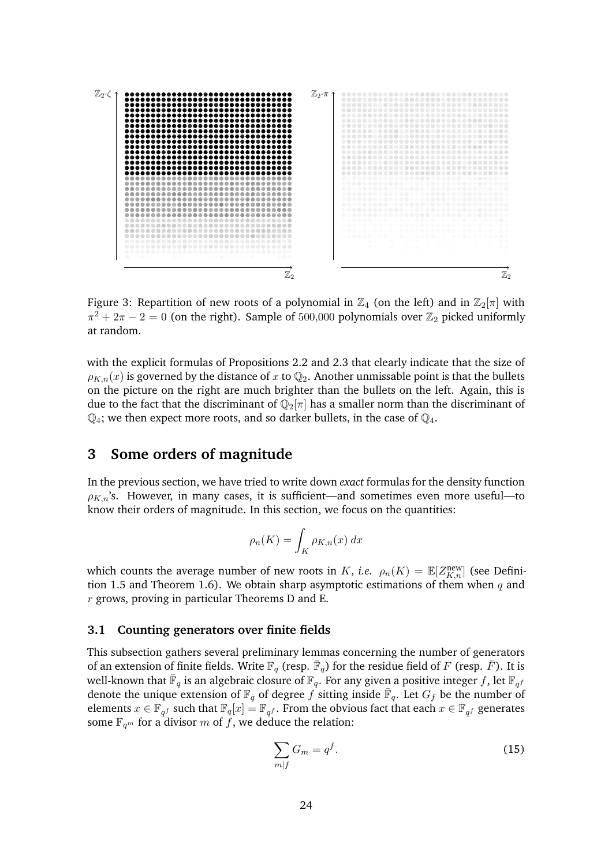

<span id="page-23-1"></span>Figure 3: Repartition of new roots of a polynomial in  $\mathbb{Z}_4$  (on the left) and in  $\mathbb{Z}_2[\pi]$  with  $\pi^2 + 2\pi - 2 = 0$  (on the right). Sample of 500,000 polynomials over  $\mathbb{Z}_2$  picked uniformly at random.

with the explicit formulas of Propositions [2.2](#page-16-0) and [2.3](#page-17-0) that clearly indicate that the size of  $\rho_{K,n}(x)$  is governed by the distance of x to  $\mathbb{Q}_2$ . Another unmissable point is that the bullets on the picture on the right are much brighter than the bullets on the left. Again, this is due to the fact that the discriminant of  $\mathbb{Q}_2[\pi]$  has a smaller norm than the discriminant of  $\mathbb{Q}_4$ ; we then expect more roots, and so darker bullets, in the case of  $\mathbb{Q}_4$ .

## <span id="page-23-0"></span>**3 Some orders of magnitude**

In the previous section, we have tried to write down *exact* formulas for the density function  $\rho_{K,n}$ 's. However, in many cases, it is sufficient—and sometimes even more useful—to know their orders of magnitude. In this section, we focus on the quantities:

$$
\rho_n(K) = \int_K \rho_{K,n}(x) \, dx
$$

which counts the average number of new roots in K, *i.e.*  $\rho_n(K) = \mathbb{E}[Z_{K,n}^{\text{new}}]$  (see Defini-tion [1.5](#page-13-3) and Theorem [1.6\)](#page-13-1). We obtain sharp asymptotic estimations of them when  $q$  and  $r$  grows, proving in particular Theorems [D](#page-3-0) and [E.](#page-3-1)

#### <span id="page-23-3"></span>**3.1 Counting generators over finite fields**

This subsection gathers several preliminary lemmas concerning the number of generators of an extension of finite fields. Write  $\mathbb{F}_q$  (resp.  $\bar{\mathbb{F}}_q$ ) for the residue field of  $F$  (resp.  $\bar{F}$ ). It is well-known that  $\bar{\mathbb{F}}_q$  is an algebraic closure of  $\mathbb{F}_q.$  For any given a positive integer  $f,$  let  $\mathbb{F}_{q^f}$ denote the unique extension of  $\mathbb{F}_q$  of degree f sitting inside  $\overline{\mathbb{F}}_q$ . Let  $G_f$  be the number of elements  $x \in \mathbb{F}_{q^f}$  such that  $\mathbb{F}_q[x] = \mathbb{F}_{q^f}$ . From the obvious fact that each  $x \in \mathbb{F}_{q^f}$  generates some  $\mathbb{F}_{q^m}$  for a divisor m of f, we deduce the relation:

<span id="page-23-2"></span>
$$
\sum_{m|f} G_m = q^f. \tag{15}
$$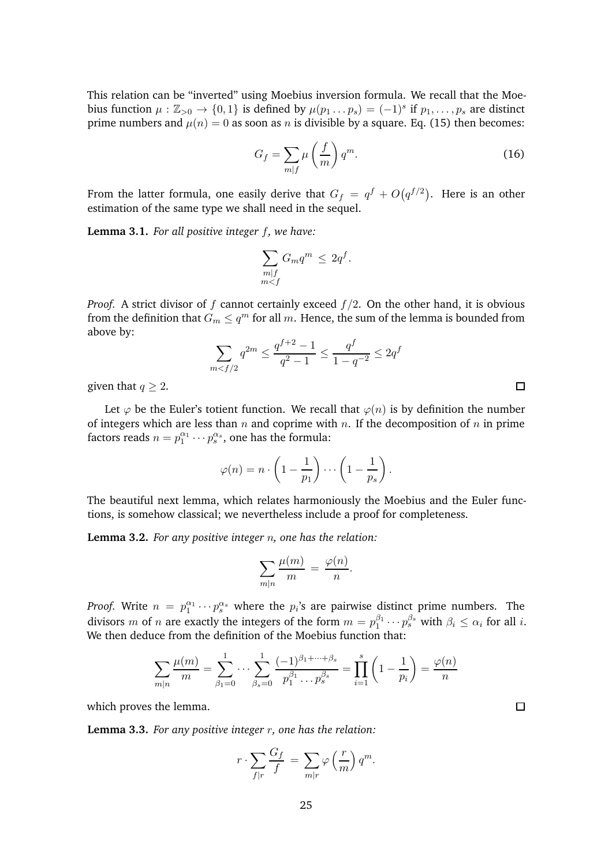This relation can be "inverted" using Moebius inversion formula. We recall that the Moebius function  $\mu : \mathbb{Z}_{>0} \to \{0,1\}$  is defined by  $\mu(p_1 \dots p_s) = (-1)^s$  if  $p_1, \dots, p_s$  are distinct prime numbers and  $\mu(n) = 0$  as soon as n is divisible by a square. Eq. [\(15\)](#page-23-2) then becomes:

$$
G_f = \sum_{m|f} \mu\left(\frac{f}{m}\right) q^m.
$$
 (16)

From the latter formula, one easily derive that  $G_f \ = \ q^f + O\big(q^{f/2}\big).$  Here is an other estimation of the same type we shall need in the sequel.

<span id="page-24-2"></span>**Lemma 3.1.** *For all positive integer* f*, we have:*

$$
\sum_{\substack{m|f\\m
$$

*Proof.* A strict divisor of f cannot certainly exceed  $f/2$ . On the other hand, it is obvious from the definition that  $G_m \le q^m$  for all m. Hence, the sum of the lemma is bounded from above by:

$$
\sum_{m < f/2} q^{2m} \le \frac{q^{f+2} - 1}{q^2 - 1} \le \frac{q^f}{1 - q^{-2}} \le 2q^f
$$

given that  $q \geq 2$ .

Let  $\varphi$  be the Euler's totient function. We recall that  $\varphi(n)$  is by definition the number of integers which are less than  $n$  and coprime with  $n$ . If the decomposition of  $n$  in prime factors reads  $n = p_1^{\alpha_1} \cdots p_s^{\alpha_s}$ , one has the formula:

$$
\varphi(n) = n \cdot \left(1 - \frac{1}{p_1}\right) \cdots \left(1 - \frac{1}{p_s}\right).
$$

The beautiful next lemma, which relates harmoniously the Moebius and the Euler functions, is somehow classical; we nevertheless include a proof for completeness.

<span id="page-24-1"></span>**Lemma 3.2.** *For any positive integer* n*, one has the relation:*

$$
\sum_{m|n} \frac{\mu(m)}{m} = \frac{\varphi(n)}{n}.
$$

*Proof.* Write  $n = p_1^{\alpha_1} \cdots p_s^{\alpha_s}$  where the  $p_i$ 's are pairwise distinct prime numbers. The divisors m of n are exactly the integers of the form  $m = p_1^{\beta_1}$  $\beta_1^{ \beta_1} \cdots p_s^{ \beta_s}$  with  $\beta_i \leq \alpha_i$  for all  $i.$ We then deduce from the definition of the Moebius function that:

$$
\sum_{m|n} \frac{\mu(m)}{m} = \sum_{\beta_1=0}^1 \cdots \sum_{\beta_s=0}^1 \frac{(-1)^{\beta_1+\cdots+\beta_s}}{p_1^{\beta_1}\cdots p_s^{\beta_s}} = \prod_{i=1}^s \left(1-\frac{1}{p_i}\right) = \frac{\varphi(n)}{n}
$$

which proves the lemma.

<span id="page-24-3"></span>**Lemma 3.3.** *For any positive integer* r*, one has the relation:*

$$
r \cdot \sum_{f|r} \frac{G_f}{f} = \sum_{m|r} \varphi\left(\frac{r}{m}\right) q^m.
$$

 $\Box$ 

<span id="page-24-0"></span> $\Box$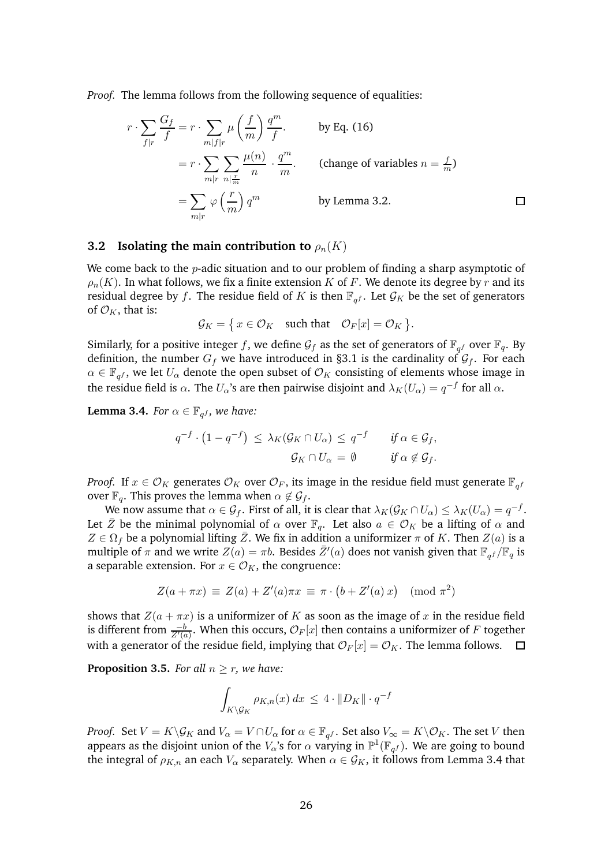*Proof.* The lemma follows from the following sequence of equalities:

$$
r \cdot \sum_{f|r} \frac{G_f}{f} = r \cdot \sum_{m|f|r} \mu\left(\frac{f}{m}\right) \frac{q^m}{f}.
$$
 by Eq. (16)  
=  $r \cdot \sum_{m|r} \sum_{n|\frac{r}{m}} \frac{\mu(n)}{n} \cdot \frac{q^m}{m}.$  (change of variables  $n = \frac{f}{m}$ )  
=  $\sum_{m|r} \varphi\left(\frac{r}{m}\right) q^m$  by Lemma 3.2.

#### **3.2 Isolating the main contribution to**  $\rho_n(K)$

We come back to the  $p$ -adic situation and to our problem of finding a sharp asymptotic of  $\rho_n(K)$ . In what follows, we fix a finite extension K of F. We denote its degree by r and its residual degree by f. The residue field of K is then  $\mathbb{F}_{q^f}$ . Let  $\mathcal{G}_K$  be the set of generators of  $\mathcal{O}_K$ , that is:

$$
\mathcal{G}_K = \{ x \in \mathcal{O}_K \quad \text{such that} \quad \mathcal{O}_F[x] = \mathcal{O}_K \}.
$$

Similarly, for a positive integer f, we define  $\mathcal{G}_f$  as the set of generators of  $\mathbb{F}_{q^f}$  over  $\mathbb{F}_q$ . By definition, the number  $G_f$  we have introduced in [§3.1](#page-23-3) is the cardinality of  $\mathcal{G}_f$ . For each  $\alpha \in \mathbb{F}_{q^f}$ , we let  $U_\alpha$  denote the open subset of  $\mathcal{O}_K$  consisting of elements whose image in the residue field is  $\alpha$ . The  $U_\alpha$ 's are then pairwise disjoint and  $\lambda_K(U_\alpha)=q^{-f}$  for all  $\alpha.$ 

<span id="page-25-0"></span>**Lemma 3.4.** *For*  $\alpha \in \mathbb{F}_{q^f}$ , we have:

$$
q^{-f} \cdot (1 - q^{-f}) \leq \lambda_K(\mathcal{G}_K \cap U_\alpha) \leq q^{-f} \quad \text{if } \alpha \in \mathcal{G}_f,
$$
  

$$
\mathcal{G}_K \cap U_\alpha = \emptyset \quad \text{if } \alpha \notin \mathcal{G}_f.
$$

*Proof.* If  $x \in \mathcal{O}_K$  generates  $\mathcal{O}_K$  over  $\mathcal{O}_F$ , its image in the residue field must generate  $\mathbb{F}_{q^f}$ over  $\mathbb{F}_q$ . This proves the lemma when  $\alpha \notin \mathcal{G}_f$ .

We now assume that  $\alpha \in \mathcal{G}_f$ . First of all, it is clear that  $\lambda_K(\mathcal{G}_K \cap U_\alpha) \leq \lambda_K(U_\alpha) = q^{-f}$ . Let  $\bar{Z}$  be the minimal polynomial of  $\alpha$  over  $\mathbb{F}_q$ . Let also  $a \in \mathcal{O}_K$  be a lifting of  $\alpha$  and  $Z \in \Omega_f$  be a polynomial lifting  $\overline{Z}$ . We fix in addition a uniformizer  $\pi$  of K. Then  $Z(a)$  is a multiple of  $\pi$  and we write  $Z(a)=\pi b$ . Besides  $\bar{Z}'(a)$  does not vanish given that  $\mathbb{F}_{q^f}/\mathbb{F}_{q}$  is a separable extension. For  $x \in \mathcal{O}_K$ , the congruence:

$$
Z(a + \pi x) \equiv Z(a) + Z'(a)\pi x \equiv \pi \cdot (b + Z'(a) x) \pmod{\pi^2}
$$

shows that  $Z(a + \pi x)$  is a uniformizer of K as soon as the image of x in the residue field is different from  $\frac{-b}{Z'(a)}.$  When this occurs,  $\mathcal{O}_F[x]$  then contains a uniformizer of  $F$  together with a generator of the residue field, implying that  $\mathcal{O}_F[x] = \mathcal{O}_K$ . The lemma follows.

<span id="page-25-1"></span>**Proposition 3.5.** *For all*  $n \geq r$ *, we have:* 

$$
\int_{K\setminus\mathcal{G}_K} \rho_{K,n}(x) \, dx \leq 4 \cdot ||D_K|| \cdot q^{-f}
$$

*Proof.* Set  $V = K \backslash \mathcal{G}_K$  and  $V_\alpha = V \cap U_\alpha$  for  $\alpha \in \mathbb{F}_{q^f}$ . Set also  $V_\infty = K \backslash \mathcal{O}_K$ . The set  $V$  then appears as the disjoint union of the  $V_\alpha$ 's for  $\alpha$  varying in  $\mathbb{P}^1(\mathbb{F}_{q^f})$ . We are going to bound the integral of  $\rho_{K,n}$  an each  $V_{\alpha}$  separately. When  $\alpha \in \mathcal{G}_K$ , it follows from Lemma [3.4](#page-25-0) that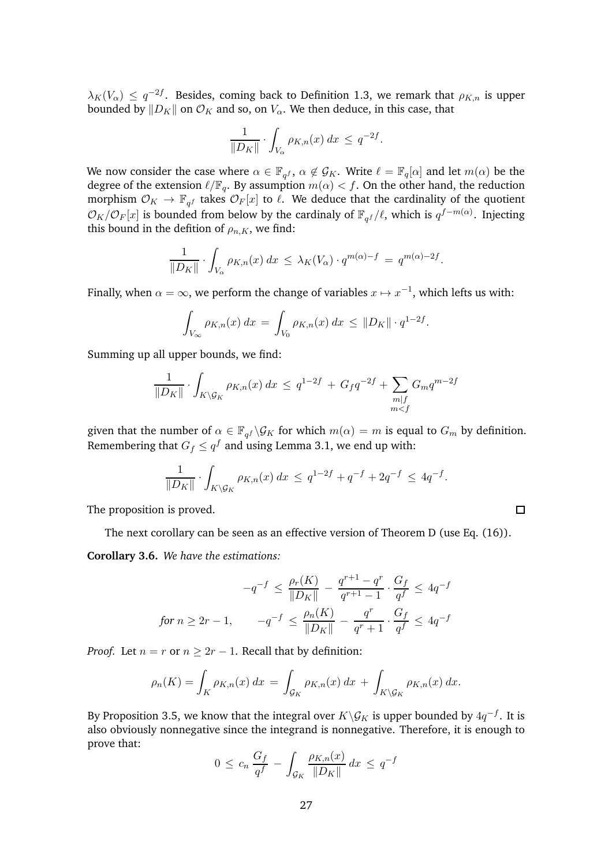$\lambda_K(V_\alpha) \leq q^{-2f}$ . Besides, coming back to Definition [1.3,](#page-9-1) we remark that  $\rho_{K,n}$  is upper bounded by  $||D_K||$  on  $\mathcal{O}_K$  and so, on  $V_\alpha$ . We then deduce, in this case, that

$$
\frac{1}{\|D_K\|} \cdot \int_{V_\alpha} \rho_{K,n}(x) dx \leq q^{-2f}.
$$

We now consider the case where  $\alpha \in \mathbb{F}_{q^f}$ ,  $\alpha \notin \mathcal{G}_K$ . Write  $\ell = \mathbb{F}_q[\alpha]$  and let  $m(\alpha)$  be the degree of the extension  $\ell/\mathbb{F}_q$ . By assumption  $m(\alpha) < f$ . On the other hand, the reduction morphism  $\mathcal{O}_K \to \mathbb{F}_{q^f}$  takes  $\mathcal{O}_F[x]$  to  $\ell$ . We deduce that the cardinality of the quotient  $\mathcal{O}_K/\mathcal{O}_F[x]$  is bounded from below by the cardinaly of  $\mathbb{F}_{q^f}/\ell$ , which is  $q^{f-m(\alpha)}$ . Injecting this bound in the defition of  $\rho_{n,K}$ , we find:

$$
\frac{1}{\|D_K\|} \cdot \int_{V_\alpha} \rho_{K,n}(x) \, dx \leq \lambda_K(V_\alpha) \cdot q^{m(\alpha)-f} = q^{m(\alpha)-2f}.
$$

Finally, when  $\alpha = \infty$ , we perform the change of variables  $x \mapsto x^{-1}$ , which lefts us with:

$$
\int_{V_{\infty}} \rho_{K,n}(x) \, dx = \int_{V_0} \rho_{K,n}(x) \, dx \leq \|D_K\| \cdot q^{1-2f}.
$$

Summing up all upper bounds, we find:

$$
\frac{1}{\|D_K\|} \cdot \int_{K \setminus \mathcal{G}_K} \rho_{K,n}(x) dx \le q^{1-2f} + G_f q^{-2f} + \sum_{\substack{m|f \\ m < f}} G_m q^{m-2f}
$$

given that the number of  $\alpha \in \mathbb{F}_{q}$   $\setminus \mathcal{G}_K$  for which  $m(\alpha) = m$  is equal to  $G_m$  by definition. Remembering that  $G_f \le q^f$  and using Lemma [3.1,](#page-24-2) we end up with:

$$
\frac{1}{\|D_K\|} \cdot \int_{K \setminus \mathcal{G}_K} \rho_{K,n}(x) \, dx \le q^{1-2f} + q^{-f} + 2q^{-f} \le 4q^{-f}.
$$

 $\Box$ 

The proposition is proved.

The next corollary can be seen as an effective version of Theorem [D](#page-3-0) (use Eq. [\(16\)](#page-24-0)).

<span id="page-26-0"></span>**Corollary 3.6.** *We have the estimations:*

$$
-q^{-f} \le \frac{\rho_r(K)}{\|D_K\|} - \frac{q^{r+1} - q^r}{q^{r+1} - 1} \cdot \frac{G_f}{q^f} \le 4q^{-f}
$$
  
for  $n \ge 2r - 1$ , 
$$
-q^{-f} \le \frac{\rho_n(K)}{\|D_K\|} - \frac{q^r}{q^r + 1} \cdot \frac{G_f}{q^f} \le 4q^{-f}
$$

*Proof.* Let  $n = r$  or  $n \geq 2r - 1$ . Recall that by definition:

$$
\rho_n(K) = \int_K \rho_{K,n}(x) dx = \int_{\mathcal{G}_K} \rho_{K,n}(x) dx + \int_{K \backslash \mathcal{G}_K} \rho_{K,n}(x) dx.
$$

By Proposition [3.5,](#page-25-1) we know that the integral over  $K\backslash\mathcal{G}_K$  is upper bounded by  $4q^{-f}$ . It is also obviously nonnegative since the integrand is nonnegative. Therefore, it is enough to prove that:

$$
0 \leq c_n \frac{G_f}{q^f} - \int_{\mathcal{G}_K} \frac{\rho_{K,n}(x)}{\|D_K\|} dx \leq q^{-f}
$$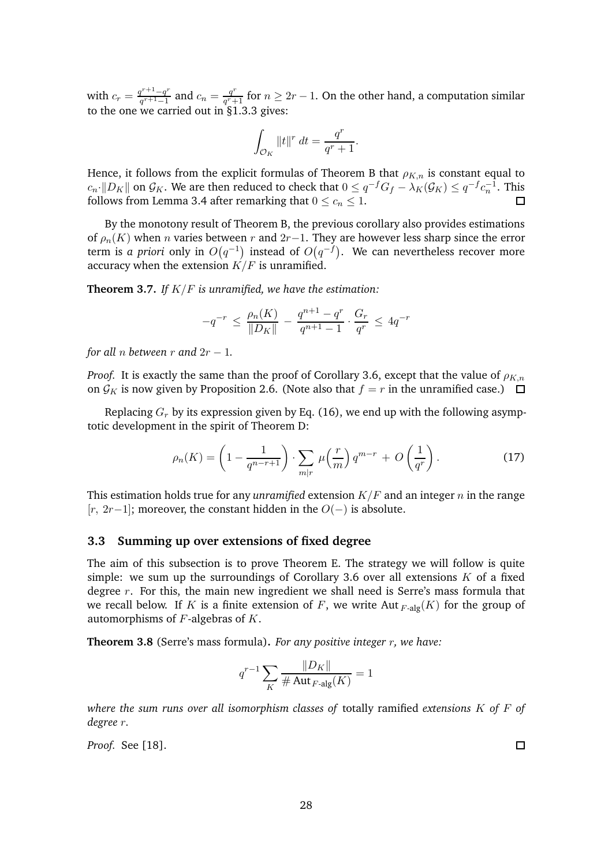with  $c_r = \frac{q^{r+1}-q^r}{q^{r+1}-1}$  $\frac{q^{r+1}-q^r}{q^{r+1}-1}$  and  $c_n=\frac{q^r}{q^r+1}$  $\frac{q^r}{q^r+1}$  for  $n\geq 2r-1.$  On the other hand, a computation similar to the one we carried out in [§1.3.3](#page-11-0) gives:

$$
\int_{\mathcal{O}_K} \|t\|^r \ dt = \frac{q^r}{q^r+1}.
$$

Hence, it follows from the explicit formulas of Theorem [B](#page-1-0) that  $\rho_{K,n}$  is constant equal to  $c_n \cdot ||D_K||$  on  $\mathcal{G}_K$ . We are then reduced to check that  $0 \le q^{-f}G_f - \lambda_K(\mathcal{G}_K) \le q^{-f}c_n^{-1}$ . This follows from Lemma [3.4](#page-25-0) after remarking that  $0 \leq c_n \leq 1$ .  $\Box$ 

By the monotony result of Theorem [B,](#page-1-0) the previous corollary also provides estimations of  $\rho_n(K)$  when *n* varies between *r* and  $2r-1$ . They are however less sharp since the error term is a priori only in  $O(q^{-1})$  instead of  $O(q^{-f})$ . We can nevertheless recover more accuracy when the extension  $K/F$  is unramified.

**Theorem 3.7.** *If* K/F *is unramified, we have the estimation:*

$$
-q^{-r} \le \frac{\rho_n(K)}{\|D_K\|} - \frac{q^{n+1} - q^r}{q^{n+1} - 1} \cdot \frac{G_r}{q^r} \le 4q^{-r}
$$

*for all n between r* and  $2r - 1$ .

*Proof.* It is exactly the same than the proof of Corollary [3.6,](#page-26-0) except that the value of  $\rho_{K,n}$ on  $\mathcal{G}_K$  is now given by Proposition [2.6.](#page-20-1) (Note also that  $f = r$  in the unramified case.)  $\Box$ 

Replacing  $G_r$  by its expression given by Eq. [\(16\)](#page-24-0), we end up with the following asymptotic development in the spirit of Theorem [D:](#page-3-0)

$$
\rho_n(K) = \left(1 - \frac{1}{q^{n-r+1}}\right) \cdot \sum_{m|r} \mu\left(\frac{r}{m}\right) q^{m-r} + O\left(\frac{1}{q^r}\right). \tag{17}
$$

This estimation holds true for any *unramified* extension  $K/F$  and an integer n in the range [r, 2r−1]; moreover, the constant hidden in the  $O(-)$  is absolute.

#### **3.3 Summing up over extensions of fixed degree**

The aim of this subsection is to prove Theorem [E.](#page-3-1) The strategy we will follow is quite simple: we sum up the surroundings of Corollary [3.6](#page-26-0) over all extensions  $K$  of a fixed degree  $r$ . For this, the main new ingredient we shall need is Serre's mass formula that we recall below. If K is a finite extension of F, we write Aut  $_{F\text{-}alg}(K)$  for the group of automorphisms of  $F$ -algebras of  $K$ .

<span id="page-27-0"></span>**Theorem 3.8** (Serre's mass formula)**.** *For any positive integer* r*, we have:*

$$
q^{r-1} \sum_{K} \frac{\|D_K\|}{\#\operatorname{Aut}_{F\text{-alg}}(K)} = 1
$$

*where the sum runs over all isomorphism classes of* totally ramified *extensions* K *of* F *of degree* r*.*

*Proof.* See [\[18\]](#page-42-1).

 $\Box$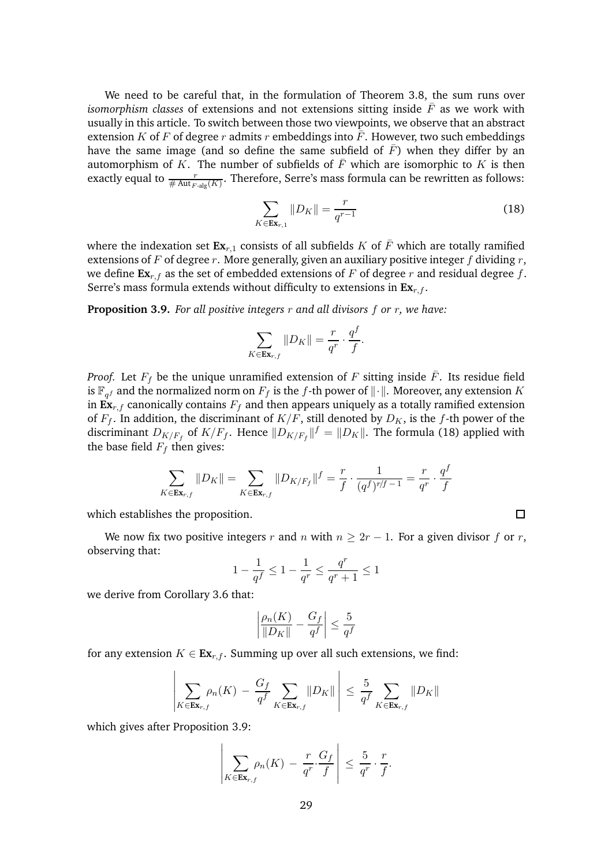We need to be careful that, in the formulation of Theorem [3.8,](#page-27-0) the sum runs over *isomorphism classes* of extensions and not extensions sitting inside  $\overline{F}$  as we work with usually in this article. To switch between those two viewpoints, we observe that an abstract extension K of F of degree r admits r embeddings into  $\bar{F}$ . However, two such embeddings have the same image (and so define the same subfield of  $\bar{F}$ ) when they differ by an automorphism of K. The number of subfields of  $\overline{F}$  which are isomorphic to K is then exactly equal to  $\frac{r}{\#\text{Aut}_{F\text{-alg}}(K)}$ . Therefore, Serre's mass formula can be rewritten as follows:

<span id="page-28-0"></span>
$$
\sum_{K \in \mathbf{Ex}_{r,1}} \|D_K\| = \frac{r}{q^{r-1}}\tag{18}
$$

where the indexation set  $\mathbf{Ex}_{r,1}$  consists of all subfields K of  $\overline{F}$  which are totally ramified extensions of  $F$  of degree  $r$ . More generally, given an auxiliary positive integer  $f$  dividing  $r$ , we define  $\mathbf{Ex}_{r,f}$  as the set of embedded extensions of F of degree r and residual degree f. Serre's mass formula extends without difficulty to extensions in  $\mathbf{Ex}_{r,f}$ .

<span id="page-28-1"></span>**Proposition 3.9.** *For all positive integers* r *and all divisors* f *or* r*, we have:*

$$
\sum_{K \in \mathbf{Ex}_{r,f}} \|D_K\| = \frac{r}{q^r} \cdot \frac{q^f}{f}.
$$

*Proof.* Let  $F_f$  be the unique unramified extension of F sitting inside  $\overline{F}$ . Its residue field is  $\mathbb{F}_{q^f}$  and the normalized norm on  $F_f$  is the f-th power of  $\|\cdot\|$ . Moreover, any extension  $K$ in  $\mathbf{Ex}_{r,f}$  canonically contains  $F_f$  and then appears uniquely as a totally ramified extension of  $F_f$ . In addition, the discriminant of  $K/F$ , still denoted by  $D_K$ , is the f-th power of the discriminant  $D_{K/F_f}$  of  $K/F_f$ . Hence  $||D_{K/F_f}||^f = ||D_K||$ . The formula [\(18\)](#page-28-0) applied with the base field  $F_f$  then gives:

$$
\sum_{K \in \mathbf{Ex}_{r,f}} \|D_K\| = \sum_{K \in \mathbf{Ex}_{r,f}} \|D_{K/F_f}\|^f = \frac{r}{f} \cdot \frac{1}{(q^f)^{r/f - 1}} = \frac{r}{q^r} \cdot \frac{q^f}{f}
$$

which establishes the proposition.

We now fix two positive integers r and n with  $n > 2r - 1$ . For a given divisor f or r, observing that:

$$
1 - \frac{1}{q^f} \le 1 - \frac{1}{q^r} \le \frac{q^r}{q^r + 1} \le 1
$$

we derive from Corollary [3.6](#page-26-0) that:

$$
\left|\frac{\rho_n(K)}{\|D_K\|} - \frac{G_f}{q^f}\right| \le \frac{5}{q^f}
$$

for any extension  $K \in \mathbf{Ex}_{r,f}$ . Summing up over all such extensions, we find:

$$
\left|\sum_{K\in \mathbf{Ex}_{r,f}} \rho_n(K) - \frac{G_f}{q^f} \sum_{K\in \mathbf{Ex}_{r,f}} \|D_K\| \right| \leq \frac{5}{q^f} \sum_{K\in \mathbf{Ex}_{r,f}} \|D_K\|
$$

which gives after Proposition [3.9:](#page-28-1)

$$
\left|\sum_{K\in \mathbf{Ex}_{r,f}} \rho_n(K) - \frac{r}{q^r} \cdot \frac{G_f}{f}\right| \leq \frac{5}{q^r} \cdot \frac{r}{f}.
$$

 $\Box$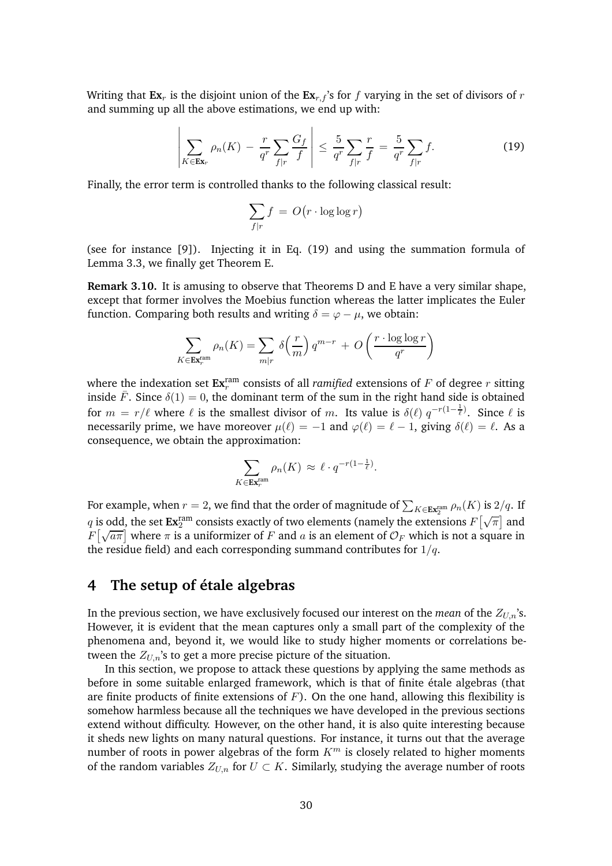Writing that  $\mathbf{Ex}_r$  is the disjoint union of the  $\mathbf{Ex}_{r,f}$ 's for f varying in the set of divisors of r and summing up all the above estimations, we end up with:

$$
\left|\sum_{K\in\mathbf{Ex}_r}\rho_n(K)-\frac{r}{q^r}\sum_{f|r}\frac{G_f}{f}\right|\leq\frac{5}{q^r}\sum_{f|r}\frac{r}{f}=\frac{5}{q^r}\sum_{f|r}f.\tag{19}
$$

Finally, the error term is controlled thanks to the following classical result:

<span id="page-29-1"></span>
$$
\sum_{f|r} f = O(r \cdot \log \log r)
$$

(see for instance [\[9\]](#page-41-12)). Injecting it in Eq. [\(19\)](#page-29-1) and using the summation formula of Lemma [3.3,](#page-24-3) we finally get Theorem [E.](#page-3-1)

**Remark 3.10.** It is amusing to observe that Theorems [D](#page-3-0) and [E](#page-3-1) have a very similar shape, except that former involves the Moebius function whereas the latter implicates the Euler function. Comparing both results and writing  $\delta = \varphi - \mu$ , we obtain:

$$
\sum_{K \in \mathbf{Ex}_r^{\text{ram}}} \rho_n(K) = \sum_{m|r} \delta\left(\frac{r}{m}\right) q^{m-r} + O\left(\frac{r \cdot \log \log r}{q^r}\right)
$$

where the indexation set  $\mathbf{Ex}^{\text{ram}}_r$  consists of all *ramified* extensions of  $F$  of degree  $r$  sitting inside  $\bar{F}$ . Since  $\delta(1) = 0$ , the dominant term of the sum in the right hand side is obtained for  $m = r/\ell$  where  $\ell$  is the smallest divisor of m. Its value is  $\delta(\ell)$   $q^{-r(1-\frac{1}{\ell})}$ . Since  $\ell$  is necessarily prime, we have moreover  $\mu(\ell) = -1$  and  $\varphi(\ell) = \ell - 1$ , giving  $\delta(\ell) = \ell$ . As a consequence, we obtain the approximation:

$$
\sum_{K \in \mathbf{Ex}_{r}^{\text{ram}}} \rho_n(K) \approx \ell \cdot q^{-r(1-\frac{1}{\ell})}.
$$

For example, when  $r=2$ , we find that the order of magnitude of  $\sum_{K\in{\bf Ex}_2^{\rm ram}}\rho_n(K)$  is  $2/q.$  If  $q$  is odd, the set  ${\bf Ex}_{2}^{\rm ram}$  consists exactly of two elements (namely the extensions  $F\big[\sqrt{\pi}\big]$  and  $F\left[\sqrt{a\pi}\right]$  where  $\pi$  is a uniformizer of F and a is an element of  $\mathcal{O}_F$  which is not a square in the residue field) and each corresponding summand contributes for  $1/q$ .

## <span id="page-29-0"></span>**4 The setup of etale algebras ´**

In the previous section, we have exclusively focused our interest on the *mean* of the  $Z_{U,n}$ 's. However, it is evident that the mean captures only a small part of the complexity of the phenomena and, beyond it, we would like to study higher moments or correlations between the  $Z_{U,n}$ 's to get a more precise picture of the situation.

In this section, we propose to attack these questions by applying the same methods as before in some suitable enlarged framework, which is that of finite étale algebras (that are finite products of finite extensions of  $F$ ). On the one hand, allowing this flexibility is somehow harmless because all the techniques we have developed in the previous sections extend without difficulty. However, on the other hand, it is also quite interesting because it sheds new lights on many natural questions. For instance, it turns out that the average number of roots in power algebras of the form  $K<sup>m</sup>$  is closely related to higher moments of the random variables  $Z_{U,n}$  for  $U \subset K$ . Similarly, studying the average number of roots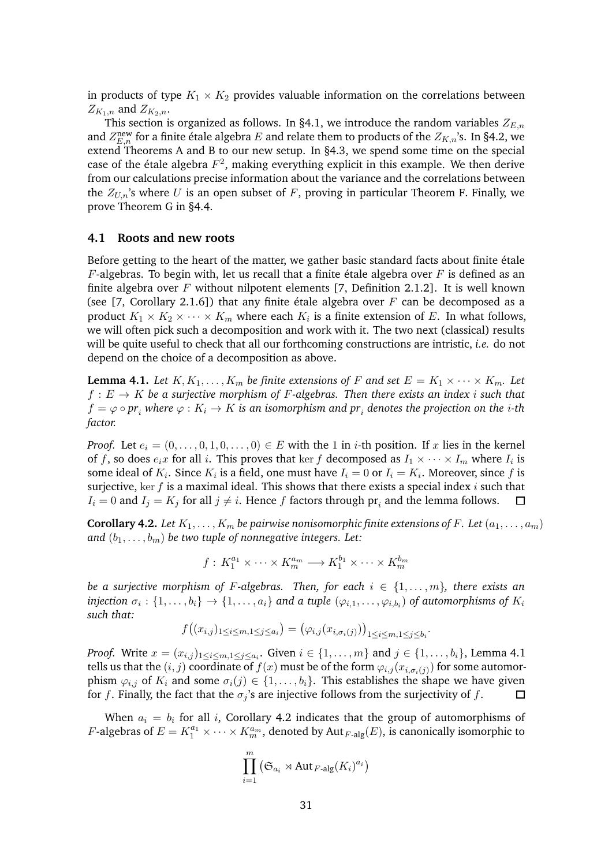in products of type  $K_1 \times K_2$  provides valuable information on the correlations between  $Z_{K_1,n}$  and  $Z_{K_2,n}$ .

This section is organized as follows. In [§4.1,](#page-30-0) we introduce the random variables  $Z_{E,n}$ and  $Z_{E,n}^{\text{new}}$  for a finite étale algebra  $E$  and relate them to products of the  $Z_{K,n}$ 's. In [§4.2,](#page-32-0) we extend Theorems [A](#page-1-1) and [B](#page-1-0) to our new setup. In [§4.3,](#page-36-0) we spend some time on the special case of the étale algebra  $F^2$ , making everything explicit in this example. We then derive from our calculations precise information about the variance and the correlations between the  $Z_{U,n}$ 's where U is an open subset of F, proving in particular Theorem [F.](#page-4-2) Finally, we prove Theorem [G](#page-4-1) in [§4.4.](#page-39-0)

#### <span id="page-30-0"></span>**4.1 Roots and new roots**

Before getting to the heart of the matter, we gather basic standard facts about finite étale  $F$ -algebras. To begin with, let us recall that a finite étale algebra over  $F$  is defined as an finite algebra over F without nilpotent elements [\[7,](#page-41-13) Definition 2.1.2]. It is well known (see [\[7,](#page-41-13) Corollary 2.1.6]) that any finite étale algebra over F can be decomposed as a product  $K_1 \times K_2 \times \cdots \times K_m$  where each  $K_i$  is a finite extension of E. In what follows, we will often pick such a decomposition and work with it. The two next (classical) results will be quite useful to check that all our forthcoming constructions are intristic, *i.e.* do not depend on the choice of a decomposition as above.

<span id="page-30-1"></span>**Lemma 4.1.** Let  $K, K_1, \ldots, K_m$  be finite extensions of F and set  $E = K_1 \times \cdots \times K_m$ . Let  $f: E \to K$  be a surjective morphism of F-algebras. Then there exists an index *i* such that  $f = \varphi \circ pr_i$  where  $\varphi: K_i \to K$  is an isomorphism and  $pr_i$  denotes the projection on the  $i$ -th *factor.*

*Proof.* Let  $e_i = (0, \ldots, 0, 1, 0, \ldots, 0) \in E$  with the 1 in *i*-th position. If x lies in the kernel of f, so does  $e_i x$  for all i. This proves that ker f decomposed as  $I_1 \times \cdots \times I_m$  where  $I_i$  is some ideal of  $K_i.$  Since  $K_i$  is a field, one must have  $I_i=0$  or  $I_i=K_i.$  Moreover, since  $f$  is surjective, ker  $f$  is a maximal ideal. This shows that there exists a special index  $i$  such that  $I_i = 0$  and  $I_j = K_j$  for all  $j \neq i$ . Hence  $f$  factors through  $\text{pr}_i$  and the lemma follows.  $\Box$ 

<span id="page-30-2"></span>**Corollary 4.2.** Let  $K_1, \ldots, K_m$  be pairwise nonisomorphic finite extensions of F. Let  $(a_1, \ldots, a_m)$ and  $(b_1, \ldots, b_m)$  *be two tuple of nonnegative integers. Let:* 

$$
f: K_1^{a_1} \times \cdots \times K_m^{a_m} \longrightarrow K_1^{b_1} \times \cdots \times K_m^{b_m}
$$

*be a surjective morphism of F-algebras. Then, for each*  $i \in \{1, \ldots, m\}$ , there exists an  $\textit{injection} \,\, \sigma_i: \{1,\ldots,b_i\} \rightarrow \{1,\ldots,a_i\}$  and a tuple  $(\varphi_{i,1},\ldots,\varphi_{i,b_i})$  of automorphisms of  $K_i$ *such that:*

$$
f\big((x_{i,j})_{1\leq i\leq m, 1\leq j\leq a_i}\big)=\big(\varphi_{i,j}(x_{i,\sigma_i(j)})\big)_{1\leq i\leq m, 1\leq j\leq b_i}.
$$

*Proof.* Write  $x = (x_{i,j})_{1 \leq i \leq m, 1 \leq j \leq a_i}$ . Given  $i \in \{1, \ldots, m\}$  and  $j \in \{1, \ldots, b_i\}$ , Lemma [4.1](#page-30-1) tells us that the  $(i,j)$  coordinate of  $f(x)$  must be of the form  $\varphi_{i,j}(x_{i,\sigma_i(j)})$  for some automorphism  $\varphi_{i,j}$  of  $K_i$  and some  $\sigma_i(j) \in \{1, ..., b_i\}$ . This establishes the shape we have given for f. Finally, the fact that the  $\sigma_i$ 's are injective follows from the surjectivity of f. for f. Finally, the fact that the  $\sigma_i$ 's are injective follows from the surjectivity of f.

When  $a_i = b_i$  for all i, Corollary [4.2](#page-30-2) indicates that the group of automorphisms of *F*-algebras of  $E = K_1^{a_1} \times \cdots \times K_m^{a_m}$ , denoted by Aut<sub>*F*-alg</sub> $(E)$ , is canonically isomorphic to

$$
\prod_{i=1}^m (\mathfrak{S}_{a_i} \rtimes \text{Aut}_{F\text{-alg}}(K_i)^{a_i})
$$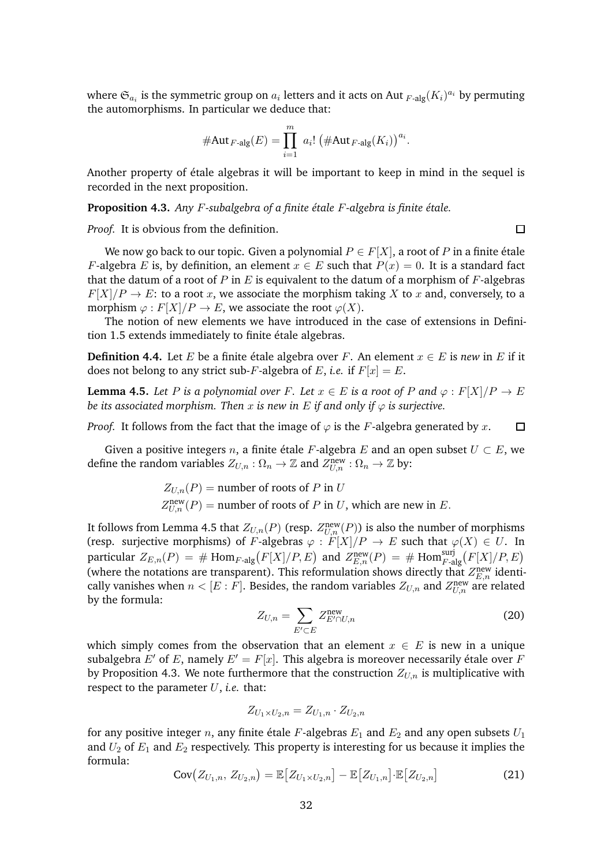where  $\mathfrak{S}_{a_i}$  is the symmetric group on  $a_i$  letters and it acts on Aut  $_{F\text{-alg}} (K_i)^{a_i}$  by permuting the automorphisms. In particular we deduce that:

$$
\# \text{Aut}_{F\text{-alg}}(E) = \prod_{i=1}^{m} a_i! \left( \# \text{Aut}_{F\text{-alg}}(K_i) \right)^{a_i}.
$$

Another property of étale algebras it will be important to keep in mind in the sequel is recorded in the next proposition.

<span id="page-31-1"></span>**Proposition 4.3.** Any F-subalgebra of a finite étale F-algebra is finite étale.

*Proof.* It is obvious from the definition.

We now go back to our topic. Given a polynomial  $P \in F[X]$ , a root of P in a finite étale F-algebra E is, by definition, an element  $x \in E$  such that  $P(x) = 0$ . It is a standard fact that the datum of a root of P in E is equivalent to the datum of a morphism of F-algebras  $F[X]/P \to E$ : to a root x, we associate the morphism taking X to x and, conversely, to a morphism  $\varphi$ :  $F[X]/P \to E$ , we associate the root  $\varphi(X)$ .

The notion of new elements we have introduced in the case of extensions in Defini-tion [1.5](#page-13-3) extends immediately to finite étale algebras.

**Definition 4.4.** Let E be a finite étale algebra over F. An element  $x \in E$  is *new* in E if it does not belong to any strict sub-F-algebra of E, *i.e.* if  $F[x] = E$ .

<span id="page-31-0"></span>**Lemma 4.5.** *Let* P *is a polynomial over* F. *Let*  $x \in E$  *is a root of* P and  $\varphi : F[X]/P \to E$ *be its associated morphism. Then* x *is new in*  $E$  *if and only if*  $\varphi$  *is surjective.* 

*Proof.* It follows from the fact that the image of  $\varphi$  is the F-algebra generated by x.  $\Box$ 

Given a positive integers n, a finite étale F-algebra E and an open subset  $U \subset E$ , we define the random variables  $Z_{U,n}$  :  $\Omega_n \to \mathbb{Z}$  and  $Z_{U,n}^{\text{new}}$  :  $\Omega_n \to \mathbb{Z}$  by:

$$
Z_{U,n}(P) =
$$
number of roots of P in U  

$$
Z_{U,n}^{\text{new}}(P) =
$$
number of roots of P in U, which are new in E.

It follows from Lemma [4.5](#page-31-0) that  $Z_{U,n}(P)$  (resp.  $Z_{U,n}^{\text{new}}(P)$ ) is also the number of morphisms (resp. surjective morphisms) of F-algebras  $\varphi : F[X]/P \to E$  such that  $\varphi(X) \in U$ . In particular  $Z_{E,n}(P) = \# \text{ Hom}_{F\text{-alg}}(F[X]/P,E)$  and  $Z_{E,n}^{\text{new}}(P) = \# \text{ Hom}_{F\text{-alg}}^{\text{surj}}(F[X]/P,E)$ (where the notations are transparent). This reformulation shows directly that  $Z_{E,n}^{\text{new}}$  identically vanishes when  $n < [E : F]$ . Besides, the random variables  $Z_{U,n}$  and  $Z_{U,n}^{\text{new}}$  are related by the formula:

$$
Z_{U,n} = \sum_{E' \subset E} Z_{E' \cap U,n}^{\text{new}} \tag{20}
$$

which simply comes from the observation that an element  $x \in E$  is new in a unique subalgebra E' of E, namely  $E' = F[x]$ . This algebra is moreover necessarily étale over F by Proposition [4.3.](#page-31-1) We note furthermore that the construction  $Z_{U,n}$  is multiplicative with respect to the parameter  $U$ , *i.e.* that:

$$
Z_{U_1\times U_2,n}=Z_{U_1,n}\cdot Z_{U_2,n}
$$

for any positive integer *n*, any finite étale F-algebras  $E_1$  and  $E_2$  and any open subsets  $U_1$ and  $U_2$  of  $E_1$  and  $E_2$  respectively. This property is interesting for us because it implies the formula:

$$
Cov(Z_{U_1,n}, Z_{U_2,n}) = \mathbb{E}[Z_{U_1 \times U_2,n}] - \mathbb{E}[Z_{U_1,n}] \cdot \mathbb{E}[Z_{U_2,n}]
$$
\n(21)

 $\Box$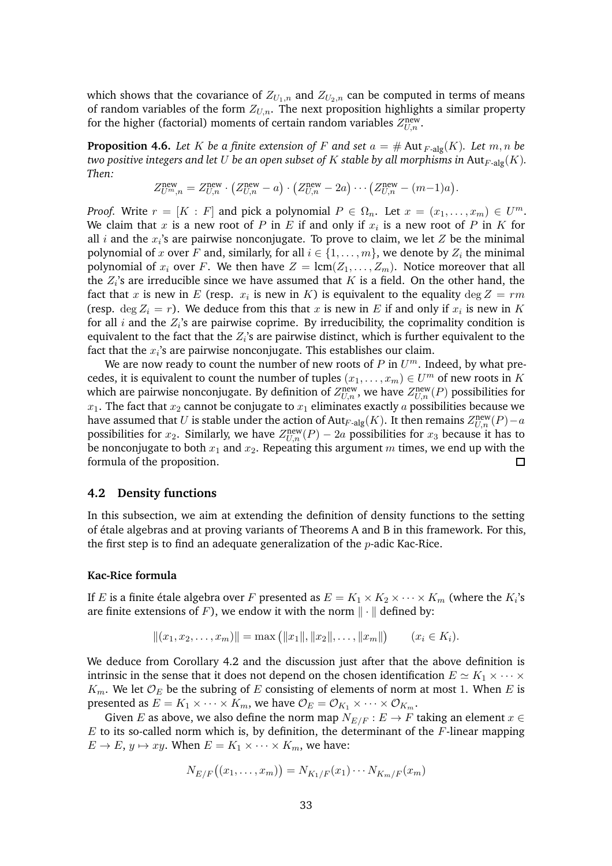which shows that the covariance of  $Z_{U_1,n}$  and  $Z_{U_2,n}$  can be computed in terms of means of random variables of the form  $Z_{U,n}$ . The next proposition highlights a similar property for the higher (factorial) moments of certain random variables  $Z_{U,n}^{\text{new}}$ .

<span id="page-32-1"></span>**Proposition 4.6.** Let K be a finite extension of F and set  $a = #$  Aut  $F\text{-alg}(K)$ . Let  $m, n$  be *two positive integers and let* U *be an open subset of* K *stable by all morphisms in* Aut $_{F-alg}(K)$ *. Then:*

$$
Z_{U^m,n}^{\text{new}} = Z_{U,n}^{\text{new}} \cdot \left( Z_{U,n}^{\text{new}} - a \right) \cdot \left( Z_{U,n}^{\text{new}} - 2a \right) \cdots \left( Z_{U,n}^{\text{new}} - (m-1)a \right).
$$

*Proof.* Write  $r = [K : F]$  and pick a polynomial  $P \in \Omega_n$ . Let  $x = (x_1, \ldots, x_m) \in U^m$ . We claim that  $x$  is a new root of  $P$  in  $E$  if and only if  $x_i$  is a new root of  $P$  in  $K$  for all *i* and the  $x_i$ 's are pairwise nonconjugate. To prove to claim, we let  $Z$  be the minimal polynomial of x over F and, similarly, for all  $i \in \{1, \ldots, m\}$ , we denote by  $Z_i$  the minimal polynomial of  $x_i$  over F. We then have  $Z = \text{lcm}(Z_1, \ldots, Z_m)$ . Notice moreover that all the  $Z_i$ 's are irreducible since we have assumed that  $K$  is a field. On the other hand, the fact that x is new in E (resp.  $x_i$  is new in K) is equivalent to the equality  $\deg Z = rm$ (resp.  $\deg Z_i = r$ ). We deduce from this that x is new in E if and only if  $x_i$  is new in K for all *i* and the  $Z_i$ 's are pairwise coprime. By irreducibility, the coprimality condition is equivalent to the fact that the  $Z_i$ 's are pairwise distinct, which is further equivalent to the fact that the  $x_i$ 's are pairwise nonconjugate. This establishes our claim.

We are now ready to count the number of new roots of  $P$  in  $U^m$ . Indeed, by what precedes, it is equivalent to count the number of tuples  $(x_1, \ldots, x_m) \in U^m$  of new roots in K which are pairwise nonconjugate. By definition of  $Z_{U,n}^{\text{new}},$  we have  $Z_{U,n}^{\text{new}}(P)$  possibilities for  $x_1$ . The fact that  $x_2$  cannot be conjugate to  $x_1$  eliminates exactly  $a$  possibilities because we have assumed that U is stable under the action of  ${\rm Aut}_{F\text{-alg}}(K)$ . It then remains  $Z_{U,n}^{\text{new}}(P)-a$ possibilities for  $x_2$ . Similarly, we have  $Z_{U,n}^{\text{new}}(P) - 2a$  possibilities for  $x_3$  because it has to be nonconjugate to both  $x_1$  and  $x_2$ . Repeating this argument m times, we end up with the formula of the proposition.  $\Box$ 

#### <span id="page-32-0"></span>**4.2 Density functions**

In this subsection, we aim at extending the definition of density functions to the setting of ´etale algebras and at proving variants of Theorems [A](#page-1-1) and [B](#page-1-0) in this framework. For this, the first step is to find an adequate generalization of the  $p$ -adic Kac-Rice.

#### **Kac-Rice formula**

If  $E$  is a finite étale algebra over  $F$  presented as  $E = K_1 \times K_2 \times \cdots \times K_m$  (where the  $K_i$ 's are finite extensions of F), we endow it with the norm  $\|\cdot\|$  defined by:

$$
||(x_1, x_2, \dots, x_m)|| = \max (||x_1||, ||x_2||, \dots, ||x_m||) \qquad (x_i \in K_i).
$$

We deduce from Corollary [4.2](#page-30-2) and the discussion just after that the above definition is intrinsic in the sense that it does not depend on the chosen identification  $E \simeq K_1 \times \cdots \times$  $K_m$ . We let  $\mathcal{O}_E$  be the subring of E consisting of elements of norm at most 1. When E is presented as  $E = K_1 \times \cdots \times K_m$ , we have  $\mathcal{O}_E = \mathcal{O}_{K_1} \times \cdots \times \mathcal{O}_{K_m}$ .

Given E as above, we also define the norm map  $N_{E/F}$  :  $E \rightarrow F$  taking an element  $x \in$  $E$  to its so-called norm which is, by definition, the determinant of the  $F$ -linear mapping  $E \to E$ ,  $y \mapsto xy$ . When  $E = K_1 \times \cdots \times K_m$ , we have:

$$
N_{E/F}((x_1,\ldots,x_m))=N_{K_1/F}(x_1)\cdots N_{K_m/F}(x_m)
$$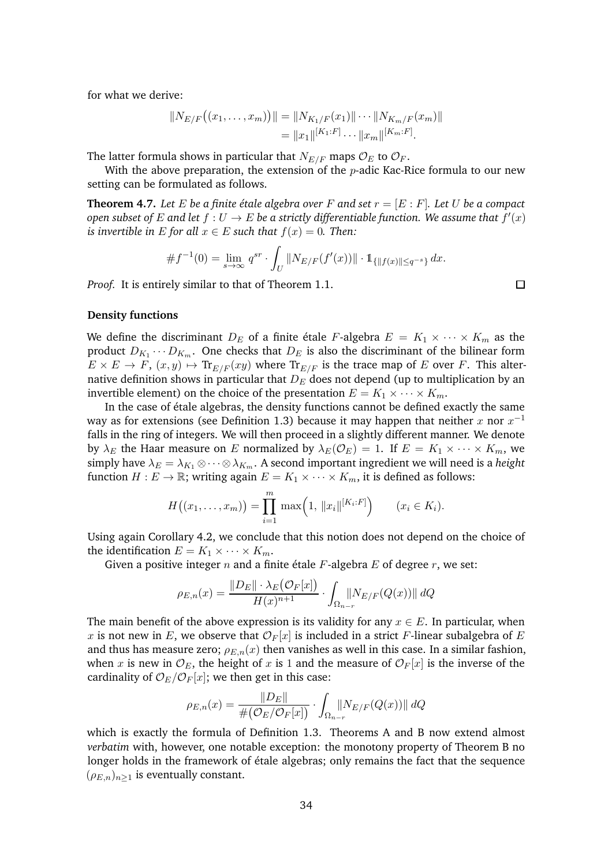for what we derive:

$$
||N_{E/F}((x_1,...,x_m))|| = ||N_{K_1/F}(x_1)|| \cdots ||N_{K_m/F}(x_m)||
$$
  
=  $||x_1||^{[K_1:F]} \cdots ||x_m||^{[K_m:F]}.$ 

The latter formula shows in particular that  $N_{E/F}$  maps  $\mathcal{O}_E$  to  $\mathcal{O}_F$ .

With the above preparation, the extension of the  $p$ -adic Kac-Rice formula to our new setting can be formulated as follows.

**Theorem 4.7.** Let E be a finite étale algebra over F and set  $r = [E : F]$ . Let U be a compact  $\emph{open subset of } E \emph{ and let } f: U \rightarrow E \emph{ be a strictly differentiable function. We assume that } f'(x)$ *is invertible in*  $E$  *for all*  $x \in E$  *such that*  $f(x) = 0$ *. Then:* 

$$
\#f^{-1}(0) = \lim_{s \to \infty} q^{sr} \cdot \int_U \|N_{E/F}(f'(x))\| \cdot 1_{\{|f(x)\| \le q^{-s}\}} dx.
$$

*Proof.* It is entirely similar to that of Theorem [1.1.](#page-6-3)

 $\Box$ 

#### **Density functions**

We define the discriminant  $D_E$  of a finite étale F-algebra  $E = K_1 \times \cdots \times K_m$  as the product  $D_{K_1} \cdots D_{K_m}$ . One checks that  $D_E$  is also the discriminant of the bilinear form  $E \times E \to F$ ,  $(x, y) \mapsto \text{Tr}_{E/F}(xy)$  where  $\text{Tr}_{E/F}$  is the trace map of E over F. This alternative definition shows in particular that  $D<sub>E</sub>$  does not depend (up to multiplication by an invertible element) on the choice of the presentation  $E = K_1 \times \cdots \times K_m$ .

In the case of étale algebras, the density functions cannot be defined exactly the same way as for extensions (see Definition [1.3\)](#page-9-1) because it may happen that neither  $x$  nor  $x^{-1}$ falls in the ring of integers. We will then proceed in a slightly different manner. We denote by  $\lambda_E$  the Haar measure on E normalized by  $\lambda_E(\mathcal{O}_E) = 1$ . If  $E = K_1 \times \cdots \times K_m$ , we simply have  $\lambda_E = \lambda_{K_1} \otimes \cdots \otimes \lambda_{K_m}$ . A second important ingredient we will need is a *height* function  $H : E \to \mathbb{R}$ ; writing again  $E = K_1 \times \cdots \times K_m$ , it is defined as follows:

$$
H((x_1,\ldots,x_m)) = \prod_{i=1}^m \max\Big(1,\,||x_i||^{[K_i:F]}\Big) \qquad (x_i \in K_i).
$$

Using again Corollary [4.2,](#page-30-2) we conclude that this notion does not depend on the choice of the identification  $E = K_1 \times \cdots \times K_m$ .

Given a positive integer  $n$  and a finite étale  $F$ -algebra  $E$  of degree  $r$ , we set:

$$
\rho_{E,n}(x) = \frac{\|D_E\| \cdot \lambda_E(\mathcal{O}_F[x])}{H(x)^{n+1}} \cdot \int_{\Omega_{n-r}} \lVert N_{E/F}(Q(x)) \rVert \, dQ
$$

The main benefit of the above expression is its validity for any  $x \in E$ . In particular, when x is not new in E, we observe that  $\mathcal{O}_F[x]$  is included in a strict F-linear subalgebra of E and thus has measure zero;  $\rho_{E,n}(x)$  then vanishes as well in this case. In a similar fashion, when x is new in  $\mathcal{O}_E$ , the height of x is 1 and the measure of  $\mathcal{O}_F[x]$  is the inverse of the cardinality of  $\mathcal{O}_E/\mathcal{O}_F[x]$ ; we then get in this case:

$$
\rho_{E,n}(x) = \frac{\|D_E\|}{\#(\mathcal{O}_E/\mathcal{O}_F[x])} \cdot \int_{\Omega_{n-r}} \lVert N_{E/F}(Q(x)) \rVert \, dQ
$$

which is exactly the formula of Definition [1.3.](#page-9-1) Theorems [A](#page-1-1) and [B](#page-1-0) now extend almost *verbatim* with, however, one notable exception: the monotony property of Theorem [B](#page-1-0) no longer holds in the framework of étale algebras; only remains the fact that the sequence  $(\rho_{E,n})_{n>1}$  is eventually constant.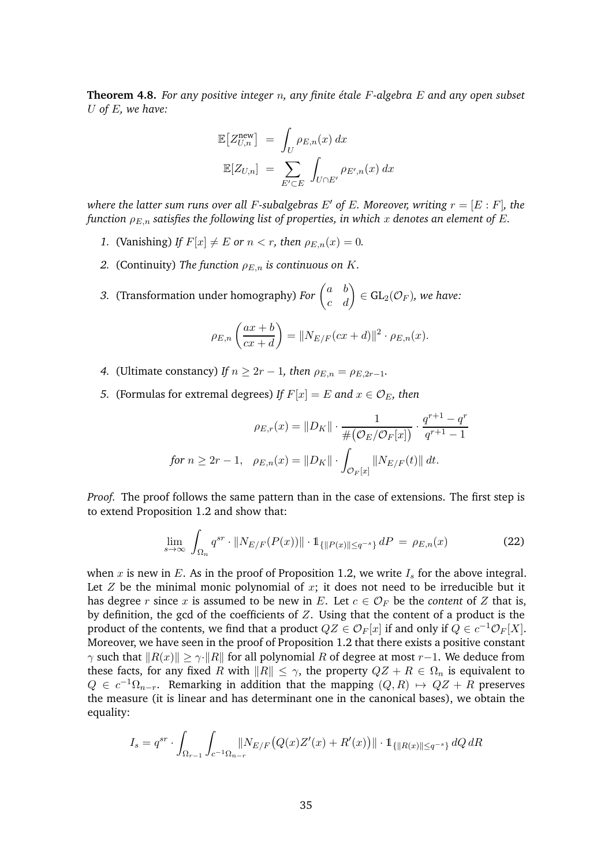<span id="page-34-1"></span>**Theorem 4.8.** For any positive integer n, any finite étale F-algebra E and any open subset U *of* E*, we have:*

$$
\mathbb{E}\left[Z_{U,n}^{\text{new}}\right] = \int_{U} \rho_{E,n}(x) dx
$$

$$
\mathbb{E}[Z_{U,n}] = \sum_{E' \subset E} \int_{U \cap E'} \rho_{E',n}(x) dx
$$

*where the latter sum runs over all F-subalgebras E' of E. Moreover, writing*  $r = [E : F]$ *, the function*  $\rho_{E,n}$  *satisfies the following list of properties, in which* x *denotes an element of* E.

- *1.* (Vanishing) If  $F[x] \neq E$  or  $n < r$ , then  $\rho_{E,n}(x) = 0$ .
- *2.* (Continuity) The function  $\rho_{E,n}$  is continuous on K.
- *3.* (Transformation under homography) *For*  $\begin{pmatrix} a & b \\ c & d \end{pmatrix} \in GL_2(\mathcal{O}_F)$ *, we have:*

$$
\rho_{E,n}\left(\frac{ax+b}{cx+d}\right) = ||N_{E/F}(cx+d)||^2 \cdot \rho_{E,n}(x).
$$

- *4.* (Ultimate constancy) *If*  $n \geq 2r 1$ , then  $\rho_{E,n} = \rho_{E,2r-1}$ .
- *5.* (Formulas for extremal degrees) *If*  $F[x] = E$  and  $x \in \mathcal{O}_E$ , then

$$
\rho_{E,r}(x) = ||D_K|| \cdot \frac{1}{\#(\mathcal{O}_E/\mathcal{O}_F[x])} \cdot \frac{q^{r+1} - q^r}{q^{r+1} - 1}
$$
  
for  $n \ge 2r - 1$ ,  $\rho_{E,n}(x) = ||D_K|| \cdot \int_{\mathcal{O}_F[x]} ||N_{E/F}(t)|| dt$ .

*Proof.* The proof follows the same pattern than in the case of extensions. The first step is to extend Proposition [1.2](#page-7-2) and show that:

<span id="page-34-0"></span>
$$
\lim_{s \to \infty} \int_{\Omega_n} q^{sr} \cdot \|N_{E/F}(P(x))\| \cdot 1_{\{\|P(x)\| \le q^{-s}\}} dP = \rho_{E,n}(x)
$$
\n(22)

when x is new in E. As in the proof of Proposition [1.2,](#page-7-2) we write  $I_s$  for the above integral. Let  $Z$  be the minimal monic polynomial of  $x$ ; it does not need to be irreducible but it has degree r since x is assumed to be new in E. Let  $c \in \mathcal{O}_F$  be the *content* of Z that is, by definition, the gcd of the coefficients of  $Z$ . Using that the content of a product is the product of the contents, we find that a product  $QZ \in \mathcal{O}_F[x]$  if and only if  $Q \in c^{-1}\mathcal{O}_F[X]$ . Moreover, we have seen in the proof of Proposition [1.2](#page-7-2) that there exists a positive constant  $\gamma$  such that  $||R(x)|| \ge \gamma \cdot ||R||$  for all polynomial R of degree at most r−1. We deduce from these facts, for any fixed R with  $||R|| \leq \gamma$ , the property  $QZ + R \in \Omega_n$  is equivalent to  $Q \in c^{-1}\Omega_{n-r}$ . Remarking in addition that the mapping  $(Q, R) \mapsto QZ + R$  preserves the measure (it is linear and has determinant one in the canonical bases), we obtain the equality:

$$
I_s = q^{sr} \cdot \int_{\Omega_{r-1}} \int_{c^{-1}\Omega_{n-r}} \left\| N_{E/F} \big( Q(x) Z'(x) + R'(x) \big) \right\| \cdot \mathbb{1}_{\{\| R(x) \| \le q^{-s} \}} dQ \, dR
$$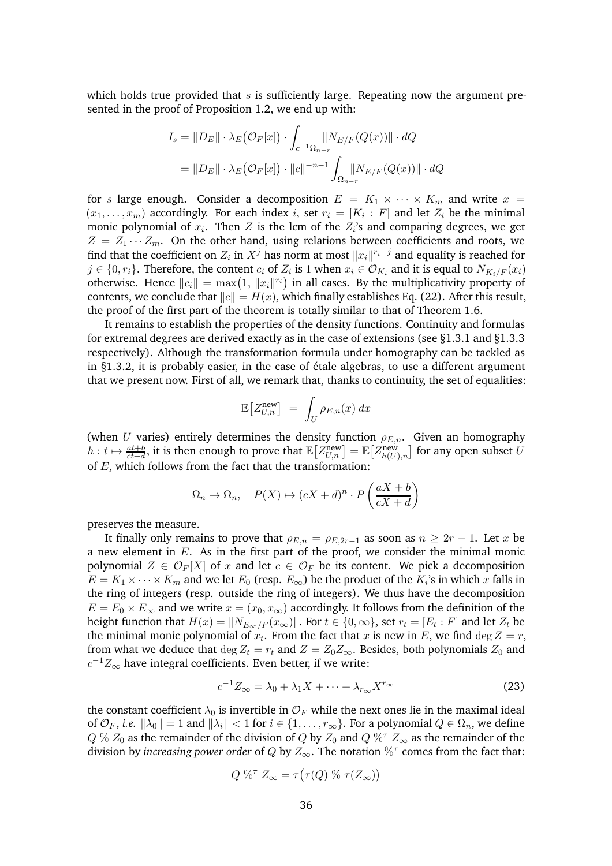which holds true provided that  $s$  is sufficiently large. Repeating now the argument presented in the proof of Proposition [1.2,](#page-7-2) we end up with:

$$
I_s = ||D_E|| \cdot \lambda_E(\mathcal{O}_F[x]) \cdot \int_{c^{-1}\Omega_{n-r}} \lVert N_{E/F}(Q(x)) \rVert \cdot dQ
$$
  
= 
$$
||D_E|| \cdot \lambda_E(\mathcal{O}_F[x]) \cdot ||c||^{-n-1} \int_{\Omega_{n-r}} \lVert N_{E/F}(Q(x)) \rVert \cdot dQ
$$

for s large enough. Consider a decomposition  $E = K_1 \times \cdots \times K_m$  and write  $x =$  $(x_1, \ldots, x_m)$  accordingly. For each index *i*, set  $r_i = [K_i : F]$  and let  $Z_i$  be the minimal monic polynomial of  $x_i$ . Then  $Z$  is the lcm of the  $Z_i$ 's and comparing degrees, we get  $Z = Z_1 \cdots Z_m$ . On the other hand, using relations between coefficients and roots, we find that the coefficient on  $Z_i$  in  $X^j$  has norm at most  $||x_i||^{r_i-j}$  and equality is reached for  $j \in \{0, r_i\}$ . Therefore, the content  $c_i$  of  $Z_i$  is 1 when  $x_i \in \mathcal{O}_{K_i}$  and it is equal to  $N_{K_i/F}(x_i)$ otherwise. Hence  $||c_i|| = \max(1, ||x_i||^{r_i})$  in all cases. By the multiplicativity property of contents, we conclude that  $||c|| = H(x)$ , which finally establishes Eq. [\(22\)](#page-34-0). After this result, the proof of the first part of the theorem is totally similar to that of Theorem [1.6.](#page-13-1)

It remains to establish the properties of the density functions. Continuity and formulas for extremal degrees are derived exactly as in the case of extensions (see  $\S 1.3.1$  and  $\S 1.3.3$ respectively). Although the transformation formula under homography can be tackled as in  $\S$ 1.3.2, it is probably easier, in the case of étale algebras, to use a different argument that we present now. First of all, we remark that, thanks to continuity, the set of equalities:

$$
\mathbb{E}\big[Z_{U,n}^{\text{new}}\big] = \int_U \rho_{E,n}(x) \, dx
$$

(when U varies) entirely determines the density function  $\rho_{E,n}$ . Given an homography  $h:t\mapsto \frac{at+b}{ct+d}$ , it is then enough to prove that  $\mathbb{E}\big[Z_{U,n}^{\text{new}}\big]=\mathbb{E}\big[Z_{h(U),n}^{\text{new}}\big]$  for any open subset  $U$ of  $E$ , which follows from the fact that the transformation:

$$
\Omega_n \to \Omega_n, \quad P(X) \to (cX + d)^n \cdot P\left(\frac{aX + b}{cX + d}\right)
$$

preserves the measure.

It finally only remains to prove that  $\rho_{E,n} = \rho_{E,2r-1}$  as soon as  $n \geq 2r - 1$ . Let x be a new element in  $E$ . As in the first part of the proof, we consider the minimal monic polynomial  $Z \in \mathcal{O}_F[X]$  of x and let  $c \in \mathcal{O}_F$  be its content. We pick a decomposition  $E = K_1 \times \cdots \times K_m$  and we let  $E_0$  (resp.  $E_{\infty}$ ) be the product of the  $K_i$ 's in which x falls in the ring of integers (resp. outside the ring of integers). We thus have the decomposition  $E = E_0 \times E_\infty$  and we write  $x = (x_0, x_\infty)$  accordingly. It follows from the definition of the height function that  $H(x) = \|N_{E_{\infty}/F}(x_{\infty})\|$ . For  $t \in \{0, \infty\}$ , set  $r_t = [E_t : F]$  and let  $Z_t$  be the minimal monic polynomial of  $x_t$ . From the fact that  $x$  is new in  $E$ , we find  $\deg Z = r$ , from what we deduce that  $\deg Z_t = r_t$  and  $Z = Z_0 Z_\infty$ . Besides, both polynomials  $Z_0$  and  $c^{-1}Z_\infty$  have integral coefficients. Even better, if we write:

<span id="page-35-0"></span>
$$
c^{-1}Z_{\infty} = \lambda_0 + \lambda_1 X + \dots + \lambda_{r_{\infty}} X^{r_{\infty}} \tag{23}
$$

the constant coefficient  $\lambda_0$  is invertible in  $\mathcal{O}_F$  while the next ones lie in the maximal ideal of  $\mathcal{O}_F$ , *i.e.*  $\|\lambda_0\| = 1$  and  $\|\lambda_i\| < 1$  for  $i \in \{1, \ldots, r_\infty\}$ . For a polynomial  $Q \in \Omega_n$ , we define  $Q \% Z_0$  as the remainder of the division of  $Q$  by  $Z_0$  and  $Q \%^{\tau} Z_{\infty}$  as the remainder of the division by *increasing power order* of  $Q$  by  $Z_{\infty}$ . The notation  $\%^{\tau}$  comes from the fact that:

$$
Q \mathcal{K}^{\tau} Z_{\infty} = \tau(\tau(Q) \mathcal{K} \tau(Z_{\infty}))
$$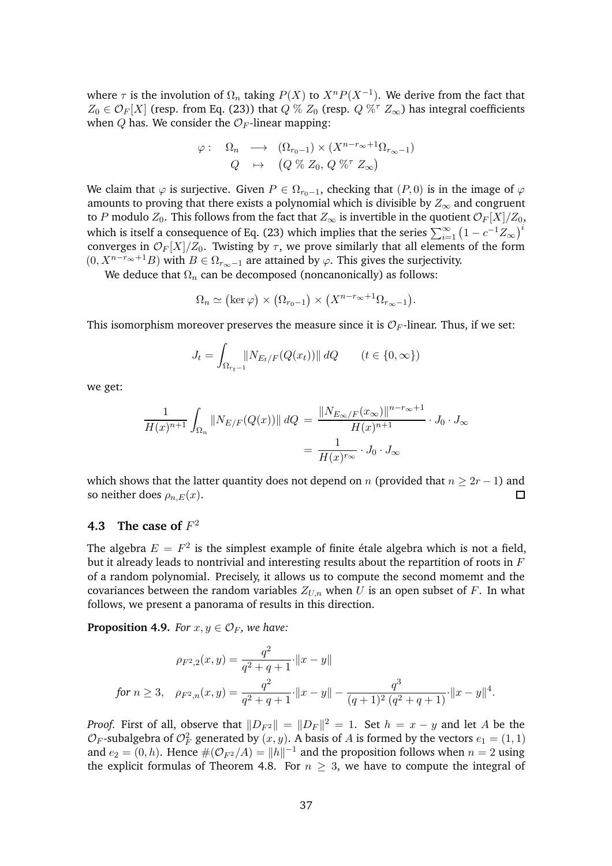where  $\tau$  is the involution of  $\Omega_n$  taking  $P(X)$  to  $X^n P(X^{-1})$ . We derive from the fact that  $Z_0 \in \mathcal{O}_F[X]$  (resp. from Eq. [\(23\)](#page-35-0)) that  $Q \% Z_0$  (resp.  $Q \%^{\tau} Z_{\infty}$ ) has integral coefficients when Q has. We consider the  $\mathcal{O}_F$ -linear mapping:

$$
\varphi: \quad \Omega_n \quad \longrightarrow \quad (\Omega_{r_0-1}) \times (X^{n-r_{\infty}+1} \Omega_{r_{\infty}-1})
$$

$$
Q \quad \mapsto \quad (Q \text{ % } Z_0, \ Q \text{ % } Z_{\infty})
$$

We claim that  $\varphi$  is surjective. Given  $P \in \Omega_{r_0-1}$ , checking that  $(P, 0)$  is in the image of  $\varphi$ amounts to proving that there exists a polynomial which is divisible by  $Z_{\infty}$  and congruent to P modulo  $Z_0$ . This follows from the fact that  $Z_\infty$  is invertible in the quotient  $\mathcal{O}_F[X]/Z_0$ , which is itself a consequence of Eq. [\(23\)](#page-35-0) which implies that the series  $\sum_{i=1}^{\infty} \left(1 - c^{-1} Z_{\infty}\right)^i$ converges in  $\mathcal{O}_F[X]/Z_0$ . Twisting by  $\tau$ , we prove similarly that all elements of the form  $(0, X^{n-r_{\infty}+1}B)$  with  $B \in \Omega_{r_{\infty}-1}$  are attained by  $\varphi$ . This gives the surjectivity.

We deduce that  $\Omega_n$  can be decomposed (noncanonically) as follows:

$$
\Omega_n \simeq (\ker \varphi) \times (\Omega_{r_0-1}) \times (X^{n-r_{\infty}+1} \Omega_{r_{\infty}-1}).
$$

This isomorphism moreover preserves the measure since it is  $\mathcal{O}_F$ -linear. Thus, if we set:

$$
J_t = \int_{\Omega_{r_t - 1}} \| N_{E_t/F}(Q(x_t)) \| \, dQ \qquad (t \in \{0, \infty\})
$$

we get:

$$
\frac{1}{H(x)^{n+1}} \int_{\Omega_n} ||N_{E/F}(Q(x))|| \, dQ = \frac{||N_{E_\infty/F}(x_\infty)||^{n-r_\infty+1}}{H(x)^{n+1}} \cdot J_0 \cdot J_\infty
$$
\n
$$
= \frac{1}{H(x)^{r_\infty}} \cdot J_0 \cdot J_\infty
$$

which shows that the latter quantity does not depend on *n* (provided that *n*  $\geq 2r - 1$ ) and so neither does  $\rho_n F(x)$ . so neither does  $\rho_{n,E}(x)$ .

## <span id="page-36-0"></span>**4.3** The case of  $F^2$

The algebra  $E = F^2$  is the simplest example of finite étale algebra which is not a field, but it already leads to nontrivial and interesting results about the repartition of roots in  $F$ of a random polynomial. Precisely, it allows us to compute the second momemt and the covariances between the random variables  $Z_{U,n}$  when U is an open subset of F. In what follows, we present a panorama of results in this direction.

<span id="page-36-1"></span>**Proposition 4.9.** *For*  $x, y \in \mathcal{O}_F$ *, we have:* 

$$
\rho_{F^2,2}(x,y) = \frac{q^2}{q^2+q+1} \cdot ||x-y||
$$
  
for  $n \ge 3$ ,  $\rho_{F^2,n}(x,y) = \frac{q^2}{q^2+q+1} \cdot ||x-y|| - \frac{q^3}{(q+1)^2 (q^2+q+1)} \cdot ||x-y||^4$ .

*Proof.* First of all, observe that  $||D_{F^2}|| = ||D_F||^2 = 1$ . Set  $h = x - y$  and let A be the  $\mathcal{O}_F$ -subalgebra of  $\mathcal{O}_F^2$  generated by  $(x, y)$ . A basis of A is formed by the vectors  $e_1 = (1, 1)$ and  $e_2 = (0, h)$ . Hence  $\#(\mathcal{O}_{F^2}/A) = ||h||^{-1}$  and the proposition follows when  $n = 2$  using the explicit formulas of Theorem [4.8.](#page-34-1) For  $n \geq 3$ , we have to compute the integral of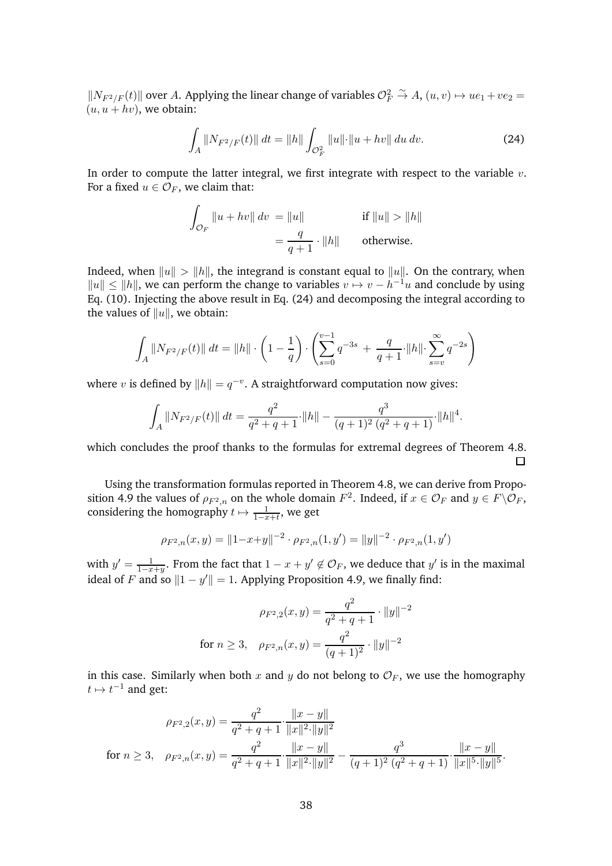$||N_{F^2/F}(t)||$  over A. Applying the linear change of variables  $\mathcal{O}_F^2 \overset{\sim}{\to} A$ ,  $(u, v) \mapsto ue_1 +ve_2$  =  $(u, u + hv)$ , we obtain:

<span id="page-37-0"></span>
$$
\int_{A} \|N_{F^{2}/F}(t)\| dt = \|h\| \int_{\mathcal{O}_{F}^{2}} \|u\| \cdot \|u + hv\| du dv.
$$
\n(24)

In order to compute the latter integral, we first integrate with respect to the variable  $v$ . For a fixed  $u \in \mathcal{O}_F$ , we claim that:

$$
\int_{\mathcal{O}_F} ||u + hv|| \, dv = ||u|| \qquad \text{if } ||u|| > ||h||
$$
\n
$$
= \frac{q}{q+1} \cdot ||h|| \qquad \text{otherwise.}
$$

Indeed, when  $||u|| > ||h||$ , the integrand is constant equal to  $||u||$ . On the contrary, when  $||u|| \le ||h||$ , we can perform the change to variables  $v \mapsto v - h^{-1}u$  and conclude by using Eq. [\(10\)](#page-11-1). Injecting the above result in Eq. [\(24\)](#page-37-0) and decomposing the integral according to the values of  $||u||$ , we obtain:

$$
\int_A ||N_{F^2/F}(t)|| dt = ||h|| \cdot \left(1 - \frac{1}{q}\right) \cdot \left(\sum_{s=0}^{v-1} q^{-3s} + \frac{q}{q+1} \cdot ||h|| \cdot \sum_{s=v}^{\infty} q^{-2s}\right)
$$

where v is defined by  $||h|| = q^{-v}$ . A straightforward computation now gives:

$$
\int_A ||N_{F^2/F}(t)|| \, dt = \frac{q^2}{q^2+q+1} \cdot ||h|| - \frac{q^3}{(q+1)^2 (q^2+q+1)} \cdot ||h||^4.
$$

which concludes the proof thanks to the formulas for extremal degrees of Theorem [4.8.](#page-34-1)  $\Box$ 

Using the transformation formulas reported in Theorem [4.8,](#page-34-1) we can derive from Propo-sition [4.9](#page-36-1) the values of  $\rho_{F^2,n}$  on the whole domain  $F^2$ . Indeed, if  $x \in \mathcal{O}_F$  and  $y \in F \backslash \mathcal{O}_F$ , considering the homography  $t \mapsto \frac{1}{1-x+t}$ , we get

$$
\rho_{F^2,n}(x,y) = ||1-x+y||^{-2} \cdot \rho_{F^2,n}(1,y') = ||y||^{-2} \cdot \rho_{F^2,n}(1,y')
$$

with  $y' = \frac{1}{1-x+y}$ . From the fact that  $1-x+y' \notin \mathcal{O}_F$ , we deduce that  $y'$  is in the maximal ideal of F and so  $||1 - y'|| = 1$ . Applying Proposition [4.9,](#page-36-1) we finally find:

$$
\rho_{F^2,2}(x,y) = \frac{q^2}{q^2 + q + 1} \cdot ||y||^{-2}
$$
  
for  $n \ge 3$ ,  $\rho_{F^2,n}(x,y) = \frac{q^2}{(q+1)^2} \cdot ||y||^{-2}$ 

in this case. Similarly when both x and y do not belong to  $\mathcal{O}_F$ , we use the homography  $t \mapsto t^{-1}$  and get:

$$
\rho_{F^2,2}(x,y) = \frac{q^2}{q^2+q+1} \cdot \frac{\|x-y\|}{\|x\|^2 \cdot \|y\|^2}
$$
  
for  $n \ge 3$ ,  $\rho_{F^2,n}(x,y) = \frac{q^2}{q^2+q+1} \cdot \frac{\|x-y\|}{\|x\|^2 \cdot \|y\|^2} - \frac{q^3}{(q+1)^2 (q^2+q+1)} \cdot \frac{\|x-y\|}{\|x\|^5 \cdot \|y\|^5}.$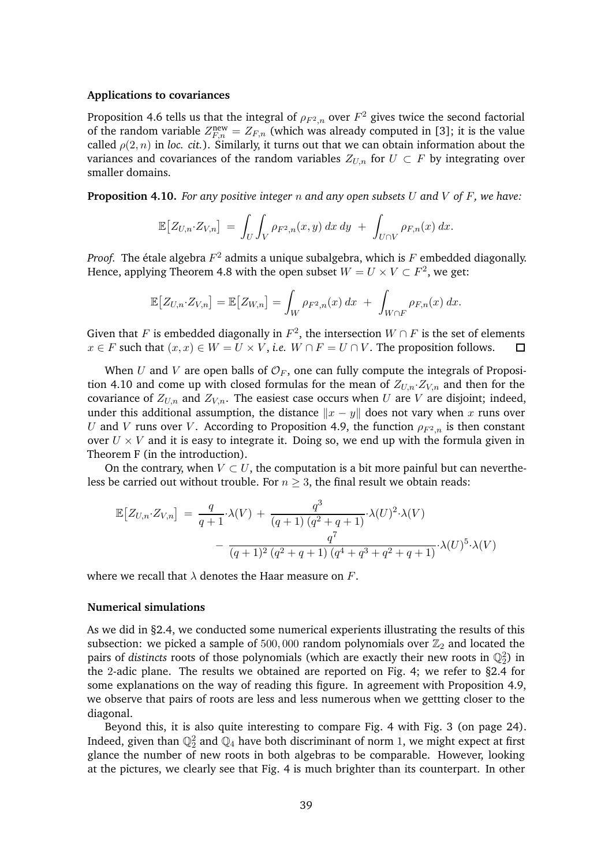#### **Applications to covariances**

Proposition [4.6](#page-32-1) tells us that the integral of  $\rho_{F^2,n}$  over  $F^2$  gives twice the second factorial of the random variable  $Z_{F,n}^{\text{new}} = Z_{F,n}$  (which was already computed in [\[3\]](#page-41-9); it is the value called  $\rho(2, n)$  in *loc. cit.*). Similarly, it turns out that we can obtain information about the variances and covariances of the random variables  $Z_{U,n}$  for  $U \subset F$  by integrating over smaller domains.

<span id="page-38-0"></span>**Proposition 4.10.** *For any positive integer* n *and any open subsets* U *and* V *of* F*, we have:*

$$
\mathbb{E}\big[Z_{U,n}\cdot Z_{V,n}\big] = \int_U \int_V \rho_{F^2,n}(x,y) \, dx \, dy + \int_{U \cap V} \rho_{F,n}(x) \, dx.
$$

*Proof.* The étale algebra  $F^2$  admits a unique subalgebra, which is  $F$  embedded diagonally. Hence, applying Theorem [4.8](#page-34-1) with the open subset  $W = U \times V \subset F^2$ , we get:

$$
\mathbb{E}\big[Z_{U,n}\cdot Z_{V,n}\big] = \mathbb{E}\big[Z_{W,n}\big] = \int_W \rho_{F^2,n}(x) \, dx + \int_{W \cap F} \rho_{F,n}(x) \, dx.
$$

Given that F is embedded diagonally in  $F^2$ , the intersection  $W \cap F$  is the set of elements  $x \in F$  such that  $(x, x) \in W = U \times V$ , *i.e.*  $W \cap F = U \cap V$ . The proposition follows.

When U and V are open balls of  $\mathcal{O}_F$ , one can fully compute the integrals of Proposi-tion [4.10](#page-38-0) and come up with closed formulas for the mean of  $Z_{U,n}Z_{V,n}$  and then for the covariance of  $Z_{U,n}$  and  $Z_{V,n}$ . The easiest case occurs when U are V are disjoint; indeed, under this additional assumption, the distance  $\|x - y\|$  does not vary when x runs over U and V runs over V. According to Proposition [4.9,](#page-36-1) the function  $\rho_{F^2,n}$  is then constant over  $U \times V$  and it is easy to integrate it. Doing so, we end up with the formula given in Theorem [F](#page-4-2) (in the introduction).

On the contrary, when  $V \subset U$ , the computation is a bit more painful but can nevertheless be carried out without trouble. For  $n \geq 3$ , the final result we obtain reads:

$$
\mathbb{E}\left[Z_{U,n} \cdot Z_{V,n}\right] = \frac{q}{q+1} \cdot \lambda(V) + \frac{q^3}{(q+1)\left(q^2+q+1\right)} \cdot \lambda(U)^2 \cdot \lambda(V) - \frac{q^7}{(q+1)^2\left(q^2+q+1\right)\left(q^4+q^3+q^2+q+1\right)} \cdot \lambda(U)^5 \cdot \lambda(V)
$$

where we recall that  $\lambda$  denotes the Haar measure on F.

#### **Numerical simulations**

As we did in [§2.4,](#page-21-1) we conducted some numerical experients illustrating the results of this subsection: we picked a sample of 500,000 random polynomials over  $\mathbb{Z}_2$  and located the pairs of *distincts* roots of those polynomials (which are exactly their new roots in  $\mathbb{Q}_2^2$ ) in the 2-adic plane. The results we obtained are reported on Fig. [4;](#page-39-1) we refer to [§2.4](#page-21-1) for some explanations on the way of reading this figure. In agreement with Proposition [4.9,](#page-36-1) we observe that pairs of roots are less and less numerous when we gettting closer to the diagonal.

Beyond this, it is also quite interesting to compare Fig. [4](#page-39-1) with Fig. [3](#page-23-1) (on page [24\)](#page-23-1). Indeed, given than  $\mathbb{Q}_2^2$  and  $\mathbb{Q}_4$  have both discriminant of norm 1, we might expect at first glance the number of new roots in both algebras to be comparable. However, looking at the pictures, we clearly see that Fig. [4](#page-39-1) is much brighter than its counterpart. In other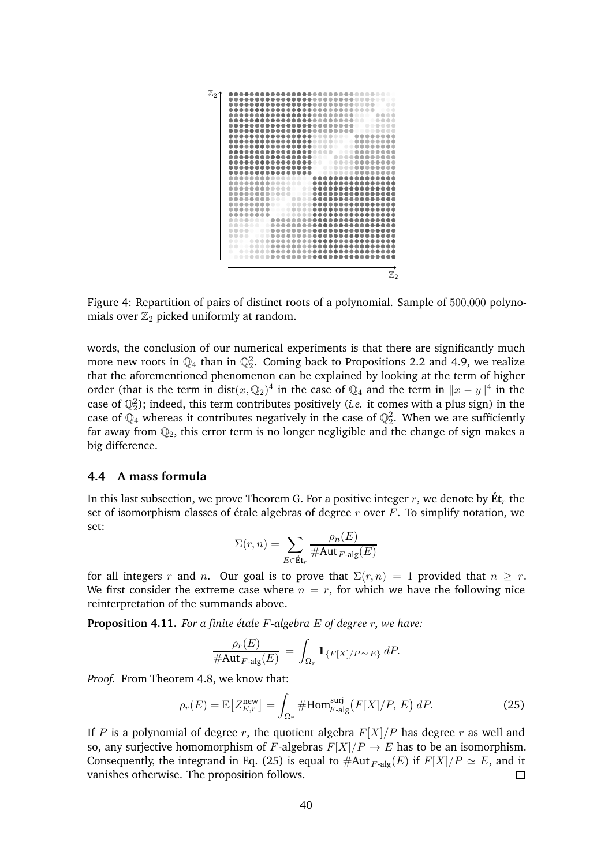

<span id="page-39-1"></span>Figure 4: Repartition of pairs of distinct roots of a polynomial. Sample of 500,000 polynomials over  $\mathbb{Z}_2$  picked uniformly at random.

words, the conclusion of our numerical experiments is that there are significantly much more new roots in  $\mathbb{Q}_4$  than in  $\mathbb{Q}_2^2$ . Coming back to Propositions [2.2](#page-16-0) and [4.9,](#page-36-1) we realize that the aforementioned phenomenon can be explained by looking at the term of higher order (that is the term in dist( $x$ ,  $\mathbb{Q}_2$ )<sup>4</sup> in the case of  $\mathbb{Q}_4$  and the term in  $||x - y||^4$  in the case of  $\mathbb{Q}_2^2$ ); indeed, this term contributes positively (*i.e.* it comes with a plus sign) in the case of  $\mathbb{Q}_4$  whereas it contributes negatively in the case of  $\mathbb{Q}_2^2$ . When we are sufficiently far away from  $\mathbb{Q}_2$ , this error term is no longer negligible and the change of sign makes a big difference.

#### <span id="page-39-0"></span>**4.4 A mass formula**

In this last subsection, we prove Theorem [G.](#page-4-1) For a positive integer r, we denote by  $\mathbf{\hat{E}}\mathbf{t}_r$  the set of isomorphism classes of étale algebras of degree  $r$  over  $F$ . To simplify notation, we set:

$$
\Sigma(r, n) = \sum_{E \in \mathbf{\acute{E}t}} \frac{\rho_n(E)}{\#\mathrm{Aut}_{F\text{-alg}}(E)}
$$

for all integers r and n. Our goal is to prove that  $\Sigma(r,n) = 1$  provided that  $n \geq r$ . We first consider the extreme case where  $n = r$ , for which we have the following nice reinterpretation of the summands above.

<span id="page-39-3"></span>**Proposition 4.11.** For a finite étale F-algebra E of degree r, we have:

<span id="page-39-2"></span>
$$
\frac{\rho_r(E)}{\#\text{Aut}_{F\text{-alg}}(E)} = \int_{\Omega_r} \mathbb{1}_{\{F[X]/P \simeq E\}} dP.
$$

*Proof.* From Theorem [4.8,](#page-34-1) we know that:

$$
\rho_r(E) = \mathbb{E}\left[Z_{E,r}^{\text{new}}\right] = \int_{\Omega_r} \# \text{Hom}_{F\text{-alg}}^{\text{surj}} \big(F[X]/P, E\big) \, dP. \tag{25}
$$

If P is a polynomial of degree r, the quotient algebra  $F[X]/P$  has degree r as well and so, any surjective homomorphism of F-algebras  $F[X]/P \to E$  has to be an isomorphism. Consequently, the integrand in Eq. [\(25\)](#page-39-2) is equal to #Aut  $_{F\text{-alg}}(E)$  if  $F[X]/P \simeq E$ , and it vanishes otherwise. The proposition follows. vanishes otherwise. The proposition follows.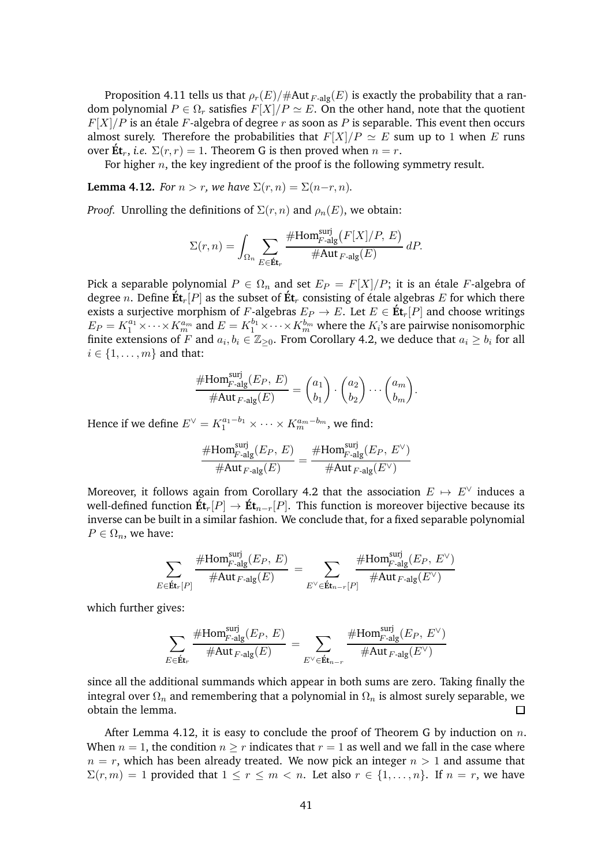Proposition [4.11](#page-39-3) tells us that  $\rho_r(E)/\#\text{Aut}_{F\text{-alg}}(E)$  is exactly the probability that a random polynomial  $P \in \Omega_r$  satisfies  $F[X]/P \simeq E$ . On the other hand, note that the quotient  $F[X]/P$  is an étale F-algebra of degree r as soon as P is separable. This event then occurs almost surely. Therefore the probabilities that  $F[X]/P \simeq E$  sum up to 1 when E runs over  $\mathbf{\acute{E}} \mathbf{t}_r$ , *i.e.*  $\Sigma(r,r) = 1$ . Theorem [G](#page-4-1) is then proved when  $n = r$ .

For higher  $n$ , the key ingredient of the proof is the following symmetry result.

<span id="page-40-0"></span>**Lemma 4.12.** *For*  $n > r$ *, we have*  $\Sigma(r, n) = \Sigma(n-r, n)$ *.* 

*Proof.* Unrolling the definitions of  $\Sigma(r, n)$  and  $\rho_n(E)$ , we obtain:

$$
\Sigma(r,n) = \int_{\Omega_n} \sum_{E \in \mathbf{Ét}_r} \frac{\# \mathrm{Hom}^{\mathrm{surj}}_{F\text{-alg}}\big(F[X]/P,\, E\big)}{\# \mathrm{Aut}_{F\text{-alg}}(E)}\, dP.
$$

Pick a separable polynomial  $P \in \Omega_n$  and set  $E_P = F[X]/P$ ; it is an étale F-algebra of degree n. Define  $\mathbf{\acute{E}t}_r[P]$  as the subset of  $\mathbf{\acute{E}t}_r$  consisting of étale algebras E for which there exists a surjective morphism of F-algebras  $E_P \to E$ . Let  $E \in \text{Et}_r[P]$  and choose writings  $E_P = K_1^{a_1} \times \cdots \times K_m^{a_m}$  and  $E = K_1^{b_1} \times \cdots \times K_m^{b_m}$  where the  $K_i$ 's are pairwise nonisomorphic finite extensions of F and  $a_i, b_i \in \mathbb{Z}_{\geq 0}$ . From Corollary [4.2,](#page-30-2) we deduce that  $a_i \geq b_i$  for all  $i \in \{1, \ldots, m\}$  and that:

$$
\frac{\# \text{Hom}_{F\text{-alg}}^{\text{surj}}(E_P, E)}{\# \text{Aut}_{F\text{-alg}}(E)} = \begin{pmatrix} a_1 \\ b_1 \end{pmatrix} \cdot \begin{pmatrix} a_2 \\ b_2 \end{pmatrix} \cdots \begin{pmatrix} a_m \\ b_m \end{pmatrix}.
$$

Hence if we define  $E^{\vee} = K_1^{a_1-b_1} \times \cdots \times K_m^{a_m-b_m}$ , we find:

$$
\frac{\# \text{Hom}_{F\text{-alg}}^{\text{surj}}(E_{P},\, E)}{\# \text{Aut}_{F\text{-alg}}(E)} = \frac{\# \text{Hom}_{F\text{-alg}}^{\text{surj}}(E_{P},\, E^{\vee})}{\# \text{Aut}_{F\text{-alg}}(E^{\vee})}
$$

Moreover, it follows again from Corollary [4.2](#page-30-2) that the association  $E \mapsto E^{\vee}$  induces a well-defined function  $\mathbf{\acute{E}t}_r[P] \rightarrow \mathbf{\acute{E}t}_{n-r}[P]$ . This function is moreover bijective because its inverse can be built in a similar fashion. We conclude that, for a fixed separable polynomial  $P \in \Omega_n$ , we have:

$$
\sum_{E \in \operatorname{\acute{E}t}_r[P]} \frac{\# \mathrm{Hom}_{F\text{-alg}}^{\mathrm{surj}}(E_P,\, E)}{\# \mathrm{Aut}_{F\text{-alg}}(E)} = \sum_{E^{\vee}\in \operatorname{\acute{E}t}_{n-r}[P]} \frac{\# \mathrm{Hom}_{F\text{-alg}}^{\mathrm{surj}}(E_P,\, E^{\vee})}{\# \mathrm{Aut}_{F\text{-alg}}(E^{\vee})}
$$

which further gives:

$$
\sum_{E \in \textbf{Ét}_r} \frac{\# \text{Hom}_{F\textbf{-alg}}^{\text{surj}}(E_P,\, E)}{\# \text{Aut}_{F\textbf{-alg}}(E)} \, = \sum_{E^{\vee}\in \textbf{Ét}_{n-r}} \frac{\# \text{Hom}_{F\textbf{-alg}}^{\text{surj}}(E_P,\, E^{\vee})}{\# \text{Aut}_{F\textbf{-alg}}(E^{\vee})}
$$

since all the additional summands which appear in both sums are zero. Taking finally the integral over  $\Omega_n$  and remembering that a polynomial in  $\Omega_n$  is almost surely separable, we obtain the lemma. 口

After Lemma [4.12,](#page-40-0) it is easy to conclude the proof of Theorem [G](#page-4-1) by induction on  $n$ . When  $n = 1$ , the condition  $n \geq r$  indicates that  $r = 1$  as well and we fall in the case where  $n = r$ , which has been already treated. We now pick an integer  $n > 1$  and assume that  $\Sigma(r, m) = 1$  provided that  $1 \le r \le m < n$ . Let also  $r \in \{1, ..., n\}$ . If  $n = r$ , we have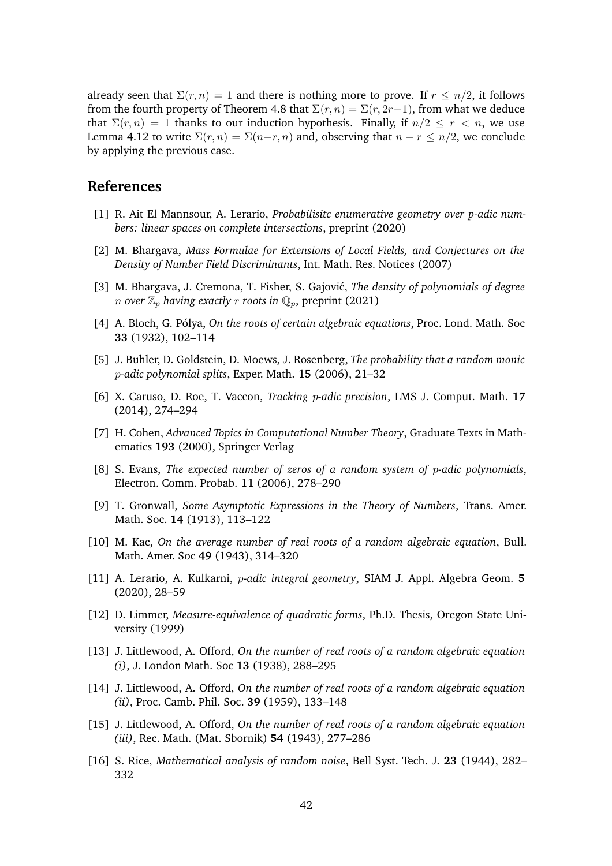already seen that  $\Sigma(r, n) = 1$  and there is nothing more to prove. If  $r \leq n/2$ , it follows from the fourth property of Theorem [4.8](#page-34-1) that  $\Sigma(r, n) = \Sigma(r, 2r-1)$ , from what we deduce that  $\Sigma(r, n) = 1$  thanks to our induction hypothesis. Finally, if  $n/2 \le r \le n$ , we use Lemma [4.12](#page-40-0) to write  $\Sigma(r, n) = \Sigma(n-r, n)$  and, observing that  $n - r \leq n/2$ , we conclude by applying the previous case.

## <span id="page-41-8"></span>**References**

- <span id="page-41-10"></span>[1] R. Ait El Mannsour, A. Lerario, *Probabilisitc enumerative geometry over p-adic numbers: linear spaces on complete intersections*, preprint (2020)
- [2] M. Bhargava, *Mass Formulae for Extensions of Local Fields, and Conjectures on the Density of Number Field Discriminants*, Int. Math. Res. Notices (2007)
- <span id="page-41-9"></span>[3] M. Bhargava, J. Cremona, T. Fisher, S. Gajović, *The density of polynomials of degree n* over  $\mathbb{Z}_p$  having exactly *r* roots in  $\mathbb{Q}_p$ , preprint (2021)
- <span id="page-41-6"></span><span id="page-41-0"></span>[4] A. Bloch, G. Pólya, *On the roots of certain algebraic equations*, Proc. Lond. Math. Soc **33** (1932), 102–114
- <span id="page-41-11"></span>[5] J. Buhler, D. Goldstein, D. Moews, J. Rosenberg, *The probability that a random monic* p*-adic polynomial splits*, Exper. Math. **15** (2006), 21–32
- <span id="page-41-13"></span>[6] X. Caruso, D. Roe, T. Vaccon, *Tracking* p*-adic precision*, LMS J. Comput. Math. **17** (2014), 274–294
- [7] H. Cohen, *Advanced Topics in Computational Number Theory*, Graduate Texts in Mathematics **193** (2000), Springer Verlag
- <span id="page-41-12"></span><span id="page-41-5"></span>[8] S. Evans, *The expected number of zeros of a random system of* p*-adic polynomials*, Electron. Comm. Probab. **11** (2006), 278–290
- [9] T. Gronwall, *Some Asymptotic Expressions in the Theory of Numbers*, Trans. Amer. Math. Soc. **14** (1913), 113–122
- <span id="page-41-4"></span>[10] M. Kac, *On the average number of real roots of a random algebraic equation*, Bull. Math. Amer. Soc **49** (1943), 314–320
- <span id="page-41-7"></span>[11] A. Lerario, A. Kulkarni, p*-adic integral geometry*, SIAM J. Appl. Algebra Geom. **5** (2020), 28–59
- [12] D. Limmer, *Measure-equivalence of quadratic forms*, Ph.D. Thesis, Oregon State University (1999)
- <span id="page-41-1"></span>[13] J. Littlewood, A. Offord, *On the number of real roots of a random algebraic equation (i)*, J. London Math. Soc **13** (1938), 288–295
- <span id="page-41-2"></span>[14] J. Littlewood, A. Offord, *On the number of real roots of a random algebraic equation (ii)*, Proc. Camb. Phil. Soc. **39** (1959), 133–148
- <span id="page-41-3"></span>[15] J. Littlewood, A. Offord, *On the number of real roots of a random algebraic equation (iii)*, Rec. Math. (Mat. Sbornik) **54** (1943), 277–286
- [16] S. Rice, *Mathematical analysis of random noise*, Bell Syst. Tech. J. **23** (1944), 282– 332